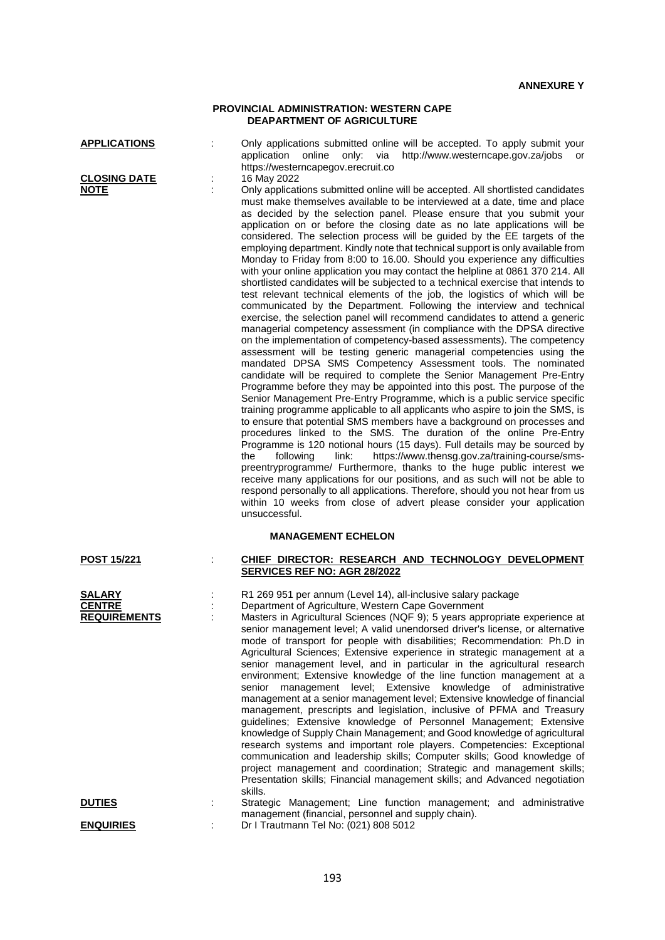### **PROVINCIAL ADMINISTRATION: WESTERN CAPE DEAPARTMENT OF AGRICULTURE**

| <b>APPLICATIONS</b> |  |
|---------------------|--|
|---------------------|--|

**CLOSING DATE** :<br>NOTE :

: Only applications submitted online will be accepted. To apply submit your application online only: via http://www.westerncape.gov.za/jobs or https://westerncapegov.erecruit.co<br>16 May 2022

: Only applications submitted online will be accepted. All shortlisted candidates must make themselves available to be interviewed at a date, time and place as decided by the selection panel. Please ensure that you submit your application on or before the closing date as no late applications will be considered. The selection process will be guided by the EE targets of the employing department. Kindly note that technical support is only available from Monday to Friday from 8:00 to 16.00. Should you experience any difficulties with your online application you may contact the helpline at 0861 370 214. All shortlisted candidates will be subjected to a technical exercise that intends to test relevant technical elements of the job, the logistics of which will be communicated by the Department. Following the interview and technical exercise, the selection panel will recommend candidates to attend a generic managerial competency assessment (in compliance with the DPSA directive on the implementation of competency-based assessments). The competency assessment will be testing generic managerial competencies using the mandated DPSA SMS Competency Assessment tools. The nominated candidate will be required to complete the Senior Management Pre-Entry Programme before they may be appointed into this post. The purpose of the Senior Management Pre-Entry Programme, which is a public service specific training programme applicable to all applicants who aspire to join the SMS, is to ensure that potential SMS members have a background on processes and procedures linked to the SMS. The duration of the online Pre-Entry Programme is 120 notional hours (15 days). Full details may be sourced by the following link: https://www.thensg.gov.za/training-course/smshttps://www.thensg.gov.za/training-course/smspreentryprogramme/ Furthermore, thanks to the huge public interest we receive many applications for our positions, and as such will not be able to respond personally to all applications. Therefore, should you not hear from us within 10 weeks from close of advert please consider your application unsuccessful.

#### **MANAGEMENT ECHELON**

| <b>POST 15/221</b>                                    | CHIEF DIRECTOR: RESEARCH AND TECHNOLOGY DEVELOPMENT                                                                                                                                                                                                                                                                                                                                                                                                                                                                                                                                                                                                                                                                                                                                                                                                                                                                                                                                                                                                                                                                                                                                                                                                                                             |
|-------------------------------------------------------|-------------------------------------------------------------------------------------------------------------------------------------------------------------------------------------------------------------------------------------------------------------------------------------------------------------------------------------------------------------------------------------------------------------------------------------------------------------------------------------------------------------------------------------------------------------------------------------------------------------------------------------------------------------------------------------------------------------------------------------------------------------------------------------------------------------------------------------------------------------------------------------------------------------------------------------------------------------------------------------------------------------------------------------------------------------------------------------------------------------------------------------------------------------------------------------------------------------------------------------------------------------------------------------------------|
|                                                       | SERVICES REF NO: AGR 28/2022                                                                                                                                                                                                                                                                                                                                                                                                                                                                                                                                                                                                                                                                                                                                                                                                                                                                                                                                                                                                                                                                                                                                                                                                                                                                    |
| <b>SALARY</b><br><b>CENTRE</b><br><b>REQUIREMENTS</b> | R1 269 951 per annum (Level 14), all-inclusive salary package<br>Department of Agriculture, Western Cape Government<br>Masters in Agricultural Sciences (NQF 9); 5 years appropriate experience at<br>senior management level; A valid unendorsed driver's license, or alternative<br>mode of transport for people with disabilities; Recommendation: Ph.D in<br>Agricultural Sciences; Extensive experience in strategic management at a<br>senior management level, and in particular in the agricultural research<br>environment; Extensive knowledge of the line function management at a<br>senior management level; Extensive knowledge of administrative<br>management at a senior management level; Extensive knowledge of financial<br>management, prescripts and legislation, inclusive of PFMA and Treasury<br>quidelines; Extensive knowledge of Personnel Management; Extensive<br>knowledge of Supply Chain Management; and Good knowledge of agricultural<br>research systems and important role players. Competencies: Exceptional<br>communication and leadership skills; Computer skills; Good knowledge of<br>project management and coordination; Strategic and management skills;<br>Presentation skills; Financial management skills; and Advanced negotiation<br>skills. |
| <b>DUTIES</b>                                         | Strategic Management; Line function management; and administrative                                                                                                                                                                                                                                                                                                                                                                                                                                                                                                                                                                                                                                                                                                                                                                                                                                                                                                                                                                                                                                                                                                                                                                                                                              |
|                                                       | management (financial, personnel and supply chain).                                                                                                                                                                                                                                                                                                                                                                                                                                                                                                                                                                                                                                                                                                                                                                                                                                                                                                                                                                                                                                                                                                                                                                                                                                             |
| <b>ENQUIRIES</b>                                      | Dr I Trautmann Tel No: (021) 808 5012                                                                                                                                                                                                                                                                                                                                                                                                                                                                                                                                                                                                                                                                                                                                                                                                                                                                                                                                                                                                                                                                                                                                                                                                                                                           |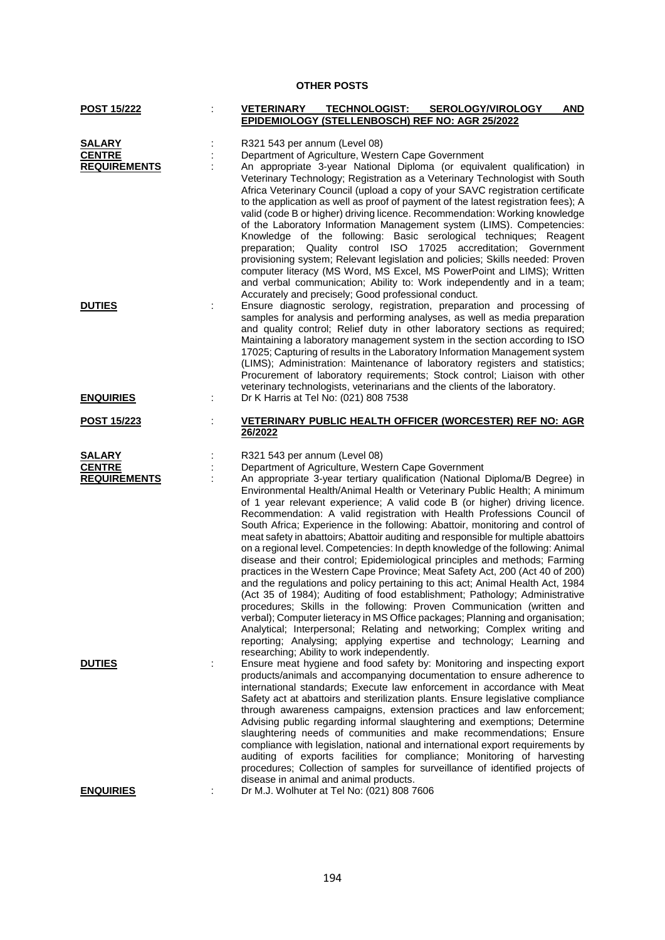# **OTHER POSTS**

| <b>POST 15/222</b>                                    | <b>VETERINARY</b><br><b>TECHNOLOGIST:</b><br><b>SEROLOGY/VIROLOGY</b><br><b>AND</b><br>EPIDEMIOLOGY (STELLENBOSCH) REF NO: AGR 25/2022                                                                                                                                                                                                                                                                                                                                                                                                                                                                                                                                                                                                                                                                                                                                                                                                                                                                                                                                                                                                                                                                                                                                                                           |
|-------------------------------------------------------|------------------------------------------------------------------------------------------------------------------------------------------------------------------------------------------------------------------------------------------------------------------------------------------------------------------------------------------------------------------------------------------------------------------------------------------------------------------------------------------------------------------------------------------------------------------------------------------------------------------------------------------------------------------------------------------------------------------------------------------------------------------------------------------------------------------------------------------------------------------------------------------------------------------------------------------------------------------------------------------------------------------------------------------------------------------------------------------------------------------------------------------------------------------------------------------------------------------------------------------------------------------------------------------------------------------|
|                                                       |                                                                                                                                                                                                                                                                                                                                                                                                                                                                                                                                                                                                                                                                                                                                                                                                                                                                                                                                                                                                                                                                                                                                                                                                                                                                                                                  |
| <b>SALARY</b><br><b>CENTRE</b><br><b>REQUIREMENTS</b> | R321 543 per annum (Level 08)<br>Department of Agriculture, Western Cape Government<br>An appropriate 3-year National Diploma (or equivalent qualification) in<br>Veterinary Technology; Registration as a Veterinary Technologist with South<br>Africa Veterinary Council (upload a copy of your SAVC registration certificate<br>to the application as well as proof of payment of the latest registration fees); A<br>valid (code B or higher) driving licence. Recommendation: Working knowledge<br>of the Laboratory Information Management system (LIMS). Competencies:<br>Knowledge of the following: Basic serological techniques; Reagent<br>preparation; Quality control ISO 17025 accreditation; Government<br>provisioning system; Relevant legislation and policies; Skills needed: Proven<br>computer literacy (MS Word, MS Excel, MS PowerPoint and LIMS); Written<br>and verbal communication; Ability to: Work independently and in a team;<br>Accurately and precisely; Good professional conduct.                                                                                                                                                                                                                                                                                             |
| <b>DUTIES</b>                                         | Ensure diagnostic serology, registration, preparation and processing of<br>samples for analysis and performing analyses, as well as media preparation<br>and quality control; Relief duty in other laboratory sections as required;<br>Maintaining a laboratory management system in the section according to ISO<br>17025; Capturing of results in the Laboratory Information Management system<br>(LIMS); Administration: Maintenance of laboratory registers and statistics;<br>Procurement of laboratory requirements; Stock control; Liaison with other<br>veterinary technologists, veterinarians and the clients of the laboratory.                                                                                                                                                                                                                                                                                                                                                                                                                                                                                                                                                                                                                                                                       |
| <b>ENQUIRIES</b>                                      | Dr K Harris at Tel No: (021) 808 7538                                                                                                                                                                                                                                                                                                                                                                                                                                                                                                                                                                                                                                                                                                                                                                                                                                                                                                                                                                                                                                                                                                                                                                                                                                                                            |
| <u>POST 15/223</u>                                    | VETERINARY PUBLIC HEALTH OFFICER (WORCESTER) REF NO: AGR<br>26/2022                                                                                                                                                                                                                                                                                                                                                                                                                                                                                                                                                                                                                                                                                                                                                                                                                                                                                                                                                                                                                                                                                                                                                                                                                                              |
| <b>SALARY</b><br><b>CENTRE</b><br><b>REQUIREMENTS</b> | R321 543 per annum (Level 08)<br>Department of Agriculture, Western Cape Government<br>An appropriate 3-year tertiary qualification (National Diploma/B Degree) in<br>Environmental Health/Animal Health or Veterinary Public Health; A minimum<br>of 1 year relevant experience; A valid code B (or higher) driving licence.<br>Recommendation: A valid registration with Health Professions Council of<br>South Africa; Experience in the following: Abattoir, monitoring and control of<br>meat safety in abattoirs; Abattoir auditing and responsible for multiple abattoirs<br>on a regional level. Competencies: In depth knowledge of the following: Animal<br>disease and their control; Epidemiological principles and methods; Farming<br>practices in the Western Cape Province; Meat Safety Act, 200 (Act 40 of 200)<br>and the regulations and policy pertaining to this act; Animal Health Act, 1984<br>(Act 35 of 1984); Auditing of food establishment; Pathology; Administrative<br>procedures; Skills in the following: Proven Communication (written and<br>verbal); Computer lieteracy in MS Office packages; Planning and organisation;<br>Analytical; Interpersonal; Relating and networking; Complex writing and<br>reporting; Analysing; applying expertise and technology; Learning and |
| <b>DUTIES</b>                                         | researching; Ability to work independently.<br>Ensure meat hygiene and food safety by: Monitoring and inspecting export<br>products/animals and accompanying documentation to ensure adherence to<br>international standards; Execute law enforcement in accordance with Meat<br>Safety act at abattoirs and sterilization plants. Ensure legislative compliance<br>through awareness campaigns, extension practices and law enforcement;<br>Advising public regarding informal slaughtering and exemptions; Determine<br>slaughtering needs of communities and make recommendations; Ensure<br>compliance with legislation, national and international export requirements by<br>auditing of exports facilities for compliance; Monitoring of harvesting<br>procedures; Collection of samples for surveillance of identified projects of<br>disease in animal and animal products.                                                                                                                                                                                                                                                                                                                                                                                                                              |
| <b>ENQUIRIES</b>                                      | Dr M.J. Wolhuter at Tel No: (021) 808 7606                                                                                                                                                                                                                                                                                                                                                                                                                                                                                                                                                                                                                                                                                                                                                                                                                                                                                                                                                                                                                                                                                                                                                                                                                                                                       |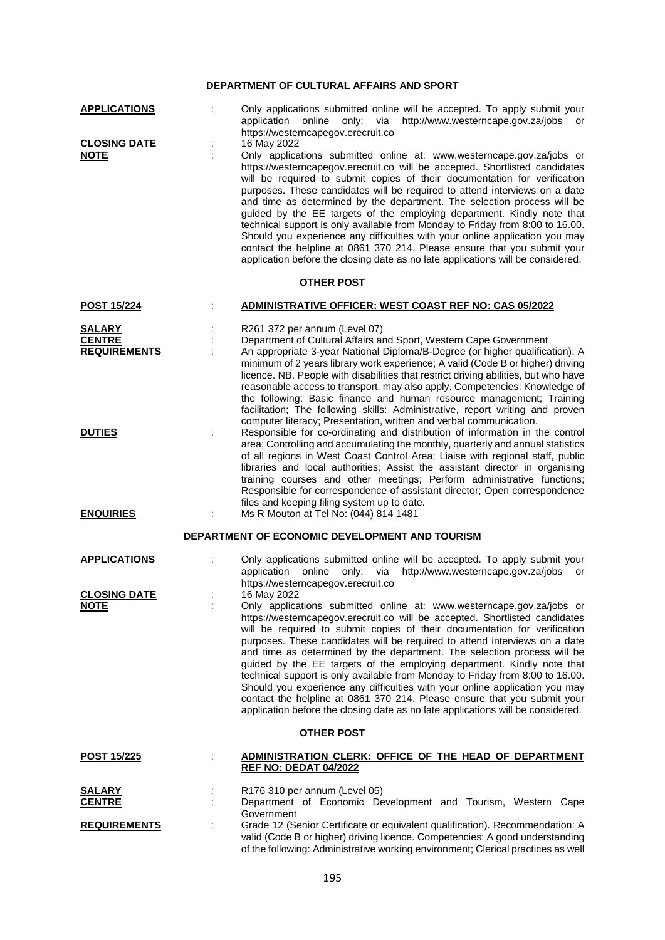# **DEPARTMENT OF CULTURAL AFFAIRS AND SPORT**

| <b>APPLICATIONS</b>                                   | Only applications submitted online will be accepted. To apply submit your<br>http://www.westerncape.gov.za/jobs or<br>application online only: via<br>https://westerncapegov.erecruit.co                                                                                                                                                                                                                                                                                                                                                                                                                                                                                                                                                                                                                           |
|-------------------------------------------------------|--------------------------------------------------------------------------------------------------------------------------------------------------------------------------------------------------------------------------------------------------------------------------------------------------------------------------------------------------------------------------------------------------------------------------------------------------------------------------------------------------------------------------------------------------------------------------------------------------------------------------------------------------------------------------------------------------------------------------------------------------------------------------------------------------------------------|
| <b>CLOSING DATE</b><br><b>NOTE</b>                    | 16 May 2022<br>Only applications submitted online at: www.westerncape.gov.za/jobs or<br>https://westerncapegov.erecruit.co will be accepted. Shortlisted candidates<br>will be required to submit copies of their documentation for verification<br>purposes. These candidates will be required to attend interviews on a date<br>and time as determined by the department. The selection process will be<br>guided by the EE targets of the employing department. Kindly note that<br>technical support is only available from Monday to Friday from 8:00 to 16.00.<br>Should you experience any difficulties with your online application you may<br>contact the helpline at 0861 370 214. Please ensure that you submit your<br>application before the closing date as no late applications will be considered. |
|                                                       | <b>OTHER POST</b>                                                                                                                                                                                                                                                                                                                                                                                                                                                                                                                                                                                                                                                                                                                                                                                                  |
| <b>POST 15/224</b>                                    | ADMINISTRATIVE OFFICER: WEST COAST REF NO: CAS 05/2022                                                                                                                                                                                                                                                                                                                                                                                                                                                                                                                                                                                                                                                                                                                                                             |
| <b>SALARY</b><br><b>CENTRE</b><br><b>REQUIREMENTS</b> | R261 372 per annum (Level 07)<br>Department of Cultural Affairs and Sport, Western Cape Government<br>An appropriate 3-year National Diploma/B-Degree (or higher qualification); A<br>minimum of 2 years library work experience; A valid (Code B or higher) driving<br>licence. NB. People with disabilities that restrict driving abilities, but who have<br>reasonable access to transport, may also apply. Competencies: Knowledge of<br>the following: Basic finance and human resource management; Training<br>facilitation; The following skills: Administrative, report writing and proven<br>computer literacy; Presentation, written and verbal communication.                                                                                                                                           |
| <b>DUTIES</b><br><b>ENQUIRIES</b>                     | Responsible for co-ordinating and distribution of information in the control<br>area; Controlling and accumulating the monthly, quarterly and annual statistics<br>of all regions in West Coast Control Area; Liaise with regional staff, public<br>libraries and local authorities; Assist the assistant director in organising<br>training courses and other meetings; Perform administrative functions;<br>Responsible for correspondence of assistant director; Open correspondence<br>files and keeping filing system up to date.<br>Ms R Mouton at Tel No: (044) 814 1481                                                                                                                                                                                                                                    |
|                                                       | DEPARTMENT OF ECONOMIC DEVELOPMENT AND TOURISM                                                                                                                                                                                                                                                                                                                                                                                                                                                                                                                                                                                                                                                                                                                                                                     |
| <b>APPLICATIONS</b>                                   | Only applications submitted online will be accepted. To apply submit your<br>http://www.westerncape.gov.za/jobs<br>application<br>online<br>only:<br>via<br>or<br>https://westerncapegov.erecruit.co                                                                                                                                                                                                                                                                                                                                                                                                                                                                                                                                                                                                               |
| <b>CLOSING DATE</b><br><b>NOTE</b>                    | 16 May 2022<br>Only applications submitted online at: www.westerncape.gov.za/jobs or<br>https://westerncapegov.erecruit.co will be accepted. Shortlisted candidates<br>will be required to submit copies of their documentation for verification<br>purposes. These candidates will be required to attend interviews on a date<br>and time as determined by the department. The selection process will be<br>guided by the EE targets of the employing department. Kindly note that<br>technical support is only available from Monday to Friday from 8:00 to 16.00.<br>Should you experience any difficulties with your online application you may<br>contact the helpline at 0861 370 214. Please ensure that you submit your<br>application before the closing date as no late applications will be considered. |
|                                                       | <b>OTHER POST</b>                                                                                                                                                                                                                                                                                                                                                                                                                                                                                                                                                                                                                                                                                                                                                                                                  |
| <b>POST 15/225</b>                                    | ADMINISTRATION CLERK: OFFICE OF THE HEAD OF DEPARTMENT<br><b>REF NO: DEDAT 04/2022</b>                                                                                                                                                                                                                                                                                                                                                                                                                                                                                                                                                                                                                                                                                                                             |
| <b>SALARY</b><br><b>CENTRE</b>                        | R176 310 per annum (Level 05)<br>Department of Economic Development and Tourism, Western Cape<br>Government                                                                                                                                                                                                                                                                                                                                                                                                                                                                                                                                                                                                                                                                                                        |
| <b>REQUIREMENTS</b>                                   | Grade 12 (Senior Certificate or equivalent qualification). Recommendation: A<br>valid (Code B or higher) driving licence. Competencies: A good understanding                                                                                                                                                                                                                                                                                                                                                                                                                                                                                                                                                                                                                                                       |

of the following: Administrative working environment; Clerical practices as well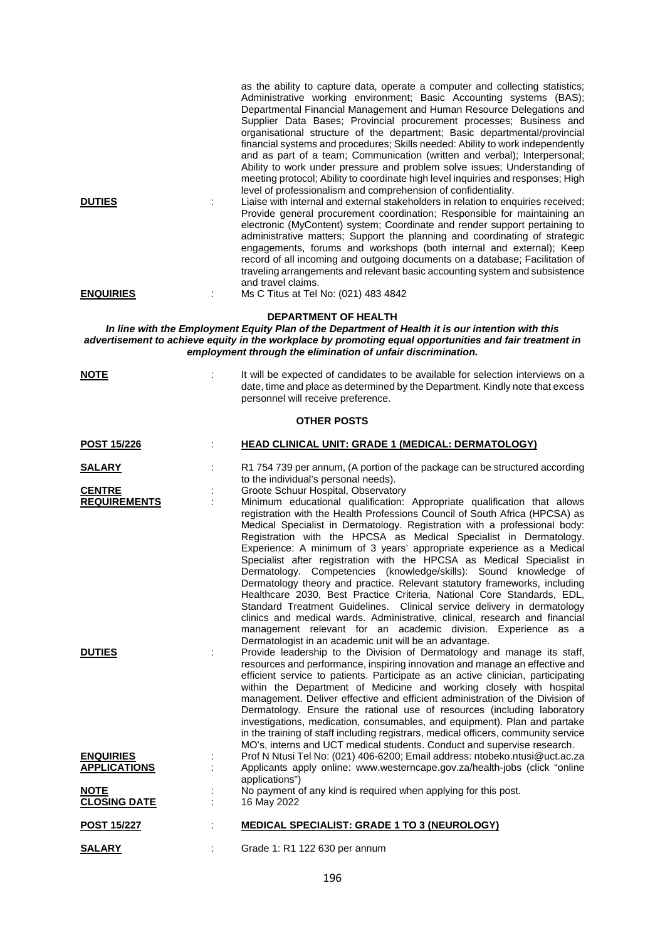|                  | as the ability to capture data, operate a computer and collecting statistics;<br>Administrative working environment; Basic Accounting systems (BAS);<br>Departmental Financial Management and Human Resource Delegations and<br>Supplier Data Bases; Provincial procurement processes; Business and<br>organisational structure of the department; Basic departmental/provincial<br>financial systems and procedures; Skills needed: Ability to work independently<br>and as part of a team; Communication (written and verbal); Interpersonal;<br>Ability to work under pressure and problem solve issues; Understanding of<br>meeting protocol; Ability to coordinate high level inquiries and responses; High<br>level of professionalism and comprehension of confidentiality. |
|------------------|------------------------------------------------------------------------------------------------------------------------------------------------------------------------------------------------------------------------------------------------------------------------------------------------------------------------------------------------------------------------------------------------------------------------------------------------------------------------------------------------------------------------------------------------------------------------------------------------------------------------------------------------------------------------------------------------------------------------------------------------------------------------------------|
| <b>DUTIES</b>    | Liaise with internal and external stakeholders in relation to enquiries received;<br>Provide general procurement coordination; Responsible for maintaining an<br>electronic (MyContent) system; Coordinate and render support pertaining to<br>administrative matters; Support the planning and coordinating of strategic<br>engagements, forums and workshops (both internal and external); Keep<br>record of all incoming and outgoing documents on a database; Facilitation of<br>traveling arrangements and relevant basic accounting system and subsistence<br>and travel claims.                                                                                                                                                                                             |
| <b>ENQUIRIES</b> | Ms C Titus at Tel No: (021) 483 4842                                                                                                                                                                                                                                                                                                                                                                                                                                                                                                                                                                                                                                                                                                                                               |

#### **DEPARTMENT OF HEALTH**

*In line with the Employment Equity Plan of the Department of Health it is our intention with this advertisement to achieve equity in the workplace by promoting equal opportunities and fair treatment in employment through the elimination of unfair discrimination.*

|--|--|

: It will be expected of candidates to be available for selection interviews on a date, time and place as determined by the Department. Kindly note that excess personnel will receive preference.

# **OTHER POSTS**

| <b>POST 15/226</b>  | <b>HEAD CLINICAL UNIT: GRADE 1 (MEDICAL: DERMATOLOGY)</b>                                                                                                                                                                                                                                                                                                                                                                                                                                                                                                                                                                                                                                                                                                                                                                                                                                                                                                                    |
|---------------------|------------------------------------------------------------------------------------------------------------------------------------------------------------------------------------------------------------------------------------------------------------------------------------------------------------------------------------------------------------------------------------------------------------------------------------------------------------------------------------------------------------------------------------------------------------------------------------------------------------------------------------------------------------------------------------------------------------------------------------------------------------------------------------------------------------------------------------------------------------------------------------------------------------------------------------------------------------------------------|
| <b>SALARY</b>       | R1 754 739 per annum, (A portion of the package can be structured according<br>to the individual's personal needs).                                                                                                                                                                                                                                                                                                                                                                                                                                                                                                                                                                                                                                                                                                                                                                                                                                                          |
| <b>CENTRE</b>       | Groote Schuur Hospital, Observatory                                                                                                                                                                                                                                                                                                                                                                                                                                                                                                                                                                                                                                                                                                                                                                                                                                                                                                                                          |
| <b>REQUIREMENTS</b> | Minimum educational qualification: Appropriate qualification that allows<br>registration with the Health Professions Council of South Africa (HPCSA) as<br>Medical Specialist in Dermatology. Registration with a professional body:<br>Registration with the HPCSA as Medical Specialist in Dermatology.<br>Experience: A minimum of 3 years' appropriate experience as a Medical<br>Specialist after registration with the HPCSA as Medical Specialist in<br>Dermatology. Competencies (knowledge/skills): Sound knowledge of<br>Dermatology theory and practice. Relevant statutory frameworks, including<br>Healthcare 2030, Best Practice Criteria, National Core Standards, EDL,<br>Standard Treatment Guidelines. Clinical service delivery in dermatology<br>clinics and medical wards. Administrative, clinical, research and financial<br>management relevant for an academic division. Experience as a<br>Dermatologist in an academic unit will be an advantage. |
| <b>DUTIES</b>       | Provide leadership to the Division of Dermatology and manage its staff,<br>resources and performance, inspiring innovation and manage an effective and<br>efficient service to patients. Participate as an active clinician, participating<br>within the Department of Medicine and working closely with hospital<br>management. Deliver effective and efficient administration of the Division of<br>Dermatology. Ensure the rational use of resources (including laboratory<br>investigations, medication, consumables, and equipment). Plan and partake<br>in the training of staff including registrars, medical officers, community service<br>MO's, interns and UCT medical students. Conduct and supervise research.                                                                                                                                                                                                                                                  |
| <b>ENQUIRIES</b>    | Prof N Ntusi Tel No: (021) 406-6200; Email address: ntobeko.ntusi@uct.ac.za                                                                                                                                                                                                                                                                                                                                                                                                                                                                                                                                                                                                                                                                                                                                                                                                                                                                                                  |
| <b>APPLICATIONS</b> | Applicants apply online: www.westerncape.gov.za/health-jobs (click "online<br>applications")                                                                                                                                                                                                                                                                                                                                                                                                                                                                                                                                                                                                                                                                                                                                                                                                                                                                                 |
| <b>NOTE</b>         | No payment of any kind is required when applying for this post.                                                                                                                                                                                                                                                                                                                                                                                                                                                                                                                                                                                                                                                                                                                                                                                                                                                                                                              |
| <b>CLOSING DATE</b> | 16 May 2022                                                                                                                                                                                                                                                                                                                                                                                                                                                                                                                                                                                                                                                                                                                                                                                                                                                                                                                                                                  |
| <b>POST 15/227</b>  | <b>MEDICAL SPECIALIST: GRADE 1 TO 3 (NEUROLOGY)</b>                                                                                                                                                                                                                                                                                                                                                                                                                                                                                                                                                                                                                                                                                                                                                                                                                                                                                                                          |
| <b>SALARY</b>       | Grade 1: R1 122 630 per annum                                                                                                                                                                                                                                                                                                                                                                                                                                                                                                                                                                                                                                                                                                                                                                                                                                                                                                                                                |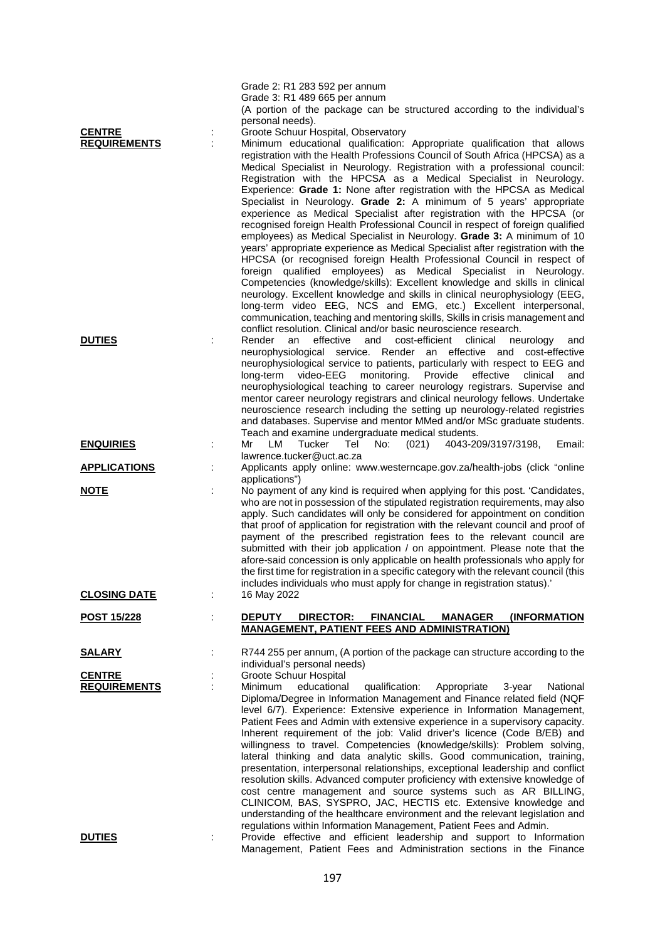|                                      |   | Grade 2: R1 283 592 per annum<br>Grade 3: R1 489 665 per annum<br>(A portion of the package can be structured according to the individual's<br>personal needs).                                                                                                                                                                                                                                                                                                                                                                                                                                                                                                                                                                                                                                                                                                                                                                                                                                                                                                                                                                                                                                                                                                                                                                                                      |
|--------------------------------------|---|----------------------------------------------------------------------------------------------------------------------------------------------------------------------------------------------------------------------------------------------------------------------------------------------------------------------------------------------------------------------------------------------------------------------------------------------------------------------------------------------------------------------------------------------------------------------------------------------------------------------------------------------------------------------------------------------------------------------------------------------------------------------------------------------------------------------------------------------------------------------------------------------------------------------------------------------------------------------------------------------------------------------------------------------------------------------------------------------------------------------------------------------------------------------------------------------------------------------------------------------------------------------------------------------------------------------------------------------------------------------|
| <b>CENTRE</b><br><b>REQUIREMENTS</b> | ÷ | Groote Schuur Hospital, Observatory<br>Minimum educational qualification: Appropriate qualification that allows<br>registration with the Health Professions Council of South Africa (HPCSA) as a<br>Medical Specialist in Neurology. Registration with a professional council:<br>Registration with the HPCSA as a Medical Specialist in Neurology.<br>Experience: Grade 1: None after registration with the HPCSA as Medical<br>Specialist in Neurology. Grade 2: A minimum of 5 years' appropriate<br>experience as Medical Specialist after registration with the HPCSA (or<br>recognised foreign Health Professional Council in respect of foreign qualified<br>employees) as Medical Specialist in Neurology. Grade 3: A minimum of 10<br>years' appropriate experience as Medical Specialist after registration with the<br>HPCSA (or recognised foreign Health Professional Council in respect of<br>foreign qualified employees) as Medical Specialist in Neurology.<br>Competencies (knowledge/skills): Excellent knowledge and skills in clinical<br>neurology. Excellent knowledge and skills in clinical neurophysiology (EEG,<br>long-term video EEG, NCS and EMG, etc.) Excellent interpersonal,<br>communication, teaching and mentoring skills, Skills in crisis management and<br>conflict resolution. Clinical and/or basic neuroscience research. |
| <b>DUTIES</b>                        |   | Render<br>effective<br>and<br>cost-efficient<br>clinical<br>an<br>neurology<br>and<br>neurophysiological service. Render an effective and cost-effective<br>neurophysiological service to patients, particularly with respect to EEG and<br>long-term<br>video-EEG<br>monitoring.<br>Provide<br>effective<br>clinical<br>and<br>neurophysiological teaching to career neurology registrars. Supervise and<br>mentor career neurology registrars and clinical neurology fellows. Undertake<br>neuroscience research including the setting up neurology-related registries<br>and databases. Supervise and mentor MMed and/or MSc graduate students.<br>Teach and examine undergraduate medical students.                                                                                                                                                                                                                                                                                                                                                                                                                                                                                                                                                                                                                                                              |
| <b>ENQUIRIES</b>                     |   | Mr<br>LM<br>Tucker<br>Tel<br>No:<br>(021)<br>4043-209/3197/3198,<br>Email:<br>lawrence.tucker@uct.ac.za                                                                                                                                                                                                                                                                                                                                                                                                                                                                                                                                                                                                                                                                                                                                                                                                                                                                                                                                                                                                                                                                                                                                                                                                                                                              |
| <b>APPLICATIONS</b>                  |   | Applicants apply online: www.westerncape.gov.za/health-jobs (click "online<br>applications")                                                                                                                                                                                                                                                                                                                                                                                                                                                                                                                                                                                                                                                                                                                                                                                                                                                                                                                                                                                                                                                                                                                                                                                                                                                                         |
| <b>NOTE</b>                          |   | No payment of any kind is required when applying for this post. 'Candidates,<br>who are not in possession of the stipulated registration requirements, may also<br>apply. Such candidates will only be considered for appointment on condition<br>that proof of application for registration with the relevant council and proof of<br>payment of the prescribed registration fees to the relevant council are<br>submitted with their job application / on appointment. Please note that the<br>afore-said concession is only applicable on health professionals who apply for<br>the first time for registration in a specific category with the relevant council (this<br>includes individuals who must apply for change in registration status).                                                                                                                                                                                                                                                                                                                                                                                                                                                                                                                                                                                                                 |
| <b>CLOSING DATE</b>                  |   | 16 May 2022                                                                                                                                                                                                                                                                                                                                                                                                                                                                                                                                                                                                                                                                                                                                                                                                                                                                                                                                                                                                                                                                                                                                                                                                                                                                                                                                                          |
| <u>POST 15/228</u>                   |   | <b>DIRECTOR:</b><br><b>DEPUTY</b><br><b>FINANCIAL</b><br>MANAGER<br><b>(INFORMATION</b><br><b>MANAGEMENT, PATIENT FEES AND ADMINISTRATION)</b>                                                                                                                                                                                                                                                                                                                                                                                                                                                                                                                                                                                                                                                                                                                                                                                                                                                                                                                                                                                                                                                                                                                                                                                                                       |
| <b>SALARY</b>                        |   | R744 255 per annum, (A portion of the package can structure according to the<br>individual's personal needs)                                                                                                                                                                                                                                                                                                                                                                                                                                                                                                                                                                                                                                                                                                                                                                                                                                                                                                                                                                                                                                                                                                                                                                                                                                                         |
| <b>CENTRE</b><br><b>REQUIREMENTS</b> |   | Groote Schuur Hospital<br>Minimum<br>educational<br>qualification:<br>Appropriate<br>National<br>3-year<br>Diploma/Degree in Information Management and Finance related field (NQF<br>level 6/7). Experience: Extensive experience in Information Management,<br>Patient Fees and Admin with extensive experience in a supervisory capacity.<br>Inherent requirement of the job: Valid driver's licence (Code B/EB) and<br>willingness to travel. Competencies (knowledge/skills): Problem solving,<br>lateral thinking and data analytic skills. Good communication, training,<br>presentation, interpersonal relationships, exceptional leadership and conflict<br>resolution skills. Advanced computer proficiency with extensive knowledge of<br>cost centre management and source systems such as AR BILLING,<br>CLINICOM, BAS, SYSPRO, JAC, HECTIS etc. Extensive knowledge and<br>understanding of the healthcare environment and the relevant legislation and<br>regulations within Information Management, Patient Fees and Admin.                                                                                                                                                                                                                                                                                                                          |
| <b>DUTIES</b>                        |   | Provide effective and efficient leadership and support to Information<br>Management, Patient Fees and Administration sections in the Finance                                                                                                                                                                                                                                                                                                                                                                                                                                                                                                                                                                                                                                                                                                                                                                                                                                                                                                                                                                                                                                                                                                                                                                                                                         |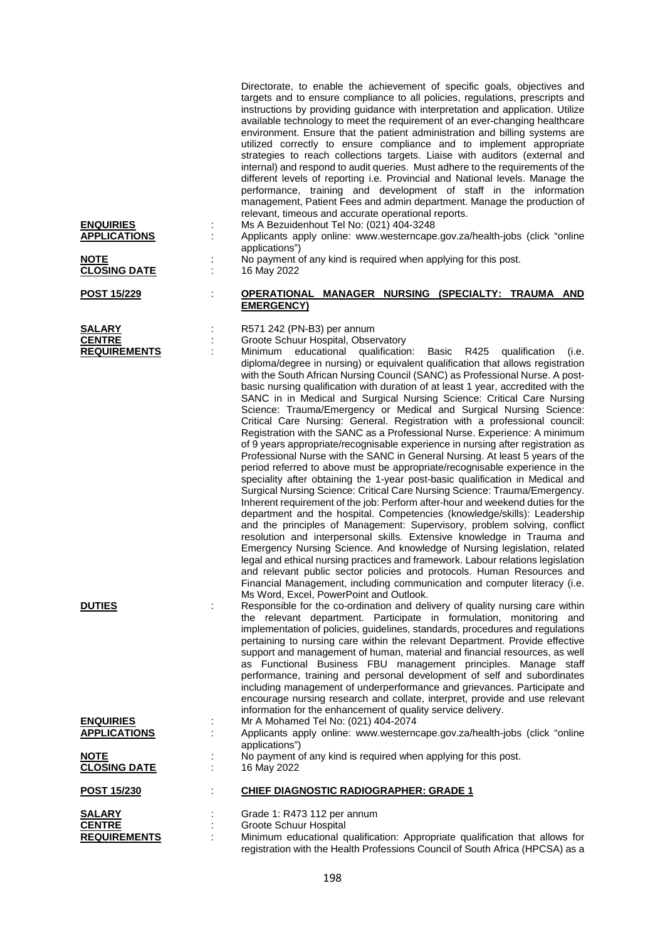| <b>ENQUIRIES</b><br><b>APPLICATIONS</b><br><b>NOTE</b> | Directorate, to enable the achievement of specific goals, objectives and<br>targets and to ensure compliance to all policies, regulations, prescripts and<br>instructions by providing guidance with interpretation and application. Utilize<br>available technology to meet the requirement of an ever-changing healthcare<br>environment. Ensure that the patient administration and billing systems are<br>utilized correctly to ensure compliance and to implement appropriate<br>strategies to reach collections targets. Liaise with auditors (external and<br>internal) and respond to audit queries. Must adhere to the requirements of the<br>different levels of reporting i.e. Provincial and National levels. Manage the<br>performance, training and development of staff in the information<br>management, Patient Fees and admin department. Manage the production of<br>relevant, timeous and accurate operational reports.<br>Ms A Bezuidenhout Tel No: (021) 404-3248<br>Applicants apply online: www.westerncape.gov.za/health-jobs (click "online<br>applications")<br>No payment of any kind is required when applying for this post.                                                                                                                                                                                                                                                                                                                                                                                                                                                                                                                                                                                                                                                                 |
|--------------------------------------------------------|----------------------------------------------------------------------------------------------------------------------------------------------------------------------------------------------------------------------------------------------------------------------------------------------------------------------------------------------------------------------------------------------------------------------------------------------------------------------------------------------------------------------------------------------------------------------------------------------------------------------------------------------------------------------------------------------------------------------------------------------------------------------------------------------------------------------------------------------------------------------------------------------------------------------------------------------------------------------------------------------------------------------------------------------------------------------------------------------------------------------------------------------------------------------------------------------------------------------------------------------------------------------------------------------------------------------------------------------------------------------------------------------------------------------------------------------------------------------------------------------------------------------------------------------------------------------------------------------------------------------------------------------------------------------------------------------------------------------------------------------------------------------------------------------------------------------------|
| <b>CLOSING DATE</b>                                    | 16 May 2022                                                                                                                                                                                                                                                                                                                                                                                                                                                                                                                                                                                                                                                                                                                                                                                                                                                                                                                                                                                                                                                                                                                                                                                                                                                                                                                                                                                                                                                                                                                                                                                                                                                                                                                                                                                                                |
| POST 15/229                                            | OPERATIONAL MANAGER NURSING (SPECIALTY: TRAUMA AND<br><b>EMERGENCY)</b>                                                                                                                                                                                                                                                                                                                                                                                                                                                                                                                                                                                                                                                                                                                                                                                                                                                                                                                                                                                                                                                                                                                                                                                                                                                                                                                                                                                                                                                                                                                                                                                                                                                                                                                                                    |
| <b>SALARY</b><br><b>CENTRE</b><br><b>REQUIREMENTS</b>  | R571 242 (PN-B3) per annum<br>Groote Schuur Hospital, Observatory<br>Minimum educational qualification:<br>Basic<br>R425<br>qualification<br>(i.e.<br>diploma/degree in nursing) or equivalent qualification that allows registration<br>with the South African Nursing Council (SANC) as Professional Nurse. A post-<br>basic nursing qualification with duration of at least 1 year, accredited with the<br>SANC in in Medical and Surgical Nursing Science: Critical Care Nursing<br>Science: Trauma/Emergency or Medical and Surgical Nursing Science:<br>Critical Care Nursing: General. Registration with a professional council:<br>Registration with the SANC as a Professional Nurse. Experience: A minimum<br>of 9 years appropriate/recognisable experience in nursing after registration as<br>Professional Nurse with the SANC in General Nursing. At least 5 years of the<br>period referred to above must be appropriate/recognisable experience in the<br>speciality after obtaining the 1-year post-basic qualification in Medical and<br>Surgical Nursing Science: Critical Care Nursing Science: Trauma/Emergency.<br>Inherent requirement of the job: Perform after-hour and weekend duties for the<br>department and the hospital. Competencies (knowledge/skills): Leadership<br>and the principles of Management: Supervisory, problem solving, conflict<br>resolution and interpersonal skills. Extensive knowledge in Trauma and<br>Emergency Nursing Science. And knowledge of Nursing legislation, related<br>legal and ethical nursing practices and framework. Labour relations legislation<br>and relevant public sector policies and protocols. Human Resources and<br>Financial Management, including communication and computer literacy (i.e.<br>Ms Word, Excel, PowerPoint and Outlook. |
| <b>DUTIES</b>                                          | Responsible for the co-ordination and delivery of quality nursing care within<br>the relevant department. Participate in formulation, monitoring and<br>implementation of policies, guidelines, standards, procedures and regulations<br>pertaining to nursing care within the relevant Department. Provide effective<br>support and management of human, material and financial resources, as well<br>as Functional Business FBU management principles. Manage staff<br>performance, training and personal development of self and subordinates<br>including management of underperformance and grievances. Participate and<br>encourage nursing research and collate, interpret, provide and use relevant<br>information for the enhancement of quality service delivery.                                                                                                                                                                                                                                                                                                                                                                                                                                                                                                                                                                                                                                                                                                                                                                                                                                                                                                                                                                                                                                                |
| <b>ENQUIRIES</b><br><b>APPLICATIONS</b>                | Mr A Mohamed Tel No: (021) 404-2074<br>Applicants apply online: www.westerncape.gov.za/health-jobs (click "online                                                                                                                                                                                                                                                                                                                                                                                                                                                                                                                                                                                                                                                                                                                                                                                                                                                                                                                                                                                                                                                                                                                                                                                                                                                                                                                                                                                                                                                                                                                                                                                                                                                                                                          |
| <b>NOTE</b><br><b>CLOSING DATE</b>                     | applications")<br>No payment of any kind is required when applying for this post.<br>16 May 2022                                                                                                                                                                                                                                                                                                                                                                                                                                                                                                                                                                                                                                                                                                                                                                                                                                                                                                                                                                                                                                                                                                                                                                                                                                                                                                                                                                                                                                                                                                                                                                                                                                                                                                                           |
| <u>POST 15/230</u>                                     | <b>CHIEF DIAGNOSTIC RADIOGRAPHER: GRADE 1</b>                                                                                                                                                                                                                                                                                                                                                                                                                                                                                                                                                                                                                                                                                                                                                                                                                                                                                                                                                                                                                                                                                                                                                                                                                                                                                                                                                                                                                                                                                                                                                                                                                                                                                                                                                                              |
| <b>SALARY</b><br><b>CENTRE</b><br><b>REQUIREMENTS</b>  | Grade 1: R473 112 per annum<br>Groote Schuur Hospital<br>Minimum educational qualification: Appropriate qualification that allows for<br>registration with the Health Professions Council of South Africa (HPCSA) as a                                                                                                                                                                                                                                                                                                                                                                                                                                                                                                                                                                                                                                                                                                                                                                                                                                                                                                                                                                                                                                                                                                                                                                                                                                                                                                                                                                                                                                                                                                                                                                                                     |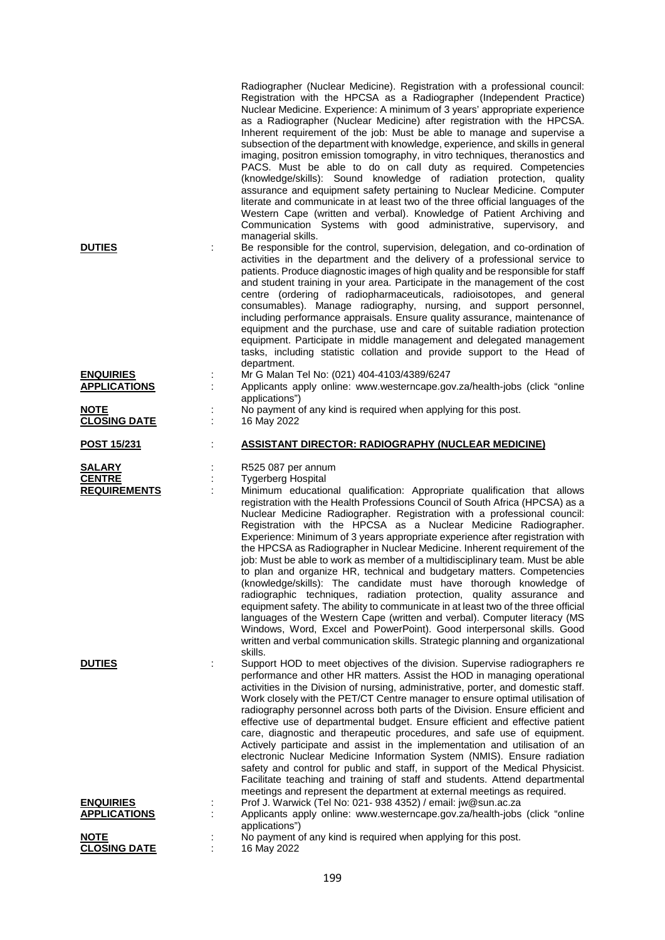|                                                       | Radiographer (Nuclear Medicine). Registration with a professional council:<br>Registration with the HPCSA as a Radiographer (Independent Practice)<br>Nuclear Medicine. Experience: A minimum of 3 years' appropriate experience<br>as a Radiographer (Nuclear Medicine) after registration with the HPCSA.<br>Inherent requirement of the job: Must be able to manage and supervise a<br>subsection of the department with knowledge, experience, and skills in general<br>imaging, positron emission tomography, in vitro techniques, theranostics and<br>PACS. Must be able to do on call duty as required. Competencies<br>(knowledge/skills): Sound knowledge of radiation protection, quality<br>assurance and equipment safety pertaining to Nuclear Medicine. Computer<br>literate and communicate in at least two of the three official languages of the<br>Western Cape (written and verbal). Knowledge of Patient Archiving and<br>Communication Systems with good administrative, supervisory, and<br>managerial skills.                                                                                                                                        |
|-------------------------------------------------------|-----------------------------------------------------------------------------------------------------------------------------------------------------------------------------------------------------------------------------------------------------------------------------------------------------------------------------------------------------------------------------------------------------------------------------------------------------------------------------------------------------------------------------------------------------------------------------------------------------------------------------------------------------------------------------------------------------------------------------------------------------------------------------------------------------------------------------------------------------------------------------------------------------------------------------------------------------------------------------------------------------------------------------------------------------------------------------------------------------------------------------------------------------------------------------|
| <b>DUTIES</b>                                         | Be responsible for the control, supervision, delegation, and co-ordination of<br>activities in the department and the delivery of a professional service to<br>patients. Produce diagnostic images of high quality and be responsible for staff<br>and student training in your area. Participate in the management of the cost<br>centre (ordering of radiopharmaceuticals, radioisotopes, and general<br>consumables). Manage radiography, nursing, and support personnel,<br>including performance appraisals. Ensure quality assurance, maintenance of<br>equipment and the purchase, use and care of suitable radiation protection<br>equipment. Participate in middle management and delegated management<br>tasks, including statistic collation and provide support to the Head of<br>department.                                                                                                                                                                                                                                                                                                                                                                   |
| <b>ENQUIRIES</b><br><b>APPLICATIONS</b>               | Mr G Malan Tel No: (021) 404-4103/4389/6247<br>Applicants apply online: www.westerncape.gov.za/health-jobs (click "online                                                                                                                                                                                                                                                                                                                                                                                                                                                                                                                                                                                                                                                                                                                                                                                                                                                                                                                                                                                                                                                   |
| <b>NOTE</b><br><b>CLOSING DATE</b>                    | applications")<br>No payment of any kind is required when applying for this post.<br>16 May 2022                                                                                                                                                                                                                                                                                                                                                                                                                                                                                                                                                                                                                                                                                                                                                                                                                                                                                                                                                                                                                                                                            |
| POST 15/231                                           | <b>ASSISTANT DIRECTOR: RADIOGRAPHY (NUCLEAR MEDICINE)</b>                                                                                                                                                                                                                                                                                                                                                                                                                                                                                                                                                                                                                                                                                                                                                                                                                                                                                                                                                                                                                                                                                                                   |
| <b>SALARY</b><br><b>CENTRE</b><br><b>REQUIREMENTS</b> | R525 087 per annum<br><b>Tygerberg Hospital</b><br>Minimum educational qualification: Appropriate qualification that allows<br>registration with the Health Professions Council of South Africa (HPCSA) as a<br>Nuclear Medicine Radiographer. Registration with a professional council:<br>Registration with the HPCSA as a Nuclear Medicine Radiographer.<br>Experience: Minimum of 3 years appropriate experience after registration with<br>the HPCSA as Radiographer in Nuclear Medicine. Inherent requirement of the<br>job: Must be able to work as member of a multidisciplinary team. Must be able<br>to plan and organize HR, technical and budgetary matters. Competencies<br>(knowledge/skills): The candidate must have thorough knowledge of<br>radiographic techniques, radiation protection, quality assurance and<br>equipment safety. The ability to communicate in at least two of the three official<br>languages of the Western Cape (written and verbal). Computer literacy (MS<br>Windows, Word, Excel and PowerPoint). Good interpersonal skills. Good<br>written and verbal communication skills. Strategic planning and organizational<br>skills. |
| <b>DUTIES</b>                                         | Support HOD to meet objectives of the division. Supervise radiographers re<br>performance and other HR matters. Assist the HOD in managing operational<br>activities in the Division of nursing, administrative, porter, and domestic staff.<br>Work closely with the PET/CT Centre manager to ensure optimal utilisation of<br>radiography personnel across both parts of the Division. Ensure efficient and<br>effective use of departmental budget. Ensure efficient and effective patient<br>care, diagnostic and therapeutic procedures, and safe use of equipment.<br>Actively participate and assist in the implementation and utilisation of an<br>electronic Nuclear Medicine Information System (NMIS). Ensure radiation<br>safety and control for public and staff, in support of the Medical Physicist.<br>Facilitate teaching and training of staff and students. Attend departmental                                                                                                                                                                                                                                                                          |
|                                                       | meetings and represent the department at external meetings as required.                                                                                                                                                                                                                                                                                                                                                                                                                                                                                                                                                                                                                                                                                                                                                                                                                                                                                                                                                                                                                                                                                                     |
| <u>ENQUIRIES</u>                                      | Prof J. Warwick (Tel No: 021- 938 4352) / email: jw@sun.ac.za                                                                                                                                                                                                                                                                                                                                                                                                                                                                                                                                                                                                                                                                                                                                                                                                                                                                                                                                                                                                                                                                                                               |
| <b>APPLICATIONS</b><br><b>NOTE</b>                    | Applicants apply online: www.westerncape.gov.za/health-jobs (click "online<br>applications")<br>No payment of any kind is required when applying for this post.                                                                                                                                                                                                                                                                                                                                                                                                                                                                                                                                                                                                                                                                                                                                                                                                                                                                                                                                                                                                             |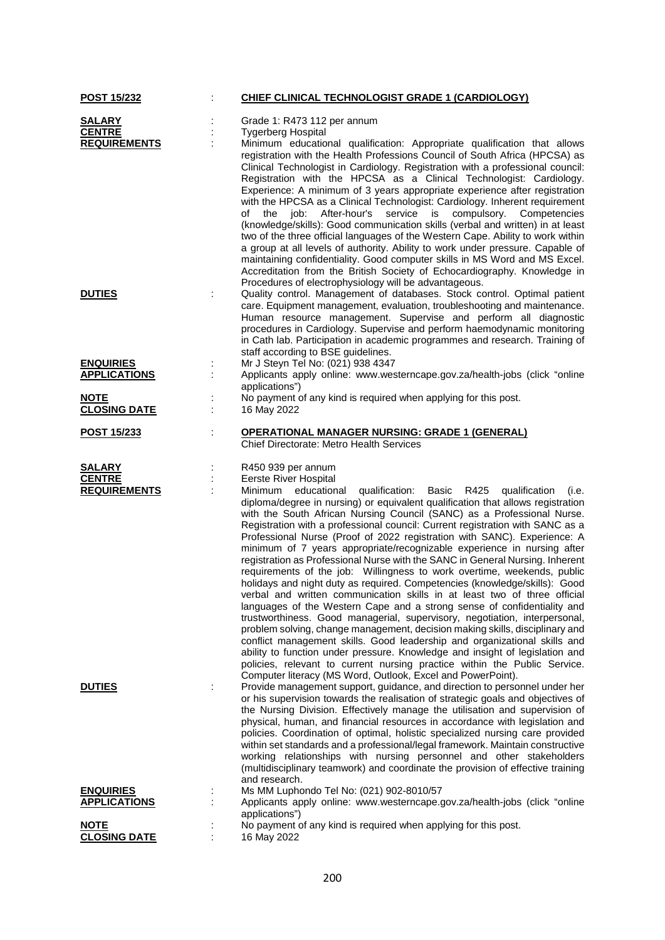| POST 15/232                             |   | CHIEF CLINICAL TECHNOLOGIST GRADE 1 (CARDIOLOGY)                                                                                                                  |
|-----------------------------------------|---|-------------------------------------------------------------------------------------------------------------------------------------------------------------------|
| <b>SALARY</b>                           |   | Grade 1: R473 112 per annum                                                                                                                                       |
| <b>CENTRE</b>                           |   | <b>Tygerberg Hospital</b>                                                                                                                                         |
| <b>REQUIREMENTS</b>                     |   | Minimum educational qualification: Appropriate qualification that allows<br>registration with the Health Professions Council of South Africa (HPCSA) as           |
|                                         |   | Clinical Technologist in Cardiology. Registration with a professional council:                                                                                    |
|                                         |   | Registration with the HPCSA as a Clinical Technologist: Cardiology.<br>Experience: A minimum of 3 years appropriate experience after registration                 |
|                                         |   | with the HPCSA as a Clinical Technologist: Cardiology. Inherent requirement<br>the job:<br>After-hour's<br>service<br>compulsory. Competencies<br>of<br>is        |
|                                         |   | (knowledge/skills): Good communication skills (verbal and written) in at least                                                                                    |
|                                         |   | two of the three official languages of the Western Cape. Ability to work within<br>a group at all levels of authority. Ability to work under pressure. Capable of |
|                                         |   | maintaining confidentiality. Good computer skills in MS Word and MS Excel.<br>Accreditation from the British Society of Echocardiography. Knowledge in            |
| <b>DUTIES</b>                           |   | Procedures of electrophysiology will be advantageous.<br>Quality control. Management of databases. Stock control. Optimal patient                                 |
|                                         |   | care. Equipment management, evaluation, troubleshooting and maintenance.<br>Human resource management. Supervise and perform all diagnostic                       |
|                                         |   | procedures in Cardiology. Supervise and perform haemodynamic monitoring<br>in Cath lab. Participation in academic programmes and research. Training of            |
|                                         |   | staff according to BSE guidelines.                                                                                                                                |
| <b>ENQUIRIES</b><br><b>APPLICATIONS</b> |   | Mr J Steyn Tel No: (021) 938 4347<br>Applicants apply online: www.westerncape.gov.za/health-jobs (click "online                                                   |
| <b>NOTE</b>                             |   | applications")<br>No payment of any kind is required when applying for this post.                                                                                 |
| <b>CLOSING DATE</b>                     |   | 16 May 2022                                                                                                                                                       |
| <u>POST 15/233</u>                      | t | <b>OPERATIONAL MANAGER NURSING: GRADE 1 (GENERAL)</b><br><b>Chief Directorate: Metro Health Services</b>                                                          |
| <b>SALARY</b>                           |   | R450 939 per annum                                                                                                                                                |
| <b>CENTRE</b><br><b>REQUIREMENTS</b>    |   | Eerste River Hospital<br>Minimum<br>educational<br>qualification: Basic R425<br>qualification<br>(i.e.                                                            |
|                                         |   | diploma/degree in nursing) or equivalent qualification that allows registration<br>with the South African Nursing Council (SANC) as a Professional Nurse.         |
|                                         |   | Registration with a professional council: Current registration with SANC as a<br>Professional Nurse (Proof of 2022 registration with SANC). Experience: A         |
|                                         |   | minimum of 7 years appropriate/recognizable experience in nursing after<br>registration as Professional Nurse with the SANC in General Nursing. Inherent          |
|                                         |   | requirements of the job: Willingness to work overtime, weekends, public<br>holidays and night duty as required. Competencies (knowledge/skills): Good             |
|                                         |   | verbal and written communication skills in at least two of three official<br>languages of the Western Cape and a strong sense of confidentiality and              |
|                                         |   | trustworthiness. Good managerial, supervisory, negotiation, interpersonal,<br>problem solving, change management, decision making skills, disciplinary and        |
|                                         |   | conflict management skills. Good leadership and organizational skills and<br>ability to function under pressure. Knowledge and insight of legislation and         |
|                                         |   | policies, relevant to current nursing practice within the Public Service.<br>Computer literacy (MS Word, Outlook, Excel and PowerPoint).                          |
| <b>DUTIES</b>                           | ÷ | Provide management support, guidance, and direction to personnel under her                                                                                        |
|                                         |   | or his supervision towards the realisation of strategic goals and objectives of<br>the Nursing Division. Effectively manage the utilisation and supervision of    |
|                                         |   | physical, human, and financial resources in accordance with legislation and<br>policies. Coordination of optimal, holistic specialized nursing care provided      |
|                                         |   | within set standards and a professional/legal framework. Maintain constructive<br>working relationships with nursing personnel and other stakeholders             |
|                                         |   | (multidisciplinary teamwork) and coordinate the provision of effective training<br>and research.                                                                  |
| <b>ENQUIRIES</b><br><b>APPLICATIONS</b> |   | Ms MM Luphondo Tel No: (021) 902-8010/57<br>Applicants apply online: www.westerncape.gov.za/health-jobs (click "online                                            |
|                                         |   | applications")                                                                                                                                                    |
| <b>NOTE</b><br><b>CLOSING DATE</b>      |   | No payment of any kind is required when applying for this post.<br>16 May 2022                                                                                    |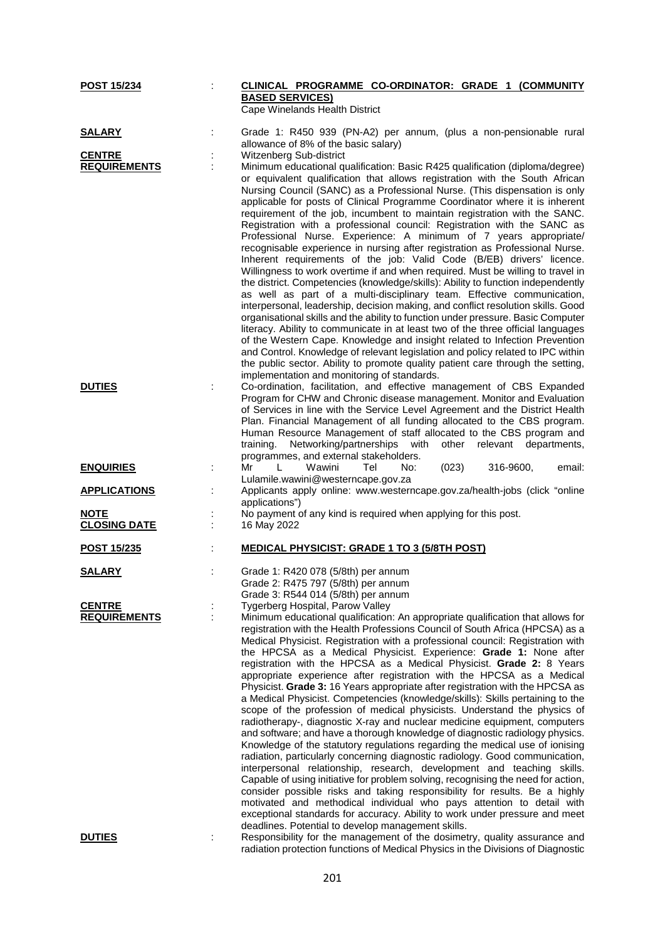| POST 15/234                          | CLINICAL PROGRAMME CO-ORDINATOR: GRADE 1 (COMMUNITY                                                                                                                                                                                                                                                                                                                                                                                                                                                                                                                                                                                                                                                                                                                                                                                                                                                                                                                                                                                                                                                                                                                                                                                                                                                                                                                                                                                                                                                                                                 |
|--------------------------------------|-----------------------------------------------------------------------------------------------------------------------------------------------------------------------------------------------------------------------------------------------------------------------------------------------------------------------------------------------------------------------------------------------------------------------------------------------------------------------------------------------------------------------------------------------------------------------------------------------------------------------------------------------------------------------------------------------------------------------------------------------------------------------------------------------------------------------------------------------------------------------------------------------------------------------------------------------------------------------------------------------------------------------------------------------------------------------------------------------------------------------------------------------------------------------------------------------------------------------------------------------------------------------------------------------------------------------------------------------------------------------------------------------------------------------------------------------------------------------------------------------------------------------------------------------------|
|                                      | <b>BASED SERVICES)</b><br>Cape Winelands Health District                                                                                                                                                                                                                                                                                                                                                                                                                                                                                                                                                                                                                                                                                                                                                                                                                                                                                                                                                                                                                                                                                                                                                                                                                                                                                                                                                                                                                                                                                            |
| <b>SALARY</b>                        | Grade 1: R450 939 (PN-A2) per annum, (plus a non-pensionable rural                                                                                                                                                                                                                                                                                                                                                                                                                                                                                                                                                                                                                                                                                                                                                                                                                                                                                                                                                                                                                                                                                                                                                                                                                                                                                                                                                                                                                                                                                  |
| <b>CENTRE</b>                        | allowance of 8% of the basic salary)<br>Witzenberg Sub-district                                                                                                                                                                                                                                                                                                                                                                                                                                                                                                                                                                                                                                                                                                                                                                                                                                                                                                                                                                                                                                                                                                                                                                                                                                                                                                                                                                                                                                                                                     |
| <b>REQUIREMENTS</b>                  | Minimum educational qualification: Basic R425 qualification (diploma/degree)                                                                                                                                                                                                                                                                                                                                                                                                                                                                                                                                                                                                                                                                                                                                                                                                                                                                                                                                                                                                                                                                                                                                                                                                                                                                                                                                                                                                                                                                        |
|                                      | or equivalent qualification that allows registration with the South African<br>Nursing Council (SANC) as a Professional Nurse. (This dispensation is only<br>applicable for posts of Clinical Programme Coordinator where it is inherent<br>requirement of the job, incumbent to maintain registration with the SANC.<br>Registration with a professional council: Registration with the SANC as<br>Professional Nurse. Experience: A minimum of 7 years appropriate/<br>recognisable experience in nursing after registration as Professional Nurse.<br>Inherent requirements of the job: Valid Code (B/EB) drivers' licence.<br>Willingness to work overtime if and when required. Must be willing to travel in<br>the district. Competencies (knowledge/skills): Ability to function independently<br>as well as part of a multi-disciplinary team. Effective communication,<br>interpersonal, leadership, decision making, and conflict resolution skills. Good<br>organisational skills and the ability to function under pressure. Basic Computer<br>literacy. Ability to communicate in at least two of the three official languages<br>of the Western Cape. Knowledge and insight related to Infection Prevention<br>and Control. Knowledge of relevant legislation and policy related to IPC within                                                                                                                                                                                                                                        |
|                                      | the public sector. Ability to promote quality patient care through the setting,<br>implementation and monitoring of standards.                                                                                                                                                                                                                                                                                                                                                                                                                                                                                                                                                                                                                                                                                                                                                                                                                                                                                                                                                                                                                                                                                                                                                                                                                                                                                                                                                                                                                      |
| <b>DUTIES</b>                        | Co-ordination, facilitation, and effective management of CBS Expanded<br>Program for CHW and Chronic disease management. Monitor and Evaluation<br>of Services in line with the Service Level Agreement and the District Health<br>Plan. Financial Management of all funding allocated to the CBS program.<br>Human Resource Management of staff allocated to the CBS program and<br>Networking/partnerships with<br>training.<br>other<br>relevant<br>departments,<br>programmes, and external stakeholders.                                                                                                                                                                                                                                                                                                                                                                                                                                                                                                                                                                                                                                                                                                                                                                                                                                                                                                                                                                                                                                       |
| <b>ENQUIRIES</b>                     | Mr<br>Wawini<br>Tel<br>No:<br>(023)<br>316-9600,<br>email:<br>L<br>Lulamile.wawini@westerncape.gov.za                                                                                                                                                                                                                                                                                                                                                                                                                                                                                                                                                                                                                                                                                                                                                                                                                                                                                                                                                                                                                                                                                                                                                                                                                                                                                                                                                                                                                                               |
| <b>APPLICATIONS</b>                  | Applicants apply online: www.westerncape.gov.za/health-jobs (click "online<br>applications")                                                                                                                                                                                                                                                                                                                                                                                                                                                                                                                                                                                                                                                                                                                                                                                                                                                                                                                                                                                                                                                                                                                                                                                                                                                                                                                                                                                                                                                        |
| <b>NOTE</b><br><b>CLOSING DATE</b>   | No payment of any kind is required when applying for this post.<br>16 May 2022                                                                                                                                                                                                                                                                                                                                                                                                                                                                                                                                                                                                                                                                                                                                                                                                                                                                                                                                                                                                                                                                                                                                                                                                                                                                                                                                                                                                                                                                      |
| <b>POST 15/235</b>                   | <b>MEDICAL PHYSICIST: GRADE 1 TO 3 (5/8TH POST)</b>                                                                                                                                                                                                                                                                                                                                                                                                                                                                                                                                                                                                                                                                                                                                                                                                                                                                                                                                                                                                                                                                                                                                                                                                                                                                                                                                                                                                                                                                                                 |
| <b>SALARY</b>                        | Grade 1: R420 078 (5/8th) per annum<br>Grade 2: R475 797 (5/8th) per annum<br>Grade 3: R544 014 (5/8th) per annum                                                                                                                                                                                                                                                                                                                                                                                                                                                                                                                                                                                                                                                                                                                                                                                                                                                                                                                                                                                                                                                                                                                                                                                                                                                                                                                                                                                                                                   |
| <b>CENTRE</b><br><b>REQUIREMENTS</b> | Tygerberg Hospital, Parow Valley<br>Minimum educational qualification: An appropriate qualification that allows for<br>registration with the Health Professions Council of South Africa (HPCSA) as a<br>Medical Physicist. Registration with a professional council: Registration with<br>the HPCSA as a Medical Physicist. Experience: Grade 1: None after<br>registration with the HPCSA as a Medical Physicist. Grade 2: 8 Years<br>appropriate experience after registration with the HPCSA as a Medical<br>Physicist. Grade 3: 16 Years appropriate after registration with the HPCSA as<br>a Medical Physicist. Competencies (knowledge/skills): Skills pertaining to the<br>scope of the profession of medical physicists. Understand the physics of<br>radiotherapy-, diagnostic X-ray and nuclear medicine equipment, computers<br>and software; and have a thorough knowledge of diagnostic radiology physics.<br>Knowledge of the statutory regulations regarding the medical use of ionising<br>radiation, particularly concerning diagnostic radiology. Good communication,<br>interpersonal relationship, research, development and teaching skills.<br>Capable of using initiative for problem solving, recognising the need for action,<br>consider possible risks and taking responsibility for results. Be a highly<br>motivated and methodical individual who pays attention to detail with<br>exceptional standards for accuracy. Ability to work under pressure and meet<br>deadlines. Potential to develop management skills. |
| <b>DUTIES</b>                        | Responsibility for the management of the dosimetry, quality assurance and<br>radiation protection functions of Medical Physics in the Divisions of Diagnostic                                                                                                                                                                                                                                                                                                                                                                                                                                                                                                                                                                                                                                                                                                                                                                                                                                                                                                                                                                                                                                                                                                                                                                                                                                                                                                                                                                                       |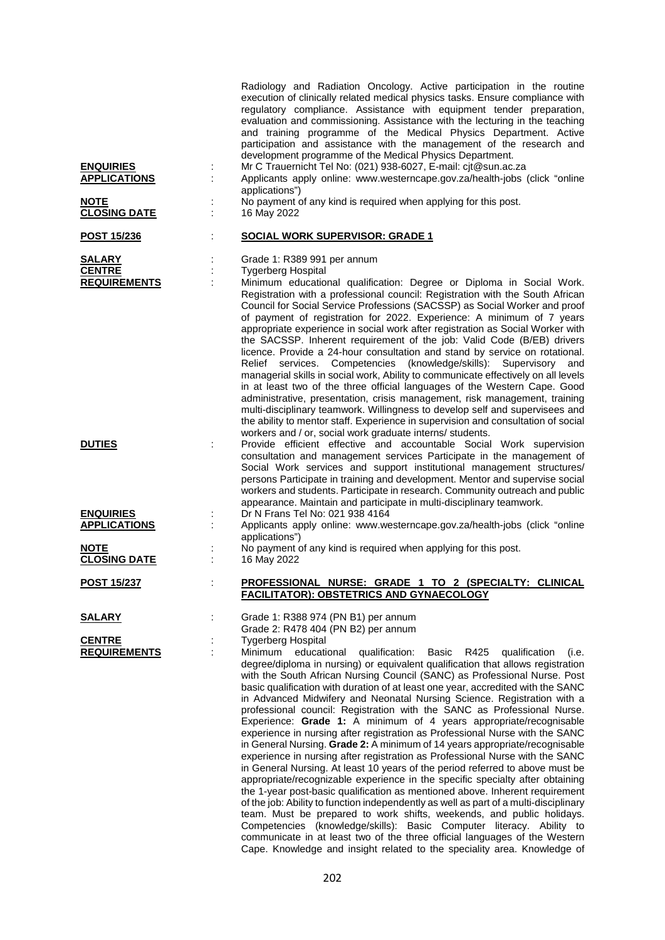| <b>ENQUIRIES</b><br><b>APPLICATIONS</b><br><b>NOTE</b> | Radiology and Radiation Oncology. Active participation in the routine<br>execution of clinically related medical physics tasks. Ensure compliance with<br>regulatory compliance. Assistance with equipment tender preparation,<br>evaluation and commissioning. Assistance with the lecturing in the teaching<br>and training programme of the Medical Physics Department. Active<br>participation and assistance with the management of the research and<br>development programme of the Medical Physics Department.<br>Mr C Trauernicht Tel No: (021) 938-6027, E-mail: cjt@sun.ac.za<br>Applicants apply online: www.westerncape.gov.za/health-jobs (click "online<br>applications")<br>No payment of any kind is required when applying for this post.                                                                                                                                                                                                                                                                                                                                                                                                                                                                                                                                                                                                                                                                                                                                            |
|--------------------------------------------------------|-------------------------------------------------------------------------------------------------------------------------------------------------------------------------------------------------------------------------------------------------------------------------------------------------------------------------------------------------------------------------------------------------------------------------------------------------------------------------------------------------------------------------------------------------------------------------------------------------------------------------------------------------------------------------------------------------------------------------------------------------------------------------------------------------------------------------------------------------------------------------------------------------------------------------------------------------------------------------------------------------------------------------------------------------------------------------------------------------------------------------------------------------------------------------------------------------------------------------------------------------------------------------------------------------------------------------------------------------------------------------------------------------------------------------------------------------------------------------------------------------------|
| <b>CLOSING DATE</b><br>POST 15/236                     | 16 May 2022<br><b>SOCIAL WORK SUPERVISOR: GRADE 1</b>                                                                                                                                                                                                                                                                                                                                                                                                                                                                                                                                                                                                                                                                                                                                                                                                                                                                                                                                                                                                                                                                                                                                                                                                                                                                                                                                                                                                                                                 |
| <b>SALARY</b><br><b>CENTRE</b><br><b>REQUIREMENTS</b>  | Grade 1: R389 991 per annum<br><b>Tygerberg Hospital</b><br>Minimum educational qualification: Degree or Diploma in Social Work.<br>Registration with a professional council: Registration with the South African<br>Council for Social Service Professions (SACSSP) as Social Worker and proof<br>of payment of registration for 2022. Experience: A minimum of 7 years<br>appropriate experience in social work after registration as Social Worker with<br>the SACSSP. Inherent requirement of the job: Valid Code (B/EB) drivers<br>licence. Provide a 24-hour consultation and stand by service on rotational.<br>services. Competencies (knowledge/skills): Supervisory<br>Relief<br>and<br>managerial skills in social work, Ability to communicate effectively on all levels<br>in at least two of the three official languages of the Western Cape. Good<br>administrative, presentation, crisis management, risk management, training<br>multi-disciplinary teamwork. Willingness to develop self and supervisees and<br>the ability to mentor staff. Experience in supervision and consultation of social                                                                                                                                                                                                                                                                                                                                                                                  |
| <b>DUTIES</b>                                          | workers and / or, social work graduate interns/ students.<br>Provide efficient effective and accountable Social Work supervision<br>consultation and management services Participate in the management of<br>Social Work services and support institutional management structures/<br>persons Participate in training and development. Mentor and supervise social<br>workers and students. Participate in research. Community outreach and public<br>appearance. Maintain and participate in multi-disciplinary teamwork.                                                                                                                                                                                                                                                                                                                                                                                                                                                                                                                                                                                                                                                                                                                                                                                                                                                                                                                                                                            |
| <b>ENQUIRIES</b><br><b>APPLICATIONS</b>                | Dr N Frans Tel No: 021 938 4164<br>Applicants apply online: www.westerncape.gov.za/health-jobs (click "online<br>applications")                                                                                                                                                                                                                                                                                                                                                                                                                                                                                                                                                                                                                                                                                                                                                                                                                                                                                                                                                                                                                                                                                                                                                                                                                                                                                                                                                                       |
| <b>NOTE</b><br><b>CLOSING DATE</b>                     | No payment of any kind is required when applying for this post.<br>16 May 2022                                                                                                                                                                                                                                                                                                                                                                                                                                                                                                                                                                                                                                                                                                                                                                                                                                                                                                                                                                                                                                                                                                                                                                                                                                                                                                                                                                                                                        |
| <b>POST 15/237</b>                                     | PROFESSIONAL NURSE: GRADE 1 TO 2 (SPECIALTY: CLINICAL<br><b>FACILITATOR): OBSTETRICS AND GYNAECOLOGY</b>                                                                                                                                                                                                                                                                                                                                                                                                                                                                                                                                                                                                                                                                                                                                                                                                                                                                                                                                                                                                                                                                                                                                                                                                                                                                                                                                                                                              |
| <u>SALARY</u>                                          | Grade 1: R388 974 (PN B1) per annum<br>Grade 2: R478 404 (PN B2) per annum                                                                                                                                                                                                                                                                                                                                                                                                                                                                                                                                                                                                                                                                                                                                                                                                                                                                                                                                                                                                                                                                                                                                                                                                                                                                                                                                                                                                                            |
| <b>CENTRE</b><br><b>REQUIREMENTS</b>                   | <b>Tygerberg Hospital</b><br>Minimum<br>educational<br>qualification:<br>R425<br>Basic<br>qualification<br>(i.e.<br>degree/diploma in nursing) or equivalent qualification that allows registration<br>with the South African Nursing Council (SANC) as Professional Nurse. Post<br>basic qualification with duration of at least one year, accredited with the SANC<br>in Advanced Midwifery and Neonatal Nursing Science. Registration with a<br>professional council: Registration with the SANC as Professional Nurse.<br>Experience: Grade 1: A minimum of 4 years appropriate/recognisable<br>experience in nursing after registration as Professional Nurse with the SANC<br>in General Nursing. Grade 2: A minimum of 14 years appropriate/recognisable<br>experience in nursing after registration as Professional Nurse with the SANC<br>in General Nursing. At least 10 years of the period referred to above must be<br>appropriate/recognizable experience in the specific specialty after obtaining<br>the 1-year post-basic qualification as mentioned above. Inherent requirement<br>of the job: Ability to function independently as well as part of a multi-disciplinary<br>team. Must be prepared to work shifts, weekends, and public holidays.<br>Competencies (knowledge/skills): Basic Computer literacy. Ability to<br>communicate in at least two of the three official languages of the Western<br>Cape. Knowledge and insight related to the speciality area. Knowledge of |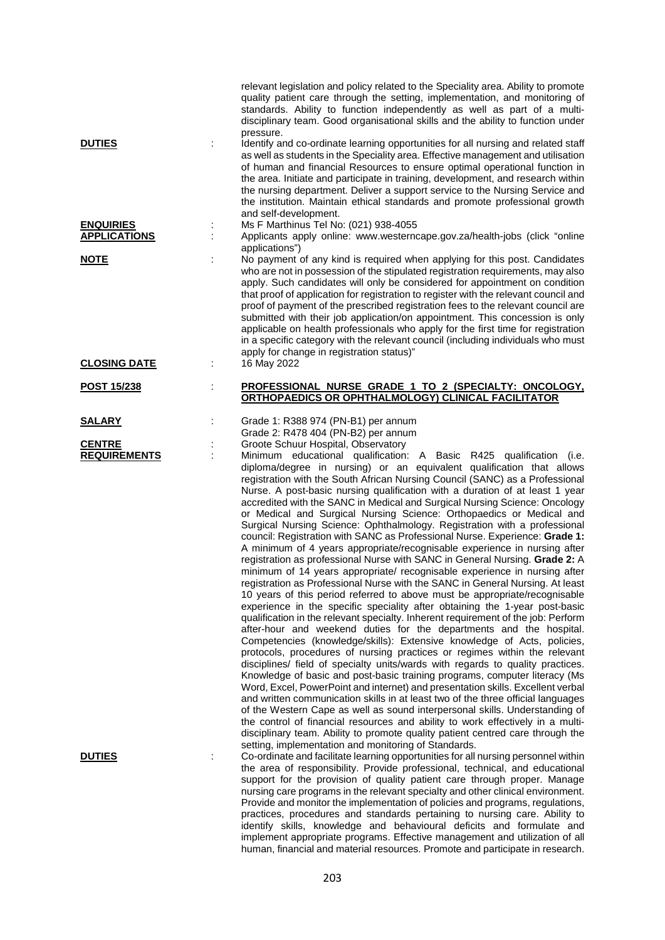| <b>DUTIES</b>                           | relevant legislation and policy related to the Speciality area. Ability to promote<br>quality patient care through the setting, implementation, and monitoring of<br>standards. Ability to function independently as well as part of a multi-<br>disciplinary team. Good organisational skills and the ability to function under<br>pressure.<br>Identify and co-ordinate learning opportunities for all nursing and related staff<br>as well as students in the Speciality area. Effective management and utilisation<br>of human and financial Resources to ensure optimal operational function in<br>the area. Initiate and participate in training, development, and research within<br>the nursing department. Deliver a support service to the Nursing Service and<br>the institution. Maintain ethical standards and promote professional growth<br>and self-development.                                                                                                                                                                                                                                                                                                                                                                                                                                                                                                                                                                                                                                                                                                                                                                                                                                                                                                                                                                                                                                                                                                                                                                                           |
|-----------------------------------------|----------------------------------------------------------------------------------------------------------------------------------------------------------------------------------------------------------------------------------------------------------------------------------------------------------------------------------------------------------------------------------------------------------------------------------------------------------------------------------------------------------------------------------------------------------------------------------------------------------------------------------------------------------------------------------------------------------------------------------------------------------------------------------------------------------------------------------------------------------------------------------------------------------------------------------------------------------------------------------------------------------------------------------------------------------------------------------------------------------------------------------------------------------------------------------------------------------------------------------------------------------------------------------------------------------------------------------------------------------------------------------------------------------------------------------------------------------------------------------------------------------------------------------------------------------------------------------------------------------------------------------------------------------------------------------------------------------------------------------------------------------------------------------------------------------------------------------------------------------------------------------------------------------------------------------------------------------------------------------------------------------------------------------------------------------------------------|
| <b>ENQUIRIES</b><br><b>APPLICATIONS</b> | Ms F Marthinus Tel No: (021) 938-4055<br>Applicants apply online: www.westerncape.gov.za/health-jobs (click "online                                                                                                                                                                                                                                                                                                                                                                                                                                                                                                                                                                                                                                                                                                                                                                                                                                                                                                                                                                                                                                                                                                                                                                                                                                                                                                                                                                                                                                                                                                                                                                                                                                                                                                                                                                                                                                                                                                                                                        |
| <b>NOTE</b>                             | applications")<br>No payment of any kind is required when applying for this post. Candidates<br>who are not in possession of the stipulated registration requirements, may also<br>apply. Such candidates will only be considered for appointment on condition<br>that proof of application for registration to register with the relevant council and<br>proof of payment of the prescribed registration fees to the relevant council are<br>submitted with their job application/on appointment. This concession is only<br>applicable on health professionals who apply for the first time for registration<br>in a specific category with the relevant council (including individuals who must<br>apply for change in registration status)"                                                                                                                                                                                                                                                                                                                                                                                                                                                                                                                                                                                                                                                                                                                                                                                                                                                                                                                                                                                                                                                                                                                                                                                                                                                                                                                            |
| <b>CLOSING DATE</b>                     | 16 May 2022                                                                                                                                                                                                                                                                                                                                                                                                                                                                                                                                                                                                                                                                                                                                                                                                                                                                                                                                                                                                                                                                                                                                                                                                                                                                                                                                                                                                                                                                                                                                                                                                                                                                                                                                                                                                                                                                                                                                                                                                                                                                |
| <b>POST 15/238</b>                      | PROFESSIONAL NURSE GRADE 1 TO 2 (SPECIALTY: ONCOLOGY,<br>ORTHOPAEDICS OR OPHTHALMOLOGY) CLINICAL FACILITATOR                                                                                                                                                                                                                                                                                                                                                                                                                                                                                                                                                                                                                                                                                                                                                                                                                                                                                                                                                                                                                                                                                                                                                                                                                                                                                                                                                                                                                                                                                                                                                                                                                                                                                                                                                                                                                                                                                                                                                               |
| <u>SALARY</u>                           | Grade 1: R388 974 (PN-B1) per annum<br>Grade 2: R478 404 (PN-B2) per annum                                                                                                                                                                                                                                                                                                                                                                                                                                                                                                                                                                                                                                                                                                                                                                                                                                                                                                                                                                                                                                                                                                                                                                                                                                                                                                                                                                                                                                                                                                                                                                                                                                                                                                                                                                                                                                                                                                                                                                                                 |
| <b>CENTRE</b><br><b>REQUIREMENTS</b>    | Groote Schuur Hospital, Observatory<br>Minimum educational qualification: A Basic R425 qualification (i.e.<br>diploma/degree in nursing) or an equivalent qualification that allows<br>registration with the South African Nursing Council (SANC) as a Professional<br>Nurse. A post-basic nursing qualification with a duration of at least 1 year<br>accredited with the SANC in Medical and Surgical Nursing Science: Oncology<br>or Medical and Surgical Nursing Science: Orthopaedics or Medical and<br>Surgical Nursing Science: Ophthalmology. Registration with a professional<br>council: Registration with SANC as Professional Nurse. Experience: Grade 1:<br>A minimum of 4 years appropriate/recognisable experience in nursing after<br>registration as professional Nurse with SANC in General Nursing. Grade 2: A<br>minimum of 14 years appropriate/ recognisable experience in nursing after<br>registration as Professional Nurse with the SANC in General Nursing. At least<br>10 years of this period referred to above must be appropriate/recognisable<br>experience in the specific speciality after obtaining the 1-year post-basic<br>qualification in the relevant specialty. Inherent requirement of the job: Perform<br>after-hour and weekend duties for the departments and the hospital.<br>Competencies (knowledge/skills): Extensive knowledge of Acts, policies,<br>protocols, procedures of nursing practices or regimes within the relevant<br>disciplines/ field of specialty units/wards with regards to quality practices.<br>Knowledge of basic and post-basic training programs, computer literacy (Ms<br>Word, Excel, PowerPoint and internet) and presentation skills. Excellent verbal<br>and written communication skills in at least two of the three official languages<br>of the Western Cape as well as sound interpersonal skills. Understanding of<br>the control of financial resources and ability to work effectively in a multi-<br>disciplinary team. Ability to promote quality patient centred care through the |
| <b>DUTIES</b>                           | setting, implementation and monitoring of Standards.<br>Co-ordinate and facilitate learning opportunities for all nursing personnel within<br>the area of responsibility. Provide professional, technical, and educational<br>support for the provision of quality patient care through proper. Manage<br>nursing care programs in the relevant specialty and other clinical environment.<br>Provide and monitor the implementation of policies and programs, regulations,<br>practices, procedures and standards pertaining to nursing care. Ability to<br>identify skills, knowledge and behavioural deficits and formulate and<br>implement appropriate programs. Effective management and utilization of all<br>human, financial and material resources. Promote and participate in research.                                                                                                                                                                                                                                                                                                                                                                                                                                                                                                                                                                                                                                                                                                                                                                                                                                                                                                                                                                                                                                                                                                                                                                                                                                                                          |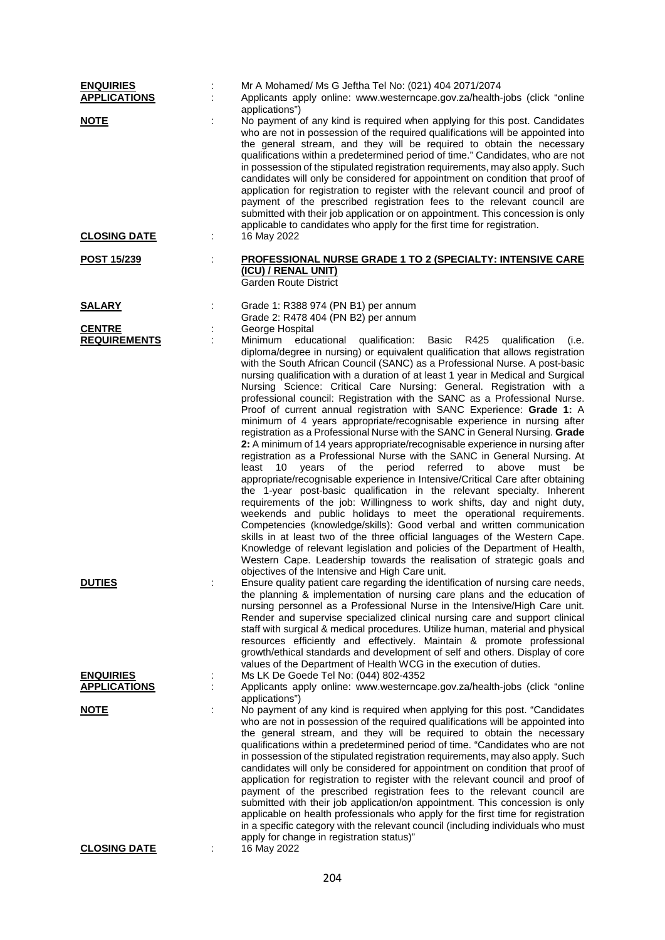| <b>ENQUIRIES</b><br><b>APPLICATIONS</b><br><b>NOTE</b> | Mr A Mohamed/ Ms G Jeftha Tel No: (021) 404 2071/2074<br>Applicants apply online: www.westerncape.gov.za/health-jobs (click "online<br>applications")<br>No payment of any kind is required when applying for this post. Candidates                                                                                                                                                                                                                                                                                                                                                                                                                                                                                                                                                                                                                                                                                                                                                                                                                                                                                                                                                                                                                                                                                                                                                                                                                                                                                                                                                                                                                                                  |
|--------------------------------------------------------|--------------------------------------------------------------------------------------------------------------------------------------------------------------------------------------------------------------------------------------------------------------------------------------------------------------------------------------------------------------------------------------------------------------------------------------------------------------------------------------------------------------------------------------------------------------------------------------------------------------------------------------------------------------------------------------------------------------------------------------------------------------------------------------------------------------------------------------------------------------------------------------------------------------------------------------------------------------------------------------------------------------------------------------------------------------------------------------------------------------------------------------------------------------------------------------------------------------------------------------------------------------------------------------------------------------------------------------------------------------------------------------------------------------------------------------------------------------------------------------------------------------------------------------------------------------------------------------------------------------------------------------------------------------------------------------|
|                                                        | who are not in possession of the required qualifications will be appointed into<br>the general stream, and they will be required to obtain the necessary<br>qualifications within a predetermined period of time." Candidates, who are not<br>in possession of the stipulated registration requirements, may also apply. Such<br>candidates will only be considered for appointment on condition that proof of<br>application for registration to register with the relevant council and proof of<br>payment of the prescribed registration fees to the relevant council are<br>submitted with their job application or on appointment. This concession is only<br>applicable to candidates who apply for the first time for registration.                                                                                                                                                                                                                                                                                                                                                                                                                                                                                                                                                                                                                                                                                                                                                                                                                                                                                                                                           |
| <b>CLOSING DATE</b>                                    | 16 May 2022                                                                                                                                                                                                                                                                                                                                                                                                                                                                                                                                                                                                                                                                                                                                                                                                                                                                                                                                                                                                                                                                                                                                                                                                                                                                                                                                                                                                                                                                                                                                                                                                                                                                          |
| <u>POST 15/239</u>                                     | <b>PROFESSIONAL NURSE GRADE 1 TO 2 (SPECIALTY: INTENSIVE CARE</b><br>(ICU) / RENAL UNIT)<br><b>Garden Route District</b>                                                                                                                                                                                                                                                                                                                                                                                                                                                                                                                                                                                                                                                                                                                                                                                                                                                                                                                                                                                                                                                                                                                                                                                                                                                                                                                                                                                                                                                                                                                                                             |
| <b>SALARY</b>                                          | Grade 1: R388 974 (PN B1) per annum<br>Grade 2: R478 404 (PN B2) per annum                                                                                                                                                                                                                                                                                                                                                                                                                                                                                                                                                                                                                                                                                                                                                                                                                                                                                                                                                                                                                                                                                                                                                                                                                                                                                                                                                                                                                                                                                                                                                                                                           |
| <b>CENTRE</b><br><b>REQUIREMENTS</b>                   | George Hospital<br>educational qualification:<br>Basic<br>R425<br>Minimum<br>qualification<br>(i.e.<br>diploma/degree in nursing) or equivalent qualification that allows registration<br>with the South African Council (SANC) as a Professional Nurse. A post-basic<br>nursing qualification with a duration of at least 1 year in Medical and Surgical<br>Nursing Science: Critical Care Nursing: General. Registration with a<br>professional council: Registration with the SANC as a Professional Nurse.<br>Proof of current annual registration with SANC Experience: Grade 1: A<br>minimum of 4 years appropriate/recognisable experience in nursing after<br>registration as a Professional Nurse with the SANC in General Nursing. Grade<br>2: A minimum of 14 years appropriate/recognisable experience in nursing after<br>registration as a Professional Nurse with the SANC in General Nursing. At<br>10<br>years of the<br>period<br>referred to<br>above<br>must<br>least<br>be<br>appropriate/recognisable experience in Intensive/Critical Care after obtaining<br>the 1-year post-basic qualification in the relevant specialty. Inherent<br>requirements of the job: Willingness to work shifts, day and night duty,<br>weekends and public holidays to meet the operational requirements.<br>Competencies (knowledge/skills): Good verbal and written communication<br>skills in at least two of the three official languages of the Western Cape.<br>Knowledge of relevant legislation and policies of the Department of Health,<br>Western Cape. Leadership towards the realisation of strategic goals and<br>objectives of the Intensive and High Care unit. |
| <b>DUTIES</b>                                          | Ensure quality patient care regarding the identification of nursing care needs,<br>the planning & implementation of nursing care plans and the education of<br>nursing personnel as a Professional Nurse in the Intensive/High Care unit.<br>Render and supervise specialized clinical nursing care and support clinical<br>staff with surgical & medical procedures. Utilize human, material and physical<br>resources efficiently and effectively. Maintain & promote professional<br>growth/ethical standards and development of self and others. Display of core<br>values of the Department of Health WCG in the execution of duties.                                                                                                                                                                                                                                                                                                                                                                                                                                                                                                                                                                                                                                                                                                                                                                                                                                                                                                                                                                                                                                           |
| <b>ENQUIRIES</b><br><b>APPLICATIONS</b>                | Ms LK De Goede Tel No: (044) 802-4352<br>Applicants apply online: www.westerncape.gov.za/health-jobs (click "online                                                                                                                                                                                                                                                                                                                                                                                                                                                                                                                                                                                                                                                                                                                                                                                                                                                                                                                                                                                                                                                                                                                                                                                                                                                                                                                                                                                                                                                                                                                                                                  |
| <b>NOTE</b>                                            | applications")<br>No payment of any kind is required when applying for this post. "Candidates<br>who are not in possession of the required qualifications will be appointed into<br>the general stream, and they will be required to obtain the necessary<br>qualifications within a predetermined period of time. "Candidates who are not<br>in possession of the stipulated registration requirements, may also apply. Such<br>candidates will only be considered for appointment on condition that proof of<br>application for registration to register with the relevant council and proof of<br>payment of the prescribed registration fees to the relevant council are<br>submitted with their job application/on appointment. This concession is only<br>applicable on health professionals who apply for the first time for registration<br>in a specific category with the relevant council (including individuals who must<br>apply for change in registration status)"                                                                                                                                                                                                                                                                                                                                                                                                                                                                                                                                                                                                                                                                                                    |
| <b>CLOSING DATE</b>                                    | 16 May 2022                                                                                                                                                                                                                                                                                                                                                                                                                                                                                                                                                                                                                                                                                                                                                                                                                                                                                                                                                                                                                                                                                                                                                                                                                                                                                                                                                                                                                                                                                                                                                                                                                                                                          |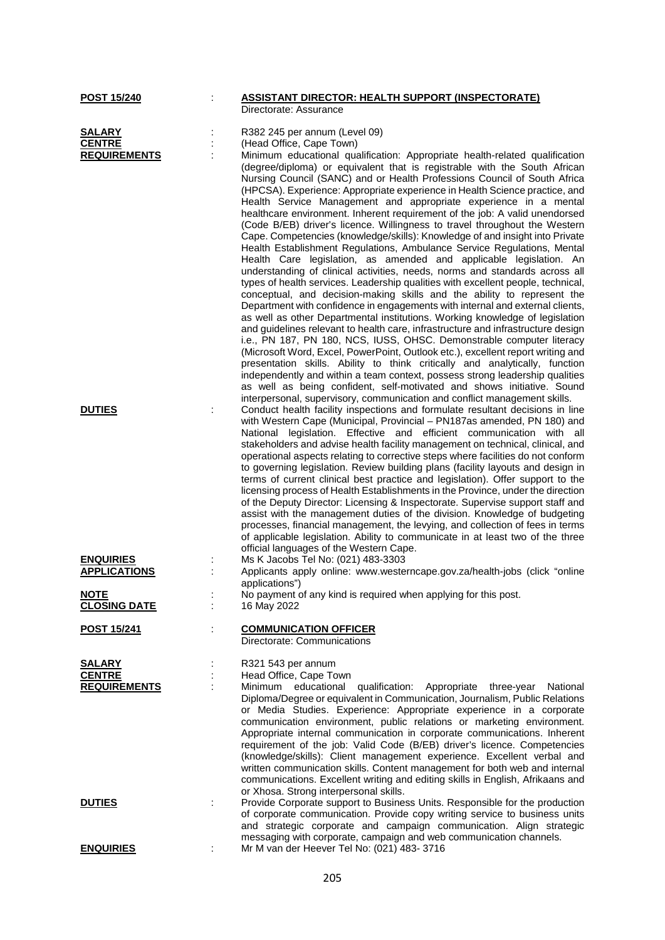|                                                                             | Directorate: Assurance                                                                                                                                                                                                                                                                                                                                                                                                                                                                                                                                                                                                                                                                                                                                                                                                                                                                                                                                                                                                                                                                                                                                                                                                                                                                                                                                                                                                                                                                                                                                                                                                                                       |
|-----------------------------------------------------------------------------|--------------------------------------------------------------------------------------------------------------------------------------------------------------------------------------------------------------------------------------------------------------------------------------------------------------------------------------------------------------------------------------------------------------------------------------------------------------------------------------------------------------------------------------------------------------------------------------------------------------------------------------------------------------------------------------------------------------------------------------------------------------------------------------------------------------------------------------------------------------------------------------------------------------------------------------------------------------------------------------------------------------------------------------------------------------------------------------------------------------------------------------------------------------------------------------------------------------------------------------------------------------------------------------------------------------------------------------------------------------------------------------------------------------------------------------------------------------------------------------------------------------------------------------------------------------------------------------------------------------------------------------------------------------|
| <u>POST 15/240</u><br><b>SALARY</b><br><b>CENTRE</b><br><b>REQUIREMENTS</b> | <b>ASSISTANT DIRECTOR: HEALTH SUPPORT (INSPECTORATE)</b><br>R382 245 per annum (Level 09)<br>(Head Office, Cape Town)<br>Minimum educational qualification: Appropriate health-related qualification<br>(degree/diploma) or equivalent that is registrable with the South African<br>Nursing Council (SANC) and or Health Professions Council of South Africa<br>(HPCSA). Experience: Appropriate experience in Health Science practice, and<br>Health Service Management and appropriate experience in a mental<br>healthcare environment. Inherent requirement of the job: A valid unendorsed<br>(Code B/EB) driver's licence. Willingness to travel throughout the Western<br>Cape. Competencies (knowledge/skills): Knowledge of and insight into Private<br>Health Establishment Regulations, Ambulance Service Regulations, Mental<br>Health Care legislation, as amended and applicable legislation. An<br>understanding of clinical activities, needs, norms and standards across all<br>types of health services. Leadership qualities with excellent people, technical,<br>conceptual, and decision-making skills and the ability to represent the<br>Department with confidence in engagements with internal and external clients,<br>as well as other Departmental institutions. Working knowledge of legislation<br>and guidelines relevant to health care, infrastructure and infrastructure design<br>i.e., PN 187, PN 180, NCS, IUSS, OHSC. Demonstrable computer literacy<br>(Microsoft Word, Excel, PowerPoint, Outlook etc.), excellent report writing and<br>presentation skills. Ability to think critically and analytically, function |
| <b>DUTIES</b><br><b>ENQUIRIES</b><br><b>APPLICATIONS</b>                    | independently and within a team context, possess strong leadership qualities<br>as well as being confident, self-motivated and shows initiative. Sound<br>interpersonal, supervisory, communication and conflict management skills.<br>Conduct health facility inspections and formulate resultant decisions in line<br>with Western Cape (Municipal, Provincial - PN187as amended, PN 180) and<br>National legislation. Effective and efficient communication with all<br>stakeholders and advise health facility management on technical, clinical, and<br>operational aspects relating to corrective steps where facilities do not conform<br>to governing legislation. Review building plans (facility layouts and design in<br>terms of current clinical best practice and legislation). Offer support to the<br>licensing process of Health Establishments in the Province, under the direction<br>of the Deputy Director: Licensing & Inspectorate. Supervise support staff and<br>assist with the management duties of the division. Knowledge of budgeting<br>processes, financial management, the levying, and collection of fees in terms<br>of applicable legislation. Ability to communicate in at least two of the three<br>official languages of the Western Cape.<br>Ms K Jacobs Tel No: (021) 483-3303<br>Applicants apply online: www.westerncape.gov.za/health-jobs (click "online                                                                                                                                                                                                                                                        |
| <b>NOTE</b><br><b>CLOSING DATE</b>                                          | applications")<br>No payment of any kind is required when applying for this post.<br>16 May 2022                                                                                                                                                                                                                                                                                                                                                                                                                                                                                                                                                                                                                                                                                                                                                                                                                                                                                                                                                                                                                                                                                                                                                                                                                                                                                                                                                                                                                                                                                                                                                             |
| <b>POST 15/241</b>                                                          | <b>COMMUNICATION OFFICER</b><br>Directorate: Communications                                                                                                                                                                                                                                                                                                                                                                                                                                                                                                                                                                                                                                                                                                                                                                                                                                                                                                                                                                                                                                                                                                                                                                                                                                                                                                                                                                                                                                                                                                                                                                                                  |
| <b>SALARY</b><br><b>CENTRE</b><br><b>REQUIREMENTS</b>                       | R321 543 per annum<br>Head Office, Cape Town<br>Minimum educational<br>qualification: Appropriate three-year National<br>Diploma/Degree or equivalent in Communication, Journalism, Public Relations<br>or Media Studies. Experience: Appropriate experience in a corporate<br>communication environment, public relations or marketing environment.<br>Appropriate internal communication in corporate communications. Inherent<br>requirement of the job: Valid Code (B/EB) driver's licence. Competencies<br>(knowledge/skills): Client management experience. Excellent verbal and<br>written communication skills. Content management for both web and internal<br>communications. Excellent writing and editing skills in English, Afrikaans and<br>or Xhosa. Strong interpersonal skills.                                                                                                                                                                                                                                                                                                                                                                                                                                                                                                                                                                                                                                                                                                                                                                                                                                                             |
| <b>DUTIES</b>                                                               | Provide Corporate support to Business Units. Responsible for the production<br>of corporate communication. Provide copy writing service to business units<br>and strategic corporate and campaign communication. Align strategic<br>messaging with corporate, campaign and web communication channels.                                                                                                                                                                                                                                                                                                                                                                                                                                                                                                                                                                                                                                                                                                                                                                                                                                                                                                                                                                                                                                                                                                                                                                                                                                                                                                                                                       |
| <b>ENQUIRIES</b>                                                            | Mr M van der Heever Tel No: (021) 483- 3716                                                                                                                                                                                                                                                                                                                                                                                                                                                                                                                                                                                                                                                                                                                                                                                                                                                                                                                                                                                                                                                                                                                                                                                                                                                                                                                                                                                                                                                                                                                                                                                                                  |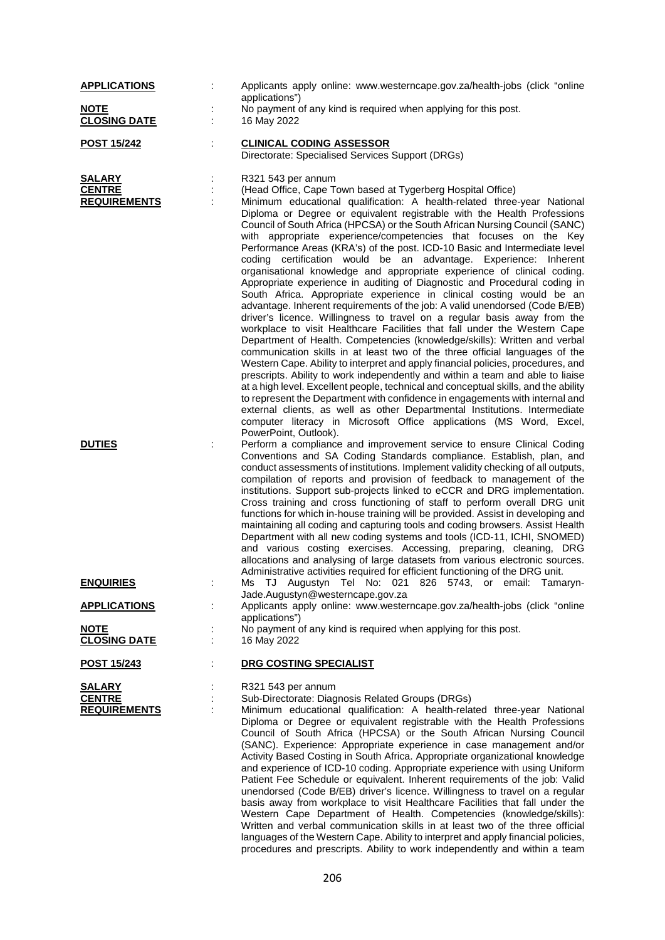| <b>APPLICATIONS</b>                                   | Applicants apply online: www.westerncape.gov.za/health-jobs (click "online                                                                                                                                                                                                                                                                                                                                                                                                                                                                                                                                                                                                                                                                                                                                                                                                                                                                                                                                                                                                                                                                                                                                                                                                                                                                                                                                                                                                                                                                                                                                                                                                                                  |
|-------------------------------------------------------|-------------------------------------------------------------------------------------------------------------------------------------------------------------------------------------------------------------------------------------------------------------------------------------------------------------------------------------------------------------------------------------------------------------------------------------------------------------------------------------------------------------------------------------------------------------------------------------------------------------------------------------------------------------------------------------------------------------------------------------------------------------------------------------------------------------------------------------------------------------------------------------------------------------------------------------------------------------------------------------------------------------------------------------------------------------------------------------------------------------------------------------------------------------------------------------------------------------------------------------------------------------------------------------------------------------------------------------------------------------------------------------------------------------------------------------------------------------------------------------------------------------------------------------------------------------------------------------------------------------------------------------------------------------------------------------------------------------|
| <b>NOTE</b><br><b>CLOSING DATE</b>                    | applications")<br>No payment of any kind is required when applying for this post.<br>16 May 2022                                                                                                                                                                                                                                                                                                                                                                                                                                                                                                                                                                                                                                                                                                                                                                                                                                                                                                                                                                                                                                                                                                                                                                                                                                                                                                                                                                                                                                                                                                                                                                                                            |
| <b>POST 15/242</b>                                    | <b>CLINICAL CODING ASSESSOR</b><br>Directorate: Specialised Services Support (DRGs)                                                                                                                                                                                                                                                                                                                                                                                                                                                                                                                                                                                                                                                                                                                                                                                                                                                                                                                                                                                                                                                                                                                                                                                                                                                                                                                                                                                                                                                                                                                                                                                                                         |
| <b>SALARY</b><br><b>CENTRE</b><br><b>REQUIREMENTS</b> | R321 543 per annum<br>(Head Office, Cape Town based at Tygerberg Hospital Office)<br>Minimum educational qualification: A health-related three-year National<br>Diploma or Degree or equivalent registrable with the Health Professions<br>Council of South Africa (HPCSA) or the South African Nursing Council (SANC)<br>with appropriate experience/competencies that focuses on the Key<br>Performance Areas (KRA's) of the post. ICD-10 Basic and Intermediate level<br>coding certification would be an advantage. Experience: Inherent<br>organisational knowledge and appropriate experience of clinical coding.<br>Appropriate experience in auditing of Diagnostic and Procedural coding in<br>South Africa. Appropriate experience in clinical costing would be an<br>advantage. Inherent requirements of the job: A valid unendorsed (Code B/EB)<br>driver's licence. Willingness to travel on a regular basis away from the<br>workplace to visit Healthcare Facilities that fall under the Western Cape<br>Department of Health. Competencies (knowledge/skills): Written and verbal<br>communication skills in at least two of the three official languages of the<br>Western Cape. Ability to interpret and apply financial policies, procedures, and<br>prescripts. Ability to work independently and within a team and able to liaise<br>at a high level. Excellent people, technical and conceptual skills, and the ability<br>to represent the Department with confidence in engagements with internal and<br>external clients, as well as other Departmental Institutions. Intermediate<br>computer literacy in Microsoft Office applications (MS Word, Excel,<br>PowerPoint, Outlook). |
| <b>DUTIES</b>                                         | Perform a compliance and improvement service to ensure Clinical Coding<br>Conventions and SA Coding Standards compliance. Establish, plan, and<br>conduct assessments of institutions. Implement validity checking of all outputs,<br>compilation of reports and provision of feedback to management of the<br>institutions. Support sub-projects linked to eCCR and DRG implementation.<br>Cross training and cross functioning of staff to perform overall DRG unit<br>functions for which in-house training will be provided. Assist in developing and<br>maintaining all coding and capturing tools and coding browsers. Assist Health<br>Department with all new coding systems and tools (ICD-11, ICHI, SNOMED)<br>and various costing exercises. Accessing, preparing, cleaning, DRG<br>allocations and analysing of large datasets from various electronic sources.<br>Administrative activities required for efficient functioning of the DRG unit.                                                                                                                                                                                                                                                                                                                                                                                                                                                                                                                                                                                                                                                                                                                                                |
| <b>ENQUIRIES</b>                                      | Ms TJ Augustyn Tel No: 021 826 5743, or email: Tamaryn-                                                                                                                                                                                                                                                                                                                                                                                                                                                                                                                                                                                                                                                                                                                                                                                                                                                                                                                                                                                                                                                                                                                                                                                                                                                                                                                                                                                                                                                                                                                                                                                                                                                     |
| <b>APPLICATIONS</b>                                   | Jade.Augustyn@westerncape.gov.za<br>Applicants apply online: www.westerncape.gov.za/health-jobs (click "online                                                                                                                                                                                                                                                                                                                                                                                                                                                                                                                                                                                                                                                                                                                                                                                                                                                                                                                                                                                                                                                                                                                                                                                                                                                                                                                                                                                                                                                                                                                                                                                              |
| <b>NOTE</b><br><b>CLOSING DATE</b>                    | applications")<br>No payment of any kind is required when applying for this post.<br>16 May 2022                                                                                                                                                                                                                                                                                                                                                                                                                                                                                                                                                                                                                                                                                                                                                                                                                                                                                                                                                                                                                                                                                                                                                                                                                                                                                                                                                                                                                                                                                                                                                                                                            |
| <b>POST 15/243</b>                                    | DRG COSTING SPECIALIST                                                                                                                                                                                                                                                                                                                                                                                                                                                                                                                                                                                                                                                                                                                                                                                                                                                                                                                                                                                                                                                                                                                                                                                                                                                                                                                                                                                                                                                                                                                                                                                                                                                                                      |
| SALARY<br><b>CENTRE</b><br><b>REQUIREMENTS</b>        | R321 543 per annum<br>Sub-Directorate: Diagnosis Related Groups (DRGs)<br>Minimum educational qualification: A health-related three-year National<br>Diploma or Degree or equivalent registrable with the Health Professions<br>Council of South Africa (HPCSA) or the South African Nursing Council<br>(SANC). Experience: Appropriate experience in case management and/or<br>Activity Based Costing in South Africa. Appropriate organizational knowledge<br>and experience of ICD-10 coding. Appropriate experience with using Uniform<br>Patient Fee Schedule or equivalent. Inherent requirements of the job: Valid<br>unendorsed (Code B/EB) driver's licence. Willingness to travel on a regular<br>basis away from workplace to visit Healthcare Facilities that fall under the<br>Western Cape Department of Health. Competencies (knowledge/skills):<br>Written and verbal communication skills in at least two of the three official<br>languages of the Western Cape. Ability to interpret and apply financial policies,<br>procedures and prescripts. Ability to work independently and within a team                                                                                                                                                                                                                                                                                                                                                                                                                                                                                                                                                                                         |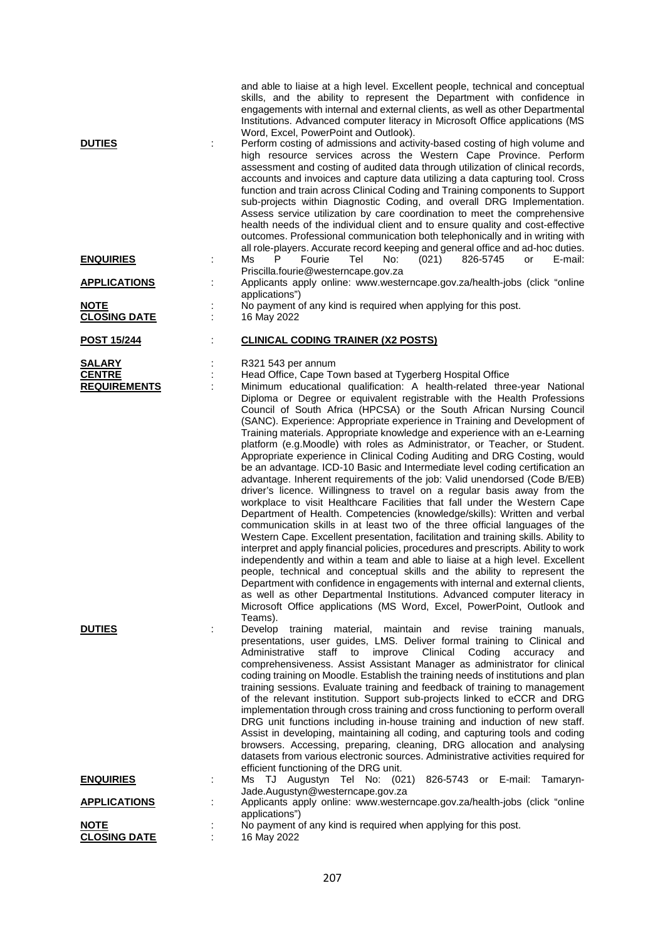| <b>DUTIES</b>                                         | and able to liaise at a high level. Excellent people, technical and conceptual<br>skills, and the ability to represent the Department with confidence in<br>engagements with internal and external clients, as well as other Departmental<br>Institutions. Advanced computer literacy in Microsoft Office applications (MS<br>Word, Excel, PowerPoint and Outlook).<br>Perform costing of admissions and activity-based costing of high volume and<br>high resource services across the Western Cape Province. Perform<br>assessment and costing of audited data through utilization of clinical records,<br>accounts and invoices and capture data utilizing a data capturing tool. Cross<br>function and train across Clinical Coding and Training components to Support<br>sub-projects within Diagnostic Coding, and overall DRG Implementation.<br>Assess service utilization by care coordination to meet the comprehensive<br>health needs of the individual client and to ensure quality and cost-effective<br>outcomes. Professional communication both telephonically and in writing with                                                                                                                                                                                                                                                                                                                                                                                                                                                                                                                                                                                                     |
|-------------------------------------------------------|---------------------------------------------------------------------------------------------------------------------------------------------------------------------------------------------------------------------------------------------------------------------------------------------------------------------------------------------------------------------------------------------------------------------------------------------------------------------------------------------------------------------------------------------------------------------------------------------------------------------------------------------------------------------------------------------------------------------------------------------------------------------------------------------------------------------------------------------------------------------------------------------------------------------------------------------------------------------------------------------------------------------------------------------------------------------------------------------------------------------------------------------------------------------------------------------------------------------------------------------------------------------------------------------------------------------------------------------------------------------------------------------------------------------------------------------------------------------------------------------------------------------------------------------------------------------------------------------------------------------------------------------------------------------------------------------------------|
| <b>ENQUIRIES</b>                                      | all role-players. Accurate record keeping and general office and ad-hoc duties.<br>Ms<br>Fourie<br>Tel<br>No:<br>(021)<br>826-5745<br>E-mail:<br>P.<br>or<br>Priscilla.fourie@westerncape.gov.za                                                                                                                                                                                                                                                                                                                                                                                                                                                                                                                                                                                                                                                                                                                                                                                                                                                                                                                                                                                                                                                                                                                                                                                                                                                                                                                                                                                                                                                                                                        |
| <b>APPLICATIONS</b>                                   | Applicants apply online: www.westerncape.gov.za/health-jobs (click "online<br>applications")                                                                                                                                                                                                                                                                                                                                                                                                                                                                                                                                                                                                                                                                                                                                                                                                                                                                                                                                                                                                                                                                                                                                                                                                                                                                                                                                                                                                                                                                                                                                                                                                            |
| <b>NOTE</b><br><b>CLOSING DATE</b>                    | No payment of any kind is required when applying for this post.<br>16 May 2022                                                                                                                                                                                                                                                                                                                                                                                                                                                                                                                                                                                                                                                                                                                                                                                                                                                                                                                                                                                                                                                                                                                                                                                                                                                                                                                                                                                                                                                                                                                                                                                                                          |
| <b>POST 15/244</b>                                    | <b>CLINICAL CODING TRAINER (X2 POSTS)</b>                                                                                                                                                                                                                                                                                                                                                                                                                                                                                                                                                                                                                                                                                                                                                                                                                                                                                                                                                                                                                                                                                                                                                                                                                                                                                                                                                                                                                                                                                                                                                                                                                                                               |
| <b>SALARY</b><br><b>CENTRE</b><br><b>REQUIREMENTS</b> | R321 543 per annum<br>Head Office, Cape Town based at Tygerberg Hospital Office<br>Minimum educational qualification: A health-related three-year National<br>Diploma or Degree or equivalent registrable with the Health Professions<br>Council of South Africa (HPCSA) or the South African Nursing Council<br>(SANC). Experience: Appropriate experience in Training and Development of<br>Training materials. Appropriate knowledge and experience with an e-Learning<br>platform (e.g.Moodle) with roles as Administrator, or Teacher, or Student.<br>Appropriate experience in Clinical Coding Auditing and DRG Costing, would<br>be an advantage. ICD-10 Basic and Intermediate level coding certification an<br>advantage. Inherent requirements of the job: Valid unendorsed (Code B/EB)<br>driver's licence. Willingness to travel on a regular basis away from the<br>workplace to visit Healthcare Facilities that fall under the Western Cape<br>Department of Health. Competencies (knowledge/skills): Written and verbal<br>communication skills in at least two of the three official languages of the<br>Western Cape. Excellent presentation, facilitation and training skills. Ability to<br>interpret and apply financial policies, procedures and prescripts. Ability to work<br>independently and within a team and able to liaise at a high level. Excellent<br>people, technical and conceptual skills and the ability to represent the<br>Department with confidence in engagements with internal and external clients,<br>as well as other Departmental Institutions. Advanced computer literacy in<br>Microsoft Office applications (MS Word, Excel, PowerPoint, Outlook and |
| <b>DUTIES</b>                                         | Teams).<br>Develop training<br>material, maintain and revise training manuals,<br>presentations, user guides, LMS. Deliver formal training to Clinical and<br>Administrative<br>staff to<br>improve<br>Clinical<br>Coding<br>accuracy<br>and<br>comprehensiveness. Assist Assistant Manager as administrator for clinical<br>coding training on Moodle. Establish the training needs of institutions and plan<br>training sessions. Evaluate training and feedback of training to management<br>of the relevant institution. Support sub-projects linked to eCCR and DRG<br>implementation through cross training and cross functioning to perform overall<br>DRG unit functions including in-house training and induction of new staff.<br>Assist in developing, maintaining all coding, and capturing tools and coding<br>browsers. Accessing, preparing, cleaning, DRG allocation and analysing<br>datasets from various electronic sources. Administrative activities required for<br>efficient functioning of the DRG unit.                                                                                                                                                                                                                                                                                                                                                                                                                                                                                                                                                                                                                                                                        |
| <b>ENQUIRIES</b>                                      | Ms TJ Augustyn Tel No: (021) 826-5743 or E-mail: Tamaryn-<br>Jade.Augustyn@westerncape.gov.za                                                                                                                                                                                                                                                                                                                                                                                                                                                                                                                                                                                                                                                                                                                                                                                                                                                                                                                                                                                                                                                                                                                                                                                                                                                                                                                                                                                                                                                                                                                                                                                                           |
| <b>APPLICATIONS</b>                                   | Applicants apply online: www.westerncape.gov.za/health-jobs (click "online<br>applications")                                                                                                                                                                                                                                                                                                                                                                                                                                                                                                                                                                                                                                                                                                                                                                                                                                                                                                                                                                                                                                                                                                                                                                                                                                                                                                                                                                                                                                                                                                                                                                                                            |
| <b>NOTE</b><br><b>CLOSING DATE</b>                    | No payment of any kind is required when applying for this post.<br>16 May 2022                                                                                                                                                                                                                                                                                                                                                                                                                                                                                                                                                                                                                                                                                                                                                                                                                                                                                                                                                                                                                                                                                                                                                                                                                                                                                                                                                                                                                                                                                                                                                                                                                          |
|                                                       |                                                                                                                                                                                                                                                                                                                                                                                                                                                                                                                                                                                                                                                                                                                                                                                                                                                                                                                                                                                                                                                                                                                                                                                                                                                                                                                                                                                                                                                                                                                                                                                                                                                                                                         |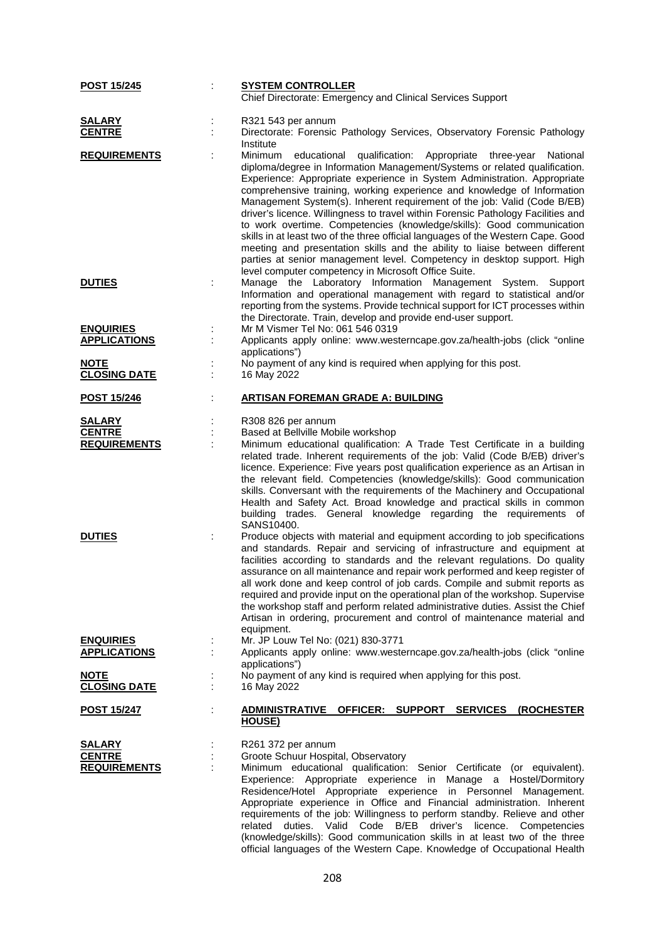| POST 15/245                                                            |                              | <b>SYSTEM CONTROLLER</b><br>Chief Directorate: Emergency and Clinical Services Support                                                                                                                                                                                                                                                                                                                                                                                                                                                                                                                                                                                                                                                                                                                                                            |
|------------------------------------------------------------------------|------------------------------|---------------------------------------------------------------------------------------------------------------------------------------------------------------------------------------------------------------------------------------------------------------------------------------------------------------------------------------------------------------------------------------------------------------------------------------------------------------------------------------------------------------------------------------------------------------------------------------------------------------------------------------------------------------------------------------------------------------------------------------------------------------------------------------------------------------------------------------------------|
|                                                                        |                              |                                                                                                                                                                                                                                                                                                                                                                                                                                                                                                                                                                                                                                                                                                                                                                                                                                                   |
| <b>SALARY</b><br><b>CENTRE</b>                                         | Institute                    | R321 543 per annum<br>Directorate: Forensic Pathology Services, Observatory Forensic Pathology                                                                                                                                                                                                                                                                                                                                                                                                                                                                                                                                                                                                                                                                                                                                                    |
| <b>REQUIREMENTS</b>                                                    | Minimum                      | educational qualification: Appropriate three-year<br>National<br>diploma/degree in Information Management/Systems or related qualification.<br>Experience: Appropriate experience in System Administration. Appropriate<br>comprehensive training, working experience and knowledge of Information<br>Management System(s). Inherent requirement of the job: Valid (Code B/EB)<br>driver's licence. Willingness to travel within Forensic Pathology Facilities and<br>to work overtime. Competencies (knowledge/skills): Good communication<br>skills in at least two of the three official languages of the Western Cape. Good<br>meeting and presentation skills and the ability to liaise between different<br>parties at senior management level. Competency in desktop support. High<br>level computer competency in Microsoft Office Suite. |
| <b>DUTIES</b>                                                          |                              | Manage the Laboratory Information Management System. Support<br>Information and operational management with regard to statistical and/or<br>reporting from the systems. Provide technical support for ICT processes within<br>the Directorate. Train, develop and provide end-user support.                                                                                                                                                                                                                                                                                                                                                                                                                                                                                                                                                       |
| <b>ENQUIRIES</b><br><b>APPLICATIONS</b>                                | applications")               | Mr M Vismer Tel No: 061 546 0319<br>Applicants apply online: www.westerncape.gov.za/health-jobs (click "online                                                                                                                                                                                                                                                                                                                                                                                                                                                                                                                                                                                                                                                                                                                                    |
| <b>NOTE</b><br><b>CLOSING DATE</b>                                     | 16 May 2022                  | No payment of any kind is required when applying for this post.                                                                                                                                                                                                                                                                                                                                                                                                                                                                                                                                                                                                                                                                                                                                                                                   |
| <b>POST 15/246</b>                                                     |                              | <b>ARTISAN FOREMAN GRADE A: BUILDING</b>                                                                                                                                                                                                                                                                                                                                                                                                                                                                                                                                                                                                                                                                                                                                                                                                          |
| <b>SALARY</b><br><b>CENTRE</b><br><b>REQUIREMENTS</b><br><b>DUTIES</b> | SANS10400.                   | R308 826 per annum<br>Based at Bellville Mobile workshop<br>Minimum educational qualification: A Trade Test Certificate in a building<br>related trade. Inherent requirements of the job: Valid (Code B/EB) driver's<br>licence. Experience: Five years post qualification experience as an Artisan in<br>the relevant field. Competencies (knowledge/skills): Good communication<br>skills. Conversant with the requirements of the Machinery and Occupational<br>Health and Safety Act. Broad knowledge and practical skills in common<br>building trades. General knowledge regarding the requirements of<br>Produce objects with material and equipment according to job specifications<br>and standards. Repair and servicing of infrastructure and equipment at                                                                             |
| <b>ENQUIRIES</b><br><b>APPLICATIONS</b>                                | equipment.<br>applications") | facilities according to standards and the relevant regulations. Do quality<br>assurance on all maintenance and repair work performed and keep register of<br>all work done and keep control of job cards. Compile and submit reports as<br>required and provide input on the operational plan of the workshop. Supervise<br>the workshop staff and perform related administrative duties. Assist the Chief<br>Artisan in ordering, procurement and control of maintenance material and<br>Mr. JP Louw Tel No: (021) 830-3771<br>Applicants apply online: www.westerncape.gov.za/health-jobs (click "online                                                                                                                                                                                                                                        |
| <b>NOTE</b><br><b>CLOSING DATE</b>                                     | 16 May 2022                  | No payment of any kind is required when applying for this post.                                                                                                                                                                                                                                                                                                                                                                                                                                                                                                                                                                                                                                                                                                                                                                                   |
| <u>POST 15/247</u>                                                     | HOUSE)                       | ADMINISTRATIVE OFFICER: SUPPORT SERVICES (ROCHESTER                                                                                                                                                                                                                                                                                                                                                                                                                                                                                                                                                                                                                                                                                                                                                                                               |
| <b>SALARY</b><br><b>CENTRE</b><br><b>REQUIREMENTS</b>                  | related                      | R261 372 per annum<br>Groote Schuur Hospital, Observatory<br>Minimum educational qualification: Senior Certificate (or equivalent).<br>Experience: Appropriate experience in Manage a Hostel/Dormitory<br>Residence/Hotel Appropriate experience in Personnel Management.<br>Appropriate experience in Office and Financial administration. Inherent<br>requirements of the job: Willingness to perform standby. Relieve and other<br>Valid Code<br>B/EB driver's licence.<br>duties.<br>Competencies<br>(knowledge/skills): Good communication skills in at least two of the three<br>official languages of the Western Cape. Knowledge of Occupational Health                                                                                                                                                                                   |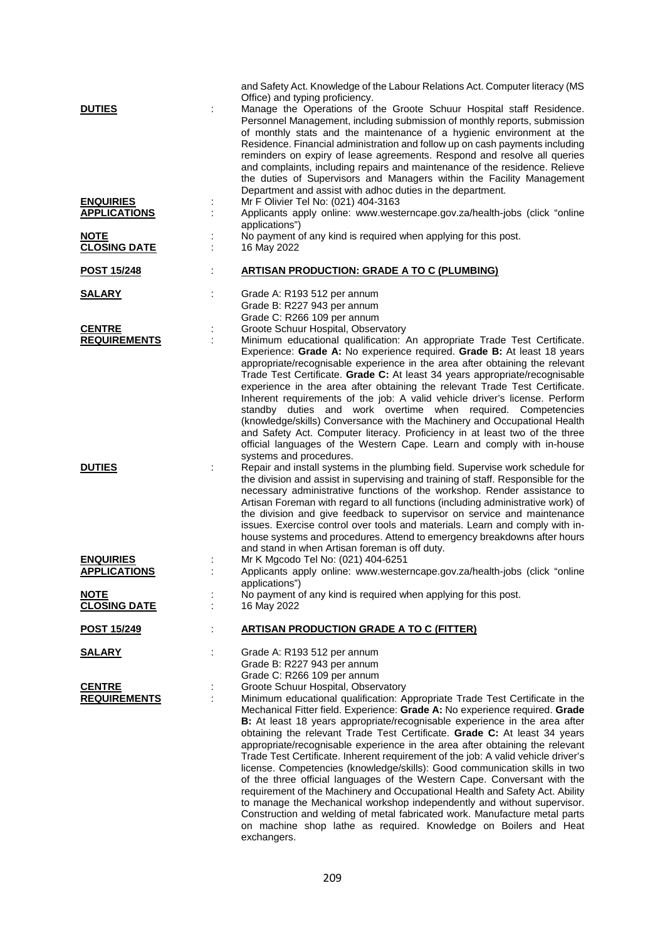| and Safety Act. Knowledge of the Labour Relations Act. Computer literacy (MS<br>Office) and typing proficiency.                                                                                                                                                                                                                                                                                                                                                                                                                                                                                                                                                                                                                                                                                                                                                                                                                                                                                                          |
|--------------------------------------------------------------------------------------------------------------------------------------------------------------------------------------------------------------------------------------------------------------------------------------------------------------------------------------------------------------------------------------------------------------------------------------------------------------------------------------------------------------------------------------------------------------------------------------------------------------------------------------------------------------------------------------------------------------------------------------------------------------------------------------------------------------------------------------------------------------------------------------------------------------------------------------------------------------------------------------------------------------------------|
| Manage the Operations of the Groote Schuur Hospital staff Residence.<br>Personnel Management, including submission of monthly reports, submission<br>of monthly stats and the maintenance of a hygienic environment at the<br>Residence. Financial administration and follow up on cash payments including<br>reminders on expiry of lease agreements. Respond and resolve all queries<br>and complaints, including repairs and maintenance of the residence. Relieve<br>the duties of Supervisors and Managers within the Facility Management<br>Department and assist with adhoc duties in the department.                                                                                                                                                                                                                                                                                                                                                                                                             |
| Mr F Olivier Tel No: (021) 404-3163<br>Applicants apply online: www.westerncape.gov.za/health-jobs (click "online<br>applications")                                                                                                                                                                                                                                                                                                                                                                                                                                                                                                                                                                                                                                                                                                                                                                                                                                                                                      |
| No payment of any kind is required when applying for this post.<br>16 May 2022                                                                                                                                                                                                                                                                                                                                                                                                                                                                                                                                                                                                                                                                                                                                                                                                                                                                                                                                           |
| <b>ARTISAN PRODUCTION: GRADE A TO C (PLUMBING)</b>                                                                                                                                                                                                                                                                                                                                                                                                                                                                                                                                                                                                                                                                                                                                                                                                                                                                                                                                                                       |
| Grade A: R193 512 per annum<br>Grade B: R227 943 per annum<br>Grade C: R266 109 per annum                                                                                                                                                                                                                                                                                                                                                                                                                                                                                                                                                                                                                                                                                                                                                                                                                                                                                                                                |
| Groote Schuur Hospital, Observatory<br>Minimum educational qualification: An appropriate Trade Test Certificate.<br>Experience: Grade A: No experience required. Grade B: At least 18 years<br>appropriate/recognisable experience in the area after obtaining the relevant<br>Trade Test Certificate. Grade C: At least 34 years appropriate/recognisable<br>experience in the area after obtaining the relevant Trade Test Certificate.<br>Inherent requirements of the job: A valid vehicle driver's license. Perform<br>standby duties and work overtime when required. Competencies<br>(knowledge/skills) Conversance with the Machinery and Occupational Health<br>and Safety Act. Computer literacy. Proficiency in at least two of the three<br>official languages of the Western Cape. Learn and comply with in-house<br>systems and procedures.                                                                                                                                                                |
| Repair and install systems in the plumbing field. Supervise work schedule for<br>the division and assist in supervising and training of staff. Responsible for the<br>necessary administrative functions of the workshop. Render assistance to<br>Artisan Foreman with regard to all functions (including administrative work) of<br>the division and give feedback to supervisor on service and maintenance<br>issues. Exercise control over tools and materials. Learn and comply with in-<br>house systems and procedures. Attend to emergency breakdowns after hours<br>and stand in when Artisan foreman is off duty.                                                                                                                                                                                                                                                                                                                                                                                               |
| Mr K Mgcodo Tel No: (021) 404-6251<br>Applicants apply online: www.westerncape.gov.za/health-jobs (click "online                                                                                                                                                                                                                                                                                                                                                                                                                                                                                                                                                                                                                                                                                                                                                                                                                                                                                                         |
| applications")<br>No payment of any kind is required when applying for this post.<br>16 May 2022                                                                                                                                                                                                                                                                                                                                                                                                                                                                                                                                                                                                                                                                                                                                                                                                                                                                                                                         |
| <b>ARTISAN PRODUCTION GRADE A TO C (FITTER)</b>                                                                                                                                                                                                                                                                                                                                                                                                                                                                                                                                                                                                                                                                                                                                                                                                                                                                                                                                                                          |
| Grade A: R193 512 per annum<br>Grade B: R227 943 per annum<br>Grade C: R266 109 per annum                                                                                                                                                                                                                                                                                                                                                                                                                                                                                                                                                                                                                                                                                                                                                                                                                                                                                                                                |
| Groote Schuur Hospital, Observatory<br>Minimum educational qualification: Appropriate Trade Test Certificate in the<br>Mechanical Fitter field. Experience: Grade A: No experience required. Grade<br>B: At least 18 years appropriate/recognisable experience in the area after<br>obtaining the relevant Trade Test Certificate. Grade C: At least 34 years<br>appropriate/recognisable experience in the area after obtaining the relevant<br>Trade Test Certificate. Inherent requirement of the job: A valid vehicle driver's<br>license. Competencies (knowledge/skills): Good communication skills in two<br>of the three official languages of the Western Cape. Conversant with the<br>requirement of the Machinery and Occupational Health and Safety Act. Ability<br>to manage the Mechanical workshop independently and without supervisor.<br>Construction and welding of metal fabricated work. Manufacture metal parts<br>on machine shop lathe as required. Knowledge on Boilers and Heat<br>exchangers. |
|                                                                                                                                                                                                                                                                                                                                                                                                                                                                                                                                                                                                                                                                                                                                                                                                                                                                                                                                                                                                                          |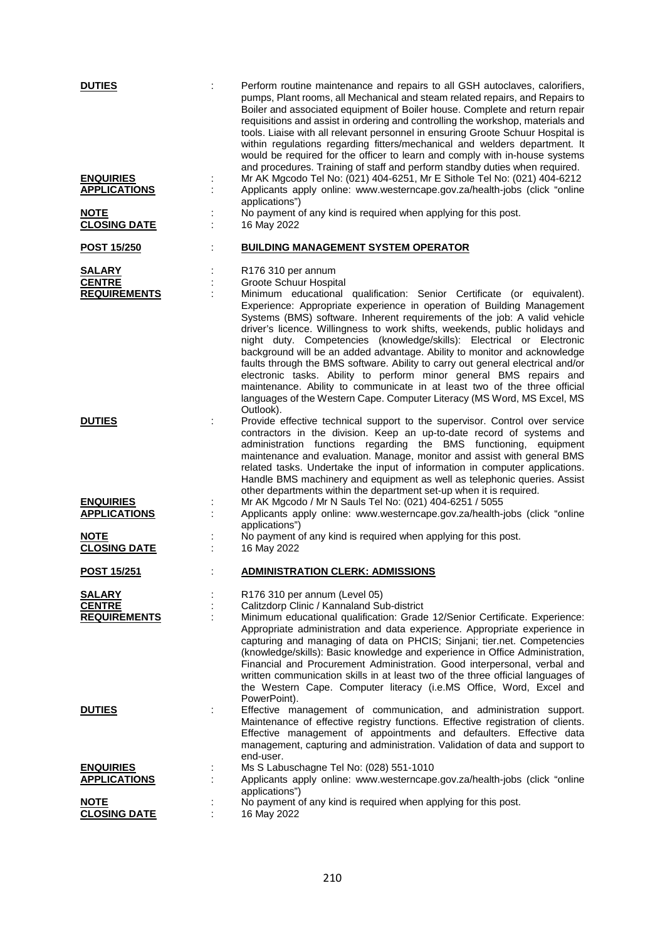| <b>DUTIES</b>                                         | Perform routine maintenance and repairs to all GSH autoclaves, calorifiers,<br>pumps, Plant rooms, all Mechanical and steam related repairs, and Repairs to<br>Boiler and associated equipment of Boiler house. Complete and return repair<br>requisitions and assist in ordering and controlling the workshop, materials and<br>tools. Liaise with all relevant personnel in ensuring Groote Schuur Hospital is<br>within regulations regarding fitters/mechanical and welders department. It<br>would be required for the officer to learn and comply with in-house systems<br>and procedures. Training of staff and perform standby duties when required. |
|-------------------------------------------------------|--------------------------------------------------------------------------------------------------------------------------------------------------------------------------------------------------------------------------------------------------------------------------------------------------------------------------------------------------------------------------------------------------------------------------------------------------------------------------------------------------------------------------------------------------------------------------------------------------------------------------------------------------------------|
| <b>ENQUIRIES</b><br><b>APPLICATIONS</b>               | Mr AK Mgcodo Tel No: (021) 404-6251, Mr E Sithole Tel No: (021) 404-6212<br>Applicants apply online: www.westerncape.gov.za/health-jobs (click "online<br>applications")                                                                                                                                                                                                                                                                                                                                                                                                                                                                                     |
| <b>NOTE</b><br><b>CLOSING DATE</b>                    | No payment of any kind is required when applying for this post.<br>16 May 2022                                                                                                                                                                                                                                                                                                                                                                                                                                                                                                                                                                               |
| <b>POST 15/250</b>                                    | <b>BUILDING MANAGEMENT SYSTEM OPERATOR</b>                                                                                                                                                                                                                                                                                                                                                                                                                                                                                                                                                                                                                   |
| <b>SALARY</b><br><b>CENTRE</b><br><b>REQUIREMENTS</b> | R <sub>176</sub> 310 per annum<br>Groote Schuur Hospital<br>Minimum educational qualification: Senior Certificate (or equivalent).<br>Experience: Appropriate experience in operation of Building Management<br>Systems (BMS) software. Inherent requirements of the job: A valid vehicle<br>driver's licence. Willingness to work shifts, weekends, public holidays and<br>night duty. Competencies (knowledge/skills): Electrical or Electronic                                                                                                                                                                                                            |
|                                                       | background will be an added advantage. Ability to monitor and acknowledge<br>faults through the BMS software. Ability to carry out general electrical and/or<br>electronic tasks. Ability to perform minor general BMS repairs and<br>maintenance. Ability to communicate in at least two of the three official<br>languages of the Western Cape. Computer Literacy (MS Word, MS Excel, MS<br>Outlook).                                                                                                                                                                                                                                                      |
| <b>DUTIES</b>                                         | Provide effective technical support to the supervisor. Control over service<br>contractors in the division. Keep an up-to-date record of systems and<br>administration functions regarding the BMS functioning, equipment<br>maintenance and evaluation. Manage, monitor and assist with general BMS<br>related tasks. Undertake the input of information in computer applications.<br>Handle BMS machinery and equipment as well as telephonic queries. Assist<br>other departments within the department set-up when it is required.                                                                                                                       |
| <b>ENQUIRIES</b><br><b>APPLICATIONS</b>               | Mr AK Mgcodo / Mr N Sauls Tel No: (021) 404-6251 / 5055<br>Applicants apply online: www.westerncape.gov.za/health-jobs (click "online<br>applications")                                                                                                                                                                                                                                                                                                                                                                                                                                                                                                      |
| <b>NOTE</b><br><b>CLOSING DATE</b>                    | No payment of any kind is required when applying for this post.<br>16 May 2022                                                                                                                                                                                                                                                                                                                                                                                                                                                                                                                                                                               |
| <b>POST 15/251</b>                                    | <b>ADMINISTRATION CLERK: ADMISSIONS</b>                                                                                                                                                                                                                                                                                                                                                                                                                                                                                                                                                                                                                      |
| <b>SALARY</b><br><b>CENTRE</b>                        | R176 310 per annum (Level 05)<br>Calitzdorp Clinic / Kannaland Sub-district                                                                                                                                                                                                                                                                                                                                                                                                                                                                                                                                                                                  |
| <b>REQUIREMENTS</b>                                   | Minimum educational qualification: Grade 12/Senior Certificate. Experience:<br>Appropriate administration and data experience. Appropriate experience in<br>capturing and managing of data on PHCIS; Sinjani; tier.net. Competencies<br>(knowledge/skills): Basic knowledge and experience in Office Administration,<br>Financial and Procurement Administration. Good interpersonal, verbal and<br>written communication skills in at least two of the three official languages of<br>the Western Cape. Computer literacy (i.e.MS Office, Word, Excel and                                                                                                   |
| <b>DUTIES</b>                                         | PowerPoint).<br>Effective management of communication, and administration support.<br>Maintenance of effective registry functions. Effective registration of clients.<br>Effective management of appointments and defaulters. Effective data<br>management, capturing and administration. Validation of data and support to<br>end-user.                                                                                                                                                                                                                                                                                                                     |
| <b>ENQUIRIES</b><br><b>APPLICATIONS</b>               | Ms S Labuschagne Tel No: (028) 551-1010<br>Applicants apply online: www.westerncape.gov.za/health-jobs (click "online<br>applications")                                                                                                                                                                                                                                                                                                                                                                                                                                                                                                                      |
| <b>NOTE</b><br><b>CLOSING DATE</b>                    | No payment of any kind is required when applying for this post.<br>16 May 2022                                                                                                                                                                                                                                                                                                                                                                                                                                                                                                                                                                               |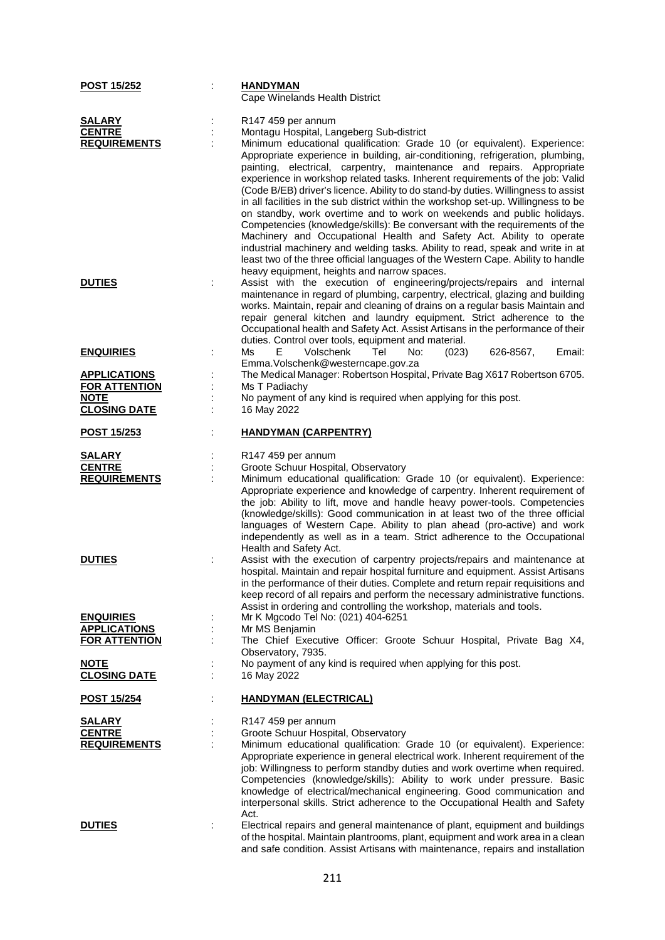| <b>POST 15/252</b>                                                                | <b>HANDYMAN</b><br>Cape Winelands Health District                                                                                                                                                                                                                                                                                                                                                                                                                                                                                                                                                                                                                                                                                                                                                                                                                                                                                                                                                                         |
|-----------------------------------------------------------------------------------|---------------------------------------------------------------------------------------------------------------------------------------------------------------------------------------------------------------------------------------------------------------------------------------------------------------------------------------------------------------------------------------------------------------------------------------------------------------------------------------------------------------------------------------------------------------------------------------------------------------------------------------------------------------------------------------------------------------------------------------------------------------------------------------------------------------------------------------------------------------------------------------------------------------------------------------------------------------------------------------------------------------------------|
| <b>SALARY</b><br><b>CENTRE</b><br><b>REQUIREMENTS</b>                             | R147 459 per annum<br>Montagu Hospital, Langeberg Sub-district<br>Minimum educational qualification: Grade 10 (or equivalent). Experience:<br>Appropriate experience in building, air-conditioning, refrigeration, plumbing,<br>painting, electrical, carpentry, maintenance and repairs. Appropriate<br>experience in workshop related tasks. Inherent requirements of the job: Valid<br>(Code B/EB) driver's licence. Ability to do stand-by duties. Willingness to assist<br>in all facilities in the sub district within the workshop set-up. Willingness to be<br>on standby, work overtime and to work on weekends and public holidays.<br>Competencies (knowledge/skills): Be conversant with the requirements of the<br>Machinery and Occupational Health and Safety Act. Ability to operate<br>industrial machinery and welding tasks. Ability to read, speak and write in at<br>least two of the three official languages of the Western Cape. Ability to handle<br>heavy equipment, heights and narrow spaces. |
| <b>DUTIES</b>                                                                     | Assist with the execution of engineering/projects/repairs and internal<br>maintenance in regard of plumbing, carpentry, electrical, glazing and building<br>works. Maintain, repair and cleaning of drains on a regular basis Maintain and<br>repair general kitchen and laundry equipment. Strict adherence to the<br>Occupational health and Safety Act. Assist Artisans in the performance of their<br>duties. Control over tools, equipment and material.                                                                                                                                                                                                                                                                                                                                                                                                                                                                                                                                                             |
| <b>ENQUIRIES</b>                                                                  | Ms<br>Volschenk<br>Tel<br>No:<br>626-8567,<br>Email:<br>E.<br>(023)<br>Emma. Volschenk@westerncape.gov.za                                                                                                                                                                                                                                                                                                                                                                                                                                                                                                                                                                                                                                                                                                                                                                                                                                                                                                                 |
| <b>APPLICATIONS</b><br><b>FOR ATTENTION</b><br><b>NOTE</b><br><b>CLOSING DATE</b> | The Medical Manager: Robertson Hospital, Private Bag X617 Robertson 6705.<br>Ms T Padiachy<br>No payment of any kind is required when applying for this post.<br>16 May 2022                                                                                                                                                                                                                                                                                                                                                                                                                                                                                                                                                                                                                                                                                                                                                                                                                                              |
| <u>POST 15/253</u>                                                                | <b>HANDYMAN (CARPENTRY)</b>                                                                                                                                                                                                                                                                                                                                                                                                                                                                                                                                                                                                                                                                                                                                                                                                                                                                                                                                                                                               |
| <b>SALARY</b><br><b>CENTRE</b><br><b>REQUIREMENTS</b>                             | R147 459 per annum<br>Groote Schuur Hospital, Observatory<br>Minimum educational qualification: Grade 10 (or equivalent). Experience:<br>Appropriate experience and knowledge of carpentry. Inherent requirement of<br>the job: Ability to lift, move and handle heavy power-tools. Competencies<br>(knowledge/skills): Good communication in at least two of the three official<br>languages of Western Cape. Ability to plan ahead (pro-active) and work<br>independently as well as in a team. Strict adherence to the Occupational<br>Health and Safety Act.                                                                                                                                                                                                                                                                                                                                                                                                                                                          |
| <b>DUTIES</b>                                                                     | Assist with the execution of carpentry projects/repairs and maintenance at<br>hospital. Maintain and repair hospital furniture and equipment. Assist Artisans<br>in the performance of their duties. Complete and return repair requisitions and<br>keep record of all repairs and perform the necessary administrative functions.<br>Assist in ordering and controlling the workshop, materials and tools.                                                                                                                                                                                                                                                                                                                                                                                                                                                                                                                                                                                                               |
| <b>ENQUIRIES</b><br><b>APPLICATIONS</b>                                           | Mr K Mgcodo Tel No: (021) 404-6251<br>Mr MS Benjamin                                                                                                                                                                                                                                                                                                                                                                                                                                                                                                                                                                                                                                                                                                                                                                                                                                                                                                                                                                      |
| <b>FOR ATTENTION</b>                                                              | The Chief Executive Officer: Groote Schuur Hospital, Private Bag X4,<br>Observatory, 7935.                                                                                                                                                                                                                                                                                                                                                                                                                                                                                                                                                                                                                                                                                                                                                                                                                                                                                                                                |
| <b>NOTE</b><br><b>CLOSING DATE</b>                                                | No payment of any kind is required when applying for this post.<br>16 May 2022                                                                                                                                                                                                                                                                                                                                                                                                                                                                                                                                                                                                                                                                                                                                                                                                                                                                                                                                            |
| <b>POST 15/254</b>                                                                | <b>HANDYMAN (ELECTRICAL)</b>                                                                                                                                                                                                                                                                                                                                                                                                                                                                                                                                                                                                                                                                                                                                                                                                                                                                                                                                                                                              |
| <u>SALARY</u><br><b>CENTRE</b><br><b>REQUIREMENTS</b>                             | R147 459 per annum<br>Groote Schuur Hospital, Observatory<br>Minimum educational qualification: Grade 10 (or equivalent). Experience:<br>Appropriate experience in general electrical work. Inherent requirement of the<br>job: Willingness to perform standby duties and work overtime when required.                                                                                                                                                                                                                                                                                                                                                                                                                                                                                                                                                                                                                                                                                                                    |
| <b>DUTIES</b>                                                                     | Competencies (knowledge/skills): Ability to work under pressure. Basic<br>knowledge of electrical/mechanical engineering. Good communication and<br>interpersonal skills. Strict adherence to the Occupational Health and Safety<br>Act.<br>Electrical repairs and general maintenance of plant, equipment and buildings<br>of the hospital. Maintain plantrooms, plant, equipment and work area in a clean<br>and safe condition. Assist Artisans with maintenance, repairs and installation                                                                                                                                                                                                                                                                                                                                                                                                                                                                                                                             |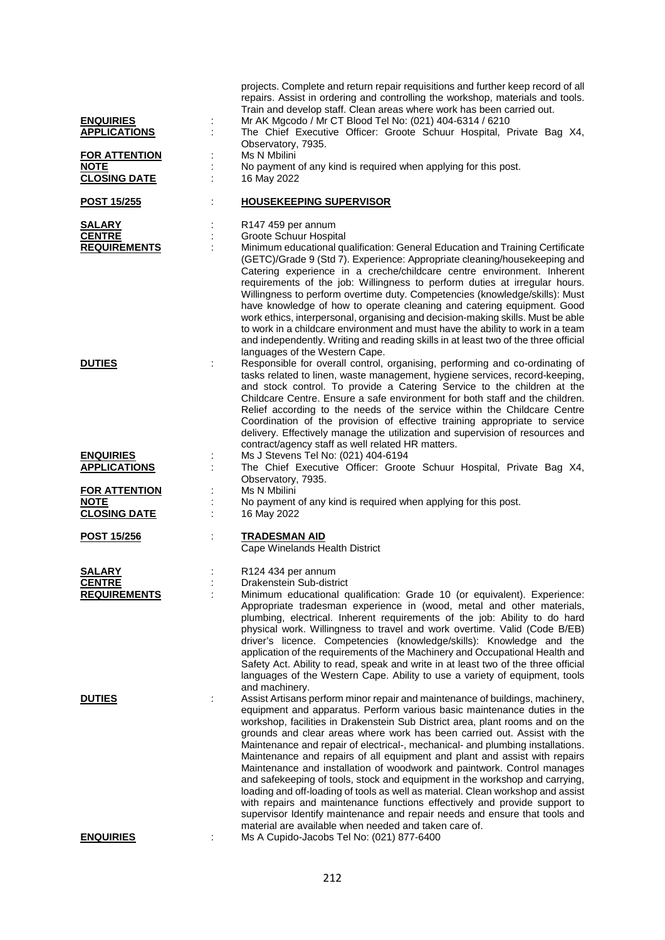|                                                            | projects. Complete and return repair requisitions and further keep record of all<br>repairs. Assist in ordering and controlling the workshop, materials and tools.<br>Train and develop staff. Clean areas where work has been carried out.                                                                                                                                                                                                                                                                                                                                                                                                                                                                                                                                                                                                                                                                                                                                                    |
|------------------------------------------------------------|------------------------------------------------------------------------------------------------------------------------------------------------------------------------------------------------------------------------------------------------------------------------------------------------------------------------------------------------------------------------------------------------------------------------------------------------------------------------------------------------------------------------------------------------------------------------------------------------------------------------------------------------------------------------------------------------------------------------------------------------------------------------------------------------------------------------------------------------------------------------------------------------------------------------------------------------------------------------------------------------|
| <b>ENQUIRIES</b><br><b>APPLICATIONS</b>                    | Mr AK Mgcodo / Mr CT Blood Tel No: (021) 404-6314 / 6210<br>The Chief Executive Officer: Groote Schuur Hospital, Private Bag X4,<br>Observatory, 7935.                                                                                                                                                                                                                                                                                                                                                                                                                                                                                                                                                                                                                                                                                                                                                                                                                                         |
| <b>FOR ATTENTION</b><br><b>NOTE</b><br><b>CLOSING DATE</b> | Ms N Mbilini<br>No payment of any kind is required when applying for this post.<br>16 May 2022                                                                                                                                                                                                                                                                                                                                                                                                                                                                                                                                                                                                                                                                                                                                                                                                                                                                                                 |
| <u>POST 15/255</u>                                         | <b>HOUSEKEEPING SUPERVISOR</b>                                                                                                                                                                                                                                                                                                                                                                                                                                                                                                                                                                                                                                                                                                                                                                                                                                                                                                                                                                 |
| <b>SALARY</b><br><b>CENTRE</b><br><b>REQUIREMENTS</b>      | R147 459 per annum<br>Groote Schuur Hospital<br>Minimum educational qualification: General Education and Training Certificate<br>(GETC)/Grade 9 (Std 7). Experience: Appropriate cleaning/housekeeping and<br>Catering experience in a creche/childcare centre environment. Inherent<br>requirements of the job: Willingness to perform duties at irregular hours.<br>Willingness to perform overtime duty. Competencies (knowledge/skills): Must                                                                                                                                                                                                                                                                                                                                                                                                                                                                                                                                              |
| <b>DUTIES</b>                                              | have knowledge of how to operate cleaning and catering equipment. Good<br>work ethics, interpersonal, organising and decision-making skills. Must be able<br>to work in a childcare environment and must have the ability to work in a team<br>and independently. Writing and reading skills in at least two of the three official<br>languages of the Western Cape.<br>Responsible for overall control, organising, performing and co-ordinating of<br>tasks related to linen, waste management, hygiene services, record-keeping,<br>and stock control. To provide a Catering Service to the children at the<br>Childcare Centre. Ensure a safe environment for both staff and the children.<br>Relief according to the needs of the service within the Childcare Centre<br>Coordination of the provision of effective training appropriate to service<br>delivery. Effectively manage the utilization and supervision of resources and<br>contract/agency staff as well related HR matters. |
| <b>ENQUIRIES</b><br><b>APPLICATIONS</b>                    | Ms J Stevens Tel No: (021) 404-6194<br>The Chief Executive Officer: Groote Schuur Hospital, Private Bag X4,                                                                                                                                                                                                                                                                                                                                                                                                                                                                                                                                                                                                                                                                                                                                                                                                                                                                                    |
| <b>FOR ATTENTION</b><br><b>NOTE</b>                        | Observatory, 7935.<br>Ms N Mbilini<br>No payment of any kind is required when applying for this post.                                                                                                                                                                                                                                                                                                                                                                                                                                                                                                                                                                                                                                                                                                                                                                                                                                                                                          |
| <b>CLOSING DATE</b>                                        | 16 May 2022                                                                                                                                                                                                                                                                                                                                                                                                                                                                                                                                                                                                                                                                                                                                                                                                                                                                                                                                                                                    |
| <b>POST 15/256</b>                                         | <b>TRADESMAN AID</b><br>Cape Winelands Health District                                                                                                                                                                                                                                                                                                                                                                                                                                                                                                                                                                                                                                                                                                                                                                                                                                                                                                                                         |
| <b>SALARY</b><br><b>CENTRE</b><br><b>REQUIREMENTS</b>      | R124 434 per annum<br>Drakenstein Sub-district<br>Minimum educational qualification: Grade 10 (or equivalent). Experience:<br>Appropriate tradesman experience in (wood, metal and other materials,<br>plumbing, electrical. Inherent requirements of the job: Ability to do hard<br>physical work. Willingness to travel and work overtime. Valid (Code B/EB)<br>driver's licence. Competencies (knowledge/skills): Knowledge and the<br>application of the requirements of the Machinery and Occupational Health and<br>Safety Act. Ability to read, speak and write in at least two of the three official<br>languages of the Western Cape. Ability to use a variety of equipment, tools<br>and machinery.                                                                                                                                                                                                                                                                                  |
| <b>DUTIES</b>                                              | Assist Artisans perform minor repair and maintenance of buildings, machinery,<br>equipment and apparatus. Perform various basic maintenance duties in the<br>workshop, facilities in Drakenstein Sub District area, plant rooms and on the<br>grounds and clear areas where work has been carried out. Assist with the<br>Maintenance and repair of electrical-, mechanical- and plumbing installations.<br>Maintenance and repairs of all equipment and plant and assist with repairs<br>Maintenance and installation of woodwork and paintwork. Control manages<br>and safekeeping of tools, stock and equipment in the workshop and carrying,<br>loading and off-loading of tools as well as material. Clean workshop and assist<br>with repairs and maintenance functions effectively and provide support to<br>supervisor Identify maintenance and repair needs and ensure that tools and<br>material are available when needed and taken care of.                                        |
| <b>ENQUIRIES</b>                                           | Ms A Cupido-Jacobs Tel No: (021) 877-6400                                                                                                                                                                                                                                                                                                                                                                                                                                                                                                                                                                                                                                                                                                                                                                                                                                                                                                                                                      |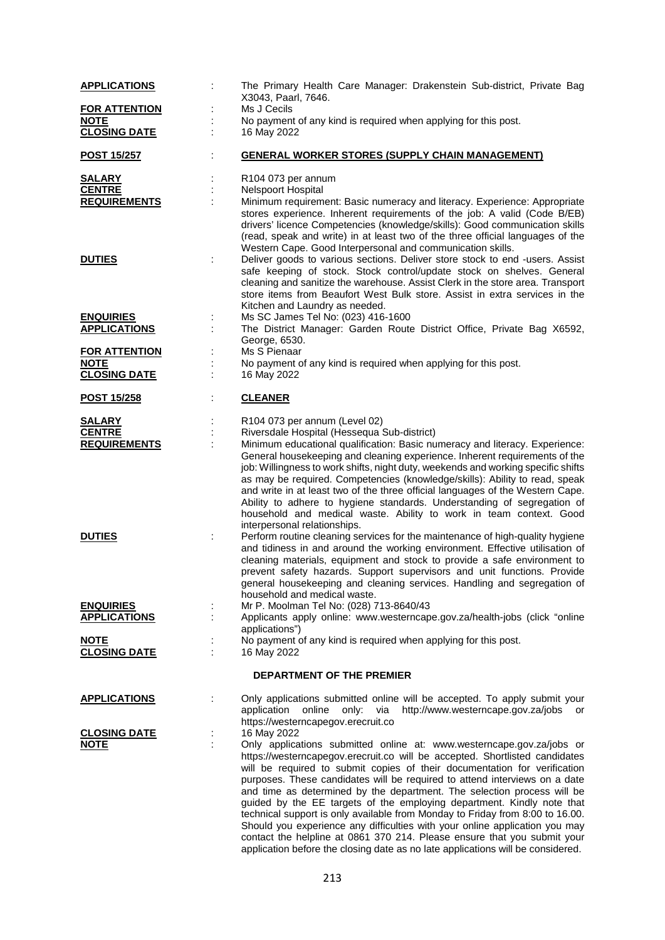| The Primary Health Care Manager: Drakenstein Sub-district, Private Bag                                                                                                                                                                                                                                                                                                                                                                                                                                                                                                                                                                                                                                                                                                                              |
|-----------------------------------------------------------------------------------------------------------------------------------------------------------------------------------------------------------------------------------------------------------------------------------------------------------------------------------------------------------------------------------------------------------------------------------------------------------------------------------------------------------------------------------------------------------------------------------------------------------------------------------------------------------------------------------------------------------------------------------------------------------------------------------------------------|
| X3043, Paarl, 7646.<br>Ms J Cecils                                                                                                                                                                                                                                                                                                                                                                                                                                                                                                                                                                                                                                                                                                                                                                  |
| No payment of any kind is required when applying for this post.                                                                                                                                                                                                                                                                                                                                                                                                                                                                                                                                                                                                                                                                                                                                     |
| 16 May 2022                                                                                                                                                                                                                                                                                                                                                                                                                                                                                                                                                                                                                                                                                                                                                                                         |
| <b>GENERAL WORKER STORES (SUPPLY CHAIN MANAGEMENT)</b>                                                                                                                                                                                                                                                                                                                                                                                                                                                                                                                                                                                                                                                                                                                                              |
| R104 073 per annum                                                                                                                                                                                                                                                                                                                                                                                                                                                                                                                                                                                                                                                                                                                                                                                  |
| <b>Nelspoort Hospital</b>                                                                                                                                                                                                                                                                                                                                                                                                                                                                                                                                                                                                                                                                                                                                                                           |
| Minimum requirement: Basic numeracy and literacy. Experience: Appropriate                                                                                                                                                                                                                                                                                                                                                                                                                                                                                                                                                                                                                                                                                                                           |
| stores experience. Inherent requirements of the job: A valid (Code B/EB)<br>drivers' licence Competencies (knowledge/skills): Good communication skills<br>(read, speak and write) in at least two of the three official languages of the<br>Western Cape. Good Interpersonal and communication skills.<br>Deliver goods to various sections. Deliver store stock to end -users. Assist                                                                                                                                                                                                                                                                                                                                                                                                             |
| safe keeping of stock. Stock control/update stock on shelves. General<br>cleaning and sanitize the warehouse. Assist Clerk in the store area. Transport<br>store items from Beaufort West Bulk store. Assist in extra services in the<br>Kitchen and Laundry as needed.                                                                                                                                                                                                                                                                                                                                                                                                                                                                                                                             |
| Ms SC James Tel No: (023) 416-1600                                                                                                                                                                                                                                                                                                                                                                                                                                                                                                                                                                                                                                                                                                                                                                  |
| The District Manager: Garden Route District Office, Private Bag X6592,<br>George, 6530.                                                                                                                                                                                                                                                                                                                                                                                                                                                                                                                                                                                                                                                                                                             |
| Ms S Pienaar                                                                                                                                                                                                                                                                                                                                                                                                                                                                                                                                                                                                                                                                                                                                                                                        |
| No payment of any kind is required when applying for this post.                                                                                                                                                                                                                                                                                                                                                                                                                                                                                                                                                                                                                                                                                                                                     |
| 16 May 2022                                                                                                                                                                                                                                                                                                                                                                                                                                                                                                                                                                                                                                                                                                                                                                                         |
| <b>CLEANER</b>                                                                                                                                                                                                                                                                                                                                                                                                                                                                                                                                                                                                                                                                                                                                                                                      |
| R104 073 per annum (Level 02)                                                                                                                                                                                                                                                                                                                                                                                                                                                                                                                                                                                                                                                                                                                                                                       |
| Riversdale Hospital (Hessequa Sub-district)                                                                                                                                                                                                                                                                                                                                                                                                                                                                                                                                                                                                                                                                                                                                                         |
| Minimum educational qualification: Basic numeracy and literacy. Experience:<br>General housekeeping and cleaning experience. Inherent requirements of the<br>job: Willingness to work shifts, night duty, weekends and working specific shifts<br>as may be required. Competencies (knowledge/skills): Ability to read, speak<br>and write in at least two of the three official languages of the Western Cape.<br>Ability to adhere to hygiene standards. Understanding of segregation of<br>household and medical waste. Ability to work in team context. Good<br>interpersonal relationships.                                                                                                                                                                                                    |
| Perform routine cleaning services for the maintenance of high-quality hygiene<br>and tidiness in and around the working environment. Effective utilisation of<br>cleaning materials, equipment and stock to provide a safe environment to<br>prevent safety hazards. Support supervisors and unit functions. Provide<br>general housekeeping and cleaning services. Handling and segregation of<br>household and medical waste.                                                                                                                                                                                                                                                                                                                                                                     |
| Mr P. Moolman Tel No: (028) 713-8640/43<br>Applicants apply online: www.westerncape.gov.za/health-jobs (click "online                                                                                                                                                                                                                                                                                                                                                                                                                                                                                                                                                                                                                                                                               |
| applications")                                                                                                                                                                                                                                                                                                                                                                                                                                                                                                                                                                                                                                                                                                                                                                                      |
| No payment of any kind is required when applying for this post.<br>16 May 2022                                                                                                                                                                                                                                                                                                                                                                                                                                                                                                                                                                                                                                                                                                                      |
| <b>DEPARTMENT OF THE PREMIER</b>                                                                                                                                                                                                                                                                                                                                                                                                                                                                                                                                                                                                                                                                                                                                                                    |
| Only applications submitted online will be accepted. To apply submit your                                                                                                                                                                                                                                                                                                                                                                                                                                                                                                                                                                                                                                                                                                                           |
| http://www.westerncape.gov.za/jobs or<br>application online<br>via<br>only:<br>https://westerncapegov.erecruit.co                                                                                                                                                                                                                                                                                                                                                                                                                                                                                                                                                                                                                                                                                   |
| 16 May 2022                                                                                                                                                                                                                                                                                                                                                                                                                                                                                                                                                                                                                                                                                                                                                                                         |
| Only applications submitted online at: www.westerncape.gov.za/jobs or<br>https://westerncapegov.erecruit.co will be accepted. Shortlisted candidates<br>will be required to submit copies of their documentation for verification<br>purposes. These candidates will be required to attend interviews on a date<br>and time as determined by the department. The selection process will be<br>guided by the EE targets of the employing department. Kindly note that<br>technical support is only available from Monday to Friday from 8:00 to 16.00.<br>Should you experience any difficulties with your online application you may<br>contact the helpline at 0861 370 214. Please ensure that you submit your<br>application before the closing date as no late applications will be considered. |
|                                                                                                                                                                                                                                                                                                                                                                                                                                                                                                                                                                                                                                                                                                                                                                                                     |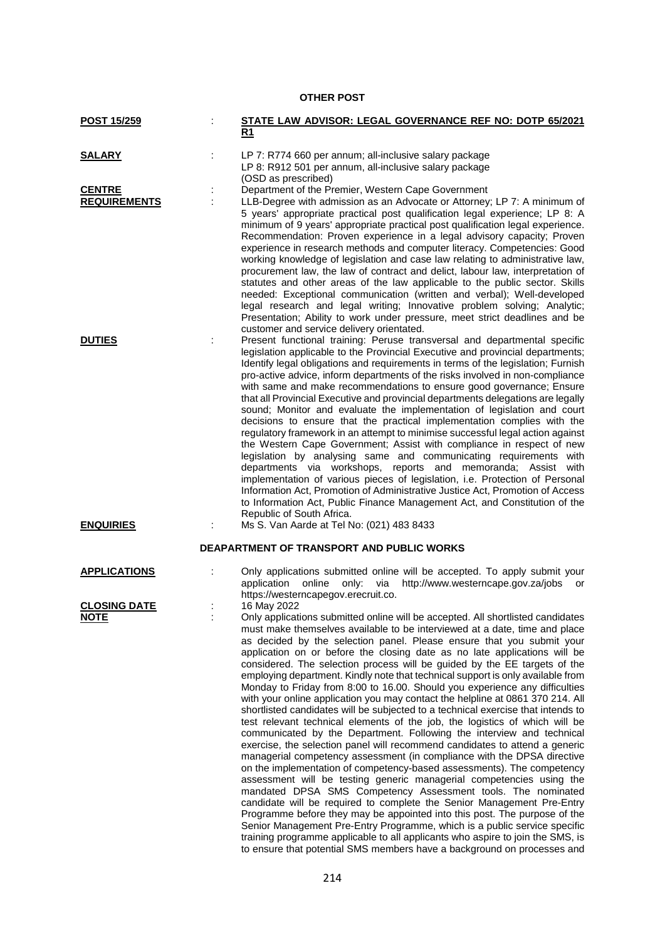# **OTHER POST**

| <b>POST 15/259</b>                   |   | STATE LAW ADVISOR: LEGAL GOVERNANCE REF NO: DOTP 65/2021<br>R1                                                                                                                                                                                                                                                                                                                                                                                                                                                                                                                                                                                                                                                                                                                                                                                                                                                                                                                                                                                                                                                                                                                                                                                                                                                                                                                                                                                                                                                                                                                                                                                                                               |
|--------------------------------------|---|----------------------------------------------------------------------------------------------------------------------------------------------------------------------------------------------------------------------------------------------------------------------------------------------------------------------------------------------------------------------------------------------------------------------------------------------------------------------------------------------------------------------------------------------------------------------------------------------------------------------------------------------------------------------------------------------------------------------------------------------------------------------------------------------------------------------------------------------------------------------------------------------------------------------------------------------------------------------------------------------------------------------------------------------------------------------------------------------------------------------------------------------------------------------------------------------------------------------------------------------------------------------------------------------------------------------------------------------------------------------------------------------------------------------------------------------------------------------------------------------------------------------------------------------------------------------------------------------------------------------------------------------------------------------------------------------|
| <b>SALARY</b>                        | ÷ | LP 7: R774 660 per annum; all-inclusive salary package<br>LP 8: R912 501 per annum, all-inclusive salary package                                                                                                                                                                                                                                                                                                                                                                                                                                                                                                                                                                                                                                                                                                                                                                                                                                                                                                                                                                                                                                                                                                                                                                                                                                                                                                                                                                                                                                                                                                                                                                             |
| <b>CENTRE</b><br><b>REQUIREMENTS</b> |   | (OSD as prescribed)<br>Department of the Premier, Western Cape Government<br>LLB-Degree with admission as an Advocate or Attorney; LP 7: A minimum of<br>5 years' appropriate practical post qualification legal experience; LP 8: A<br>minimum of 9 years' appropriate practical post qualification legal experience.<br>Recommendation: Proven experience in a legal advisory capacity; Proven<br>experience in research methods and computer literacy. Competencies: Good<br>working knowledge of legislation and case law relating to administrative law,<br>procurement law, the law of contract and delict, labour law, interpretation of<br>statutes and other areas of the law applicable to the public sector. Skills<br>needed: Exceptional communication (written and verbal); Well-developed<br>legal research and legal writing; Innovative problem solving; Analytic;<br>Presentation; Ability to work under pressure, meet strict deadlines and be<br>customer and service delivery orientated.                                                                                                                                                                                                                                                                                                                                                                                                                                                                                                                                                                                                                                                                               |
| <b>DUTIES</b>                        |   | Present functional training: Peruse transversal and departmental specific<br>legislation applicable to the Provincial Executive and provincial departments;<br>Identify legal obligations and requirements in terms of the legislation; Furnish<br>pro-active advice, inform departments of the risks involved in non-compliance<br>with same and make recommendations to ensure good governance; Ensure<br>that all Provincial Executive and provincial departments delegations are legally<br>sound; Monitor and evaluate the implementation of legislation and court<br>decisions to ensure that the practical implementation complies with the<br>regulatory framework in an attempt to minimise successful legal action against<br>the Western Cape Government; Assist with compliance in respect of new<br>legislation by analysing same and communicating requirements with<br>departments via workshops, reports and memoranda; Assist with<br>implementation of various pieces of legislation, i.e. Protection of Personal<br>Information Act, Promotion of Administrative Justice Act, Promotion of Access<br>to Information Act, Public Finance Management Act, and Constitution of the<br>Republic of South Africa.                                                                                                                                                                                                                                                                                                                                                                                                                                                              |
| <b>ENQUIRIES</b>                     |   | Ms S. Van Aarde at Tel No: (021) 483 8433                                                                                                                                                                                                                                                                                                                                                                                                                                                                                                                                                                                                                                                                                                                                                                                                                                                                                                                                                                                                                                                                                                                                                                                                                                                                                                                                                                                                                                                                                                                                                                                                                                                    |
|                                      |   | <b>DEAPARTMENT OF TRANSPORT AND PUBLIC WORKS</b>                                                                                                                                                                                                                                                                                                                                                                                                                                                                                                                                                                                                                                                                                                                                                                                                                                                                                                                                                                                                                                                                                                                                                                                                                                                                                                                                                                                                                                                                                                                                                                                                                                             |
| <b>APPLICATIONS</b>                  |   | Only applications submitted online will be accepted. To apply submit your<br>application online<br>only:<br>http://www.westerncape.gov.za/jobs or<br>via<br>https://westerncapegov.erecruit.co.                                                                                                                                                                                                                                                                                                                                                                                                                                                                                                                                                                                                                                                                                                                                                                                                                                                                                                                                                                                                                                                                                                                                                                                                                                                                                                                                                                                                                                                                                              |
| <b>CLOSING DATE</b><br><u>NOTE</u>   |   | 16 May 2022<br>Only applications submitted online will be accepted. All shortlisted candidates<br>must make themselves available to be interviewed at a date, time and place<br>as decided by the selection panel. Please ensure that you submit your<br>application on or before the closing date as no late applications will be<br>considered. The selection process will be guided by the EE targets of the<br>employing department. Kindly note that technical support is only available from<br>Monday to Friday from 8:00 to 16.00. Should you experience any difficulties<br>with your online application you may contact the helpline at 0861 370 214. All<br>shortlisted candidates will be subjected to a technical exercise that intends to<br>test relevant technical elements of the job, the logistics of which will be<br>communicated by the Department. Following the interview and technical<br>exercise, the selection panel will recommend candidates to attend a generic<br>managerial competency assessment (in compliance with the DPSA directive<br>on the implementation of competency-based assessments). The competency<br>assessment will be testing generic managerial competencies using the<br>mandated DPSA SMS Competency Assessment tools. The nominated<br>candidate will be required to complete the Senior Management Pre-Entry<br>Programme before they may be appointed into this post. The purpose of the<br>Senior Management Pre-Entry Programme, which is a public service specific<br>training programme applicable to all applicants who aspire to join the SMS, is<br>to ensure that potential SMS members have a background on processes and |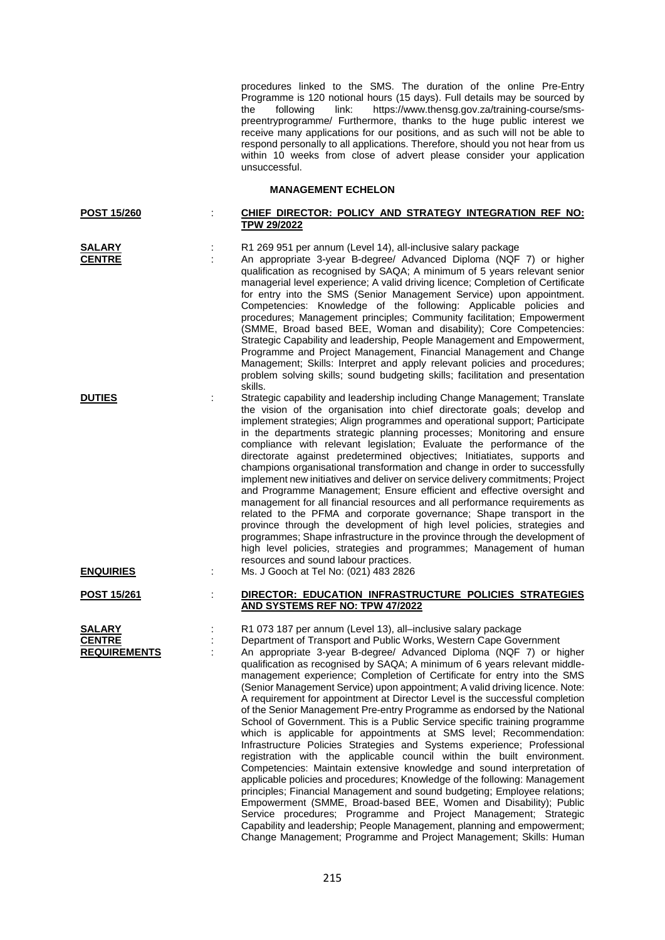procedures linked to the SMS. The duration of the online Pre-Entry Programme is 120 notional hours (15 days). Full details may be sourced by the following link: https://www.thensq.gov.za/training-course/smsthe following link: https://www.thensg.gov.za/training-course/smspreentryprogramme/ Furthermore, thanks to the huge public interest we receive many applications for our positions, and as such will not be able to respond personally to all applications. Therefore, should you not hear from us within 10 weeks from close of advert please consider your application unsuccessful.

### **MANAGEMENT ECHELON**

### **POST 15/260** : **CHIEF DIRECTOR: POLICY AND STRATEGY INTEGRATION REF NO: TPW 29/2022**

**SALARY** : R1 269 951 per annum (Level 14), all-inclusive salary package

**CENTRE** : An appropriate 3-year B-degree/ Advanced Diploma (NQF 7) or higher qualification as recognised by SAQA; A minimum of 5 years relevant senior managerial level experience; A valid driving licence; Completion of Certificate for entry into the SMS (Senior Management Service) upon appointment. Competencies: Knowledge of the following: Applicable policies and procedures; Management principles; Community facilitation; Empowerment (SMME, Broad based BEE, Woman and disability); Core Competencies: Strategic Capability and leadership, People Management and Empowerment, Programme and Project Management, Financial Management and Change Management: Skills: Interpret and apply relevant policies and procedures: problem solving skills; sound budgeting skills; facilitation and presentation .<br>skills.

**DUTIES** : Strategic capability and leadership including Change Management; Translate the vision of the organisation into chief directorate goals; develop and implement strategies; Align programmes and operational support; Participate in the departments strategic planning processes; Monitoring and ensure compliance with relevant legislation; Evaluate the performance of the directorate against predetermined objectives; Initiatiates, supports and champions organisational transformation and change in order to successfully implement new initiatives and deliver on service delivery commitments; Project and Programme Management; Ensure efficient and effective oversight and management for all financial resources and all performance requirements as related to the PFMA and corporate governance; Shape transport in the province through the development of high level policies, strategies and programmes; Shape infrastructure in the province through the development of high level policies, strategies and programmes: Management of human resources and sound labour practices. **ENQUIRIES** : Ms. J Gooch at Tel No: (021) 483 2826

**POST 15/261** : **DIRECTOR: EDUCATION INFRASTRUCTURE POLICIES STRATEGIES AND SYSTEMS REF NO: TPW 47/2022**

**SALARY** : R1 073 187 per annum (Level 13), all–inclusive salary package<br> **CENTRE** : Department of Transport and Public Works, Western Cape Gov **CENTRE** : Department of Transport and Public Works, Western Cape Government An appropriate 3-year B-degree/ Advanced Diploma (NQF 7) or higher qualification as recognised by SAQA; A minimum of 6 years relevant middlemanagement experience; Completion of Certificate for entry into the SMS (Senior Management Service) upon appointment; A valid driving licence. Note: A requirement for appointment at Director Level is the successful completion of the Senior Management Pre-entry Programme as endorsed by the National School of Government. This is a Public Service specific training programme which is applicable for appointments at SMS level; Recommendation: Infrastructure Policies Strategies and Systems experience; Professional registration with the applicable council within the built environment. Competencies: Maintain extensive knowledge and sound interpretation of applicable policies and procedures; Knowledge of the following: Management principles; Financial Management and sound budgeting; Employee relations; Empowerment (SMME, Broad-based BEE, Women and Disability); Public Service procedures; Programme and Project Management; Strategic Capability and leadership; People Management, planning and empowerment; Change Management; Programme and Project Management; Skills: Human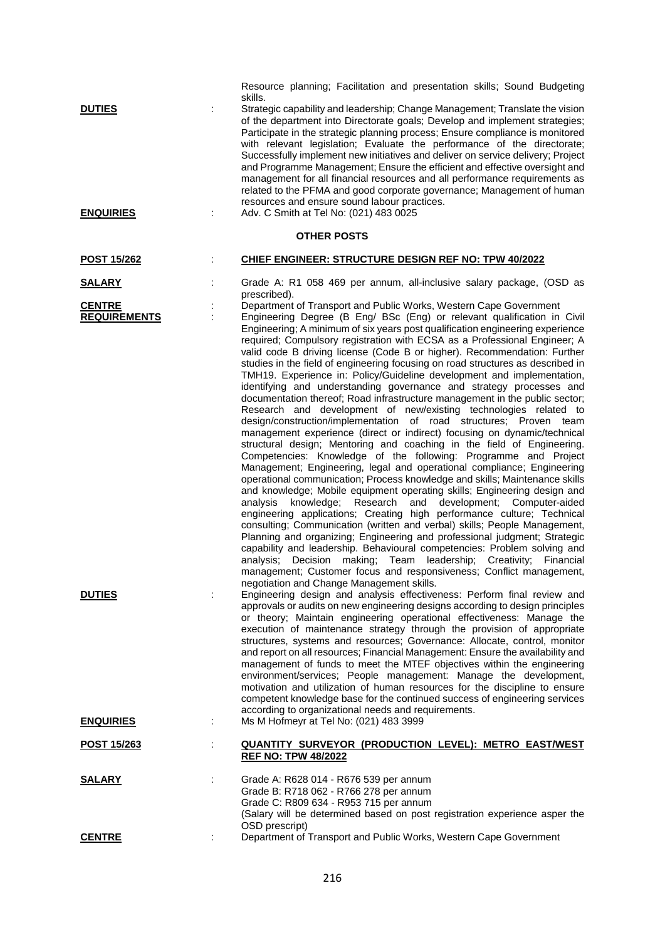| <b>DUTIES</b><br><b>ENQUIRIES</b>    |   | Resource planning; Facilitation and presentation skills; Sound Budgeting<br>skills.<br>Strategic capability and leadership; Change Management; Translate the vision<br>of the department into Directorate goals; Develop and implement strategies;<br>Participate in the strategic planning process; Ensure compliance is monitored<br>with relevant legislation; Evaluate the performance of the directorate;<br>Successfully implement new initiatives and deliver on service delivery; Project<br>and Programme Management; Ensure the efficient and effective oversight and<br>management for all financial resources and all performance requirements as<br>related to the PFMA and good corporate governance; Management of human<br>resources and ensure sound labour practices.<br>Adv. C Smith at Tel No: (021) 483 0025                                                                                                                                                                                                                                                                                                                                                                                                                                                                                                                                                                                                                                                                                                                                                                                                                                                                                                                                                                                                                |
|--------------------------------------|---|--------------------------------------------------------------------------------------------------------------------------------------------------------------------------------------------------------------------------------------------------------------------------------------------------------------------------------------------------------------------------------------------------------------------------------------------------------------------------------------------------------------------------------------------------------------------------------------------------------------------------------------------------------------------------------------------------------------------------------------------------------------------------------------------------------------------------------------------------------------------------------------------------------------------------------------------------------------------------------------------------------------------------------------------------------------------------------------------------------------------------------------------------------------------------------------------------------------------------------------------------------------------------------------------------------------------------------------------------------------------------------------------------------------------------------------------------------------------------------------------------------------------------------------------------------------------------------------------------------------------------------------------------------------------------------------------------------------------------------------------------------------------------------------------------------------------------------------------------|
|                                      |   | <b>OTHER POSTS</b>                                                                                                                                                                                                                                                                                                                                                                                                                                                                                                                                                                                                                                                                                                                                                                                                                                                                                                                                                                                                                                                                                                                                                                                                                                                                                                                                                                                                                                                                                                                                                                                                                                                                                                                                                                                                                               |
| <b>POST 15/262</b>                   | ÷ | CHIEF ENGINEER: STRUCTURE DESIGN REF NO: TPW 40/2022                                                                                                                                                                                                                                                                                                                                                                                                                                                                                                                                                                                                                                                                                                                                                                                                                                                                                                                                                                                                                                                                                                                                                                                                                                                                                                                                                                                                                                                                                                                                                                                                                                                                                                                                                                                             |
| <u>SALARY</u>                        |   | Grade A: R1 058 469 per annum, all-inclusive salary package, (OSD as<br>prescribed).                                                                                                                                                                                                                                                                                                                                                                                                                                                                                                                                                                                                                                                                                                                                                                                                                                                                                                                                                                                                                                                                                                                                                                                                                                                                                                                                                                                                                                                                                                                                                                                                                                                                                                                                                             |
| <b>CENTRE</b><br><b>REQUIREMENTS</b> |   | Department of Transport and Public Works, Western Cape Government<br>Engineering Degree (B Eng/ BSc (Eng) or relevant qualification in Civil<br>Engineering; A minimum of six years post qualification engineering experience<br>required; Compulsory registration with ECSA as a Professional Engineer; A<br>valid code B driving license (Code B or higher). Recommendation: Further<br>studies in the field of engineering focusing on road structures as described in<br>TMH19. Experience in: Policy/Guideline development and implementation,<br>identifying and understanding governance and strategy processes and<br>documentation thereof; Road infrastructure management in the public sector;<br>Research and development of new/existing technologies related to<br>design/construction/implementation of road structures; Proven team<br>management experience (direct or indirect) focusing on dynamic/technical<br>structural design; Mentoring and coaching in the field of Engineering.<br>Competencies: Knowledge of the following: Programme and Project<br>Management; Engineering, legal and operational compliance; Engineering<br>operational communication; Process knowledge and skills; Maintenance skills<br>and knowledge; Mobile equipment operating skills; Engineering design and<br>analysis knowledge; Research and development; Computer-aided<br>engineering applications; Creating high performance culture; Technical<br>consulting; Communication (written and verbal) skills; People Management,<br>Planning and organizing; Engineering and professional judgment; Strategic<br>capability and leadership. Behavioural competencies: Problem solving and<br>Decision making; Team leadership; Creativity; Financial<br>analvsis:<br>management; Customer focus and responsiveness; Conflict management, |
| <b>DUTIES</b>                        |   | negotiation and Change Management skills.<br>Engineering design and analysis effectiveness: Perform final review and<br>approvals or audits on new engineering designs according to design principles<br>or theory; Maintain engineering operational effectiveness: Manage the<br>execution of maintenance strategy through the provision of appropriate<br>structures, systems and resources; Governance: Allocate, control, monitor<br>and report on all resources; Financial Management: Ensure the availability and<br>management of funds to meet the MTEF objectives within the engineering<br>environment/services; People management: Manage the development,<br>motivation and utilization of human resources for the discipline to ensure<br>competent knowledge base for the continued success of engineering services<br>according to organizational needs and requirements.                                                                                                                                                                                                                                                                                                                                                                                                                                                                                                                                                                                                                                                                                                                                                                                                                                                                                                                                                         |
| <b>ENQUIRIES</b>                     |   | Ms M Hofmeyr at Tel No: (021) 483 3999                                                                                                                                                                                                                                                                                                                                                                                                                                                                                                                                                                                                                                                                                                                                                                                                                                                                                                                                                                                                                                                                                                                                                                                                                                                                                                                                                                                                                                                                                                                                                                                                                                                                                                                                                                                                           |
| <u>POST 15/263</u>                   |   | <b>QUANTITY SURVEYOR (PRODUCTION LEVEL): METRO EAST/WEST</b><br><b>REF NO: TPW 48/2022</b>                                                                                                                                                                                                                                                                                                                                                                                                                                                                                                                                                                                                                                                                                                                                                                                                                                                                                                                                                                                                                                                                                                                                                                                                                                                                                                                                                                                                                                                                                                                                                                                                                                                                                                                                                       |
| <u>SALARY</u>                        |   | Grade A: R628 014 - R676 539 per annum<br>Grade B: R718 062 - R766 278 per annum<br>Grade C: R809 634 - R953 715 per annum<br>(Salary will be determined based on post registration experience asper the<br>OSD prescript)                                                                                                                                                                                                                                                                                                                                                                                                                                                                                                                                                                                                                                                                                                                                                                                                                                                                                                                                                                                                                                                                                                                                                                                                                                                                                                                                                                                                                                                                                                                                                                                                                       |
| <b>CENTRE</b>                        |   | Department of Transport and Public Works, Western Cape Government                                                                                                                                                                                                                                                                                                                                                                                                                                                                                                                                                                                                                                                                                                                                                                                                                                                                                                                                                                                                                                                                                                                                                                                                                                                                                                                                                                                                                                                                                                                                                                                                                                                                                                                                                                                |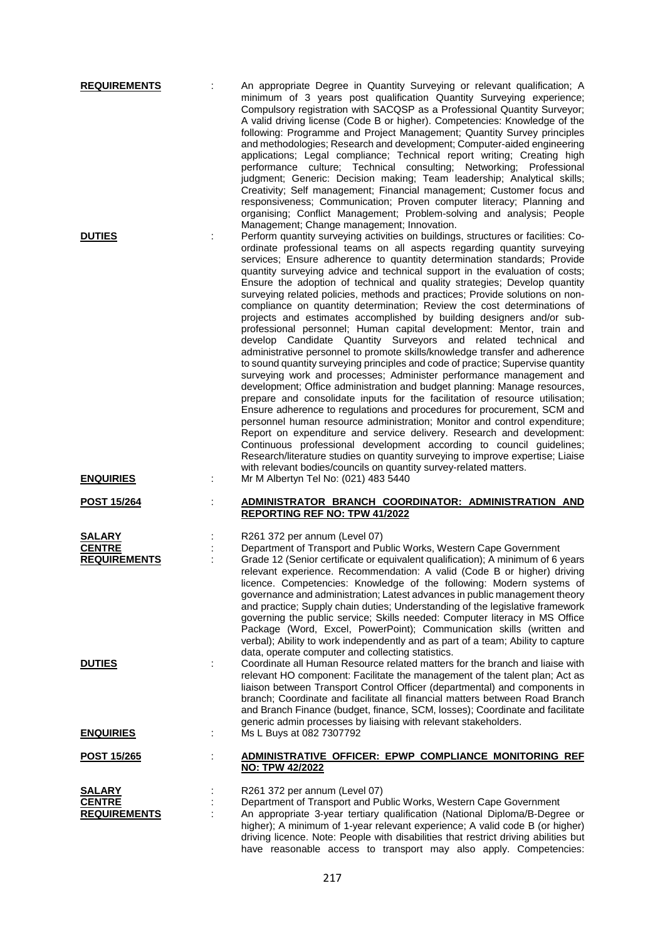| <b>REQUIREMENTS</b>                                   | An appropriate Degree in Quantity Surveying or relevant qualification; A<br>minimum of 3 years post qualification Quantity Surveying experience;<br>Compulsory registration with SACQSP as a Professional Quantity Surveyor;<br>A valid driving license (Code B or higher). Competencies: Knowledge of the<br>following: Programme and Project Management; Quantity Survey principles<br>and methodologies; Research and development; Computer-aided engineering<br>applications; Legal compliance; Technical report writing; Creating high<br>performance culture; Technical consulting; Networking; Professional<br>judgment; Generic: Decision making; Team leadership; Analytical skills;<br>Creativity; Self management; Financial management; Customer focus and<br>responsiveness; Communication; Proven computer literacy; Planning and<br>organising; Conflict Management; Problem-solving and analysis; People                                                                                                                                                                                                                                                                                                                                                                                                                                                                                                                                                                                                                                                                                                                                                                                 |
|-------------------------------------------------------|----------------------------------------------------------------------------------------------------------------------------------------------------------------------------------------------------------------------------------------------------------------------------------------------------------------------------------------------------------------------------------------------------------------------------------------------------------------------------------------------------------------------------------------------------------------------------------------------------------------------------------------------------------------------------------------------------------------------------------------------------------------------------------------------------------------------------------------------------------------------------------------------------------------------------------------------------------------------------------------------------------------------------------------------------------------------------------------------------------------------------------------------------------------------------------------------------------------------------------------------------------------------------------------------------------------------------------------------------------------------------------------------------------------------------------------------------------------------------------------------------------------------------------------------------------------------------------------------------------------------------------------------------------------------------------------------------------|
| <b>DUTIES</b>                                         | Management; Change management; Innovation.<br>Perform quantity surveying activities on buildings, structures or facilities: Co-<br>ordinate professional teams on all aspects regarding quantity surveying<br>services; Ensure adherence to quantity determination standards; Provide<br>quantity surveying advice and technical support in the evaluation of costs;<br>Ensure the adoption of technical and quality strategies; Develop quantity<br>surveying related policies, methods and practices; Provide solutions on non-<br>compliance on quantity determination; Review the cost determinations of<br>projects and estimates accomplished by building designers and/or sub-<br>professional personnel; Human capital development: Mentor, train and<br>develop Candidate Quantity Surveyors and related technical<br>and<br>administrative personnel to promote skills/knowledge transfer and adherence<br>to sound quantity surveying principles and code of practice; Supervise quantity<br>surveying work and processes; Administer performance management and<br>development; Office administration and budget planning: Manage resources,<br>prepare and consolidate inputs for the facilitation of resource utilisation;<br>Ensure adherence to regulations and procedures for procurement, SCM and<br>personnel human resource administration; Monitor and control expenditure;<br>Report on expenditure and service delivery. Research and development:<br>Continuous professional development according to council guidelines;<br>Research/literature studies on quantity surveying to improve expertise; Liaise<br>with relevant bodies/councils on quantity survey-related matters. |
| <b>ENQUIRIES</b><br><b>POST 15/264</b>                | Mr M Albertyn Tel No: (021) 483 5440<br>ADMINISTRATOR BRANCH COORDINATOR: ADMINISTRATION AND                                                                                                                                                                                                                                                                                                                                                                                                                                                                                                                                                                                                                                                                                                                                                                                                                                                                                                                                                                                                                                                                                                                                                                                                                                                                                                                                                                                                                                                                                                                                                                                                             |
|                                                       | <b>REPORTING REF NO: TPW 41/2022</b>                                                                                                                                                                                                                                                                                                                                                                                                                                                                                                                                                                                                                                                                                                                                                                                                                                                                                                                                                                                                                                                                                                                                                                                                                                                                                                                                                                                                                                                                                                                                                                                                                                                                     |
| SALARY<br><b>CENTRE</b><br><b>REQUIREMENTS</b>        | R261 372 per annum (Level 07)<br>Department of Transport and Public Works, Western Cape Government<br>Grade 12 (Senior certificate or equivalent qualification); A minimum of 6 years<br>relevant experience. Recommendation: A valid (Code B or higher) driving<br>licence. Competencies: Knowledge of the following: Modern systems of<br>governance and administration; Latest advances in public management theory<br>and practice; Supply chain duties; Understanding of the legislative framework<br>governing the public service; Skills needed: Computer literacy in MS Office<br>Package (Word, Excel, PowerPoint); Communication skills (written and<br>verbal); Ability to work independently and as part of a team; Ability to capture<br>data, operate computer and collecting statistics.                                                                                                                                                                                                                                                                                                                                                                                                                                                                                                                                                                                                                                                                                                                                                                                                                                                                                                  |
| <b>DUTIES</b>                                         | Coordinate all Human Resource related matters for the branch and liaise with<br>relevant HO component: Facilitate the management of the talent plan; Act as<br>liaison between Transport Control Officer (departmental) and components in<br>branch; Coordinate and facilitate all financial matters between Road Branch<br>and Branch Finance (budget, finance, SCM, losses); Coordinate and facilitate<br>generic admin processes by liaising with relevant stakeholders.                                                                                                                                                                                                                                                                                                                                                                                                                                                                                                                                                                                                                                                                                                                                                                                                                                                                                                                                                                                                                                                                                                                                                                                                                              |
| <u>ENQUIRIES</u>                                      | Ms L Buys at 082 7307792                                                                                                                                                                                                                                                                                                                                                                                                                                                                                                                                                                                                                                                                                                                                                                                                                                                                                                                                                                                                                                                                                                                                                                                                                                                                                                                                                                                                                                                                                                                                                                                                                                                                                 |
| <u>POST 15/265</u>                                    | ADMINISTRATIVE OFFICER: EPWP COMPLIANCE MONITORING REF<br>NO: TPW 42/2022                                                                                                                                                                                                                                                                                                                                                                                                                                                                                                                                                                                                                                                                                                                                                                                                                                                                                                                                                                                                                                                                                                                                                                                                                                                                                                                                                                                                                                                                                                                                                                                                                                |
| <b>SALARY</b><br><b>CENTRE</b><br><b>REQUIREMENTS</b> | R261 372 per annum (Level 07)<br>Department of Transport and Public Works, Western Cape Government<br>An appropriate 3-year tertiary qualification (National Diploma/B-Degree or<br>higher); A minimum of 1-year relevant experience; A valid code B (or higher)<br>driving licence. Note: People with disabilities that restrict driving abilities but                                                                                                                                                                                                                                                                                                                                                                                                                                                                                                                                                                                                                                                                                                                                                                                                                                                                                                                                                                                                                                                                                                                                                                                                                                                                                                                                                  |

have reasonable access to transport may also apply. Competencies: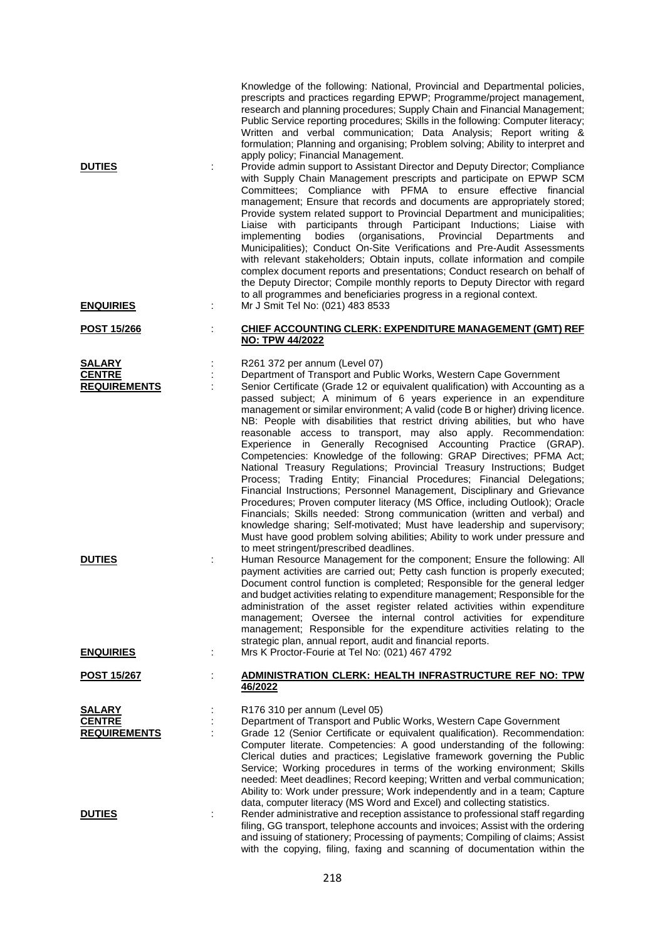| <b>DUTIES</b>                                                          | Knowledge of the following: National, Provincial and Departmental policies,<br>prescripts and practices regarding EPWP; Programme/project management,<br>research and planning procedures; Supply Chain and Financial Management;<br>Public Service reporting procedures; Skills in the following: Computer literacy;<br>Written and verbal communication; Data Analysis; Report writing &<br>formulation; Planning and organising; Problem solving; Ability to interpret and<br>apply policy; Financial Management.<br>Provide admin support to Assistant Director and Deputy Director; Compliance<br>with Supply Chain Management prescripts and participate on EPWP SCM<br>Committees; Compliance with PFMA to ensure effective financial<br>management; Ensure that records and documents are appropriately stored;<br>Provide system related support to Provincial Department and municipalities;<br>Liaise with participants through Participant Inductions; Liaise<br>with<br>bodies (organisations, Provincial<br>implementing<br>Departments<br>and<br>Municipalities); Conduct On-Site Verifications and Pre-Audit Assessments<br>with relevant stakeholders; Obtain inputs, collate information and compile<br>complex document reports and presentations; Conduct research on behalf of<br>the Deputy Director; Compile monthly reports to Deputy Director with regard<br>to all programmes and beneficiaries progress in a regional context.                         |
|------------------------------------------------------------------------|-----------------------------------------------------------------------------------------------------------------------------------------------------------------------------------------------------------------------------------------------------------------------------------------------------------------------------------------------------------------------------------------------------------------------------------------------------------------------------------------------------------------------------------------------------------------------------------------------------------------------------------------------------------------------------------------------------------------------------------------------------------------------------------------------------------------------------------------------------------------------------------------------------------------------------------------------------------------------------------------------------------------------------------------------------------------------------------------------------------------------------------------------------------------------------------------------------------------------------------------------------------------------------------------------------------------------------------------------------------------------------------------------------------------------------------------------------------------------------------|
| <b>ENQUIRIES</b>                                                       | Mr J Smit Tel No: (021) 483 8533                                                                                                                                                                                                                                                                                                                                                                                                                                                                                                                                                                                                                                                                                                                                                                                                                                                                                                                                                                                                                                                                                                                                                                                                                                                                                                                                                                                                                                                  |
| <u>POST 15/266</u>                                                     | <b>CHIEF ACCOUNTING CLERK: EXPENDITURE MANAGEMENT (GMT) REF</b><br><b>NO: TPW 44/2022</b>                                                                                                                                                                                                                                                                                                                                                                                                                                                                                                                                                                                                                                                                                                                                                                                                                                                                                                                                                                                                                                                                                                                                                                                                                                                                                                                                                                                         |
| <b>SALARY</b><br><b>CENTRE</b><br><b>REQUIREMENTS</b><br><b>DUTIES</b> | R261 372 per annum (Level 07)<br>Department of Transport and Public Works, Western Cape Government<br>Senior Certificate (Grade 12 or equivalent qualification) with Accounting as a<br>passed subject; A minimum of 6 years experience in an expenditure<br>management or similar environment; A valid (code B or higher) driving licence.<br>NB: People with disabilities that restrict driving abilities, but who have<br>reasonable access to transport, may also apply. Recommendation:<br>Experience in Generally Recognised Accounting Practice (GRAP).<br>Competencies: Knowledge of the following: GRAP Directives; PFMA Act;<br>National Treasury Regulations; Provincial Treasury Instructions; Budget<br>Process; Trading Entity; Financial Procedures; Financial Delegations;<br>Financial Instructions; Personnel Management, Disciplinary and Grievance<br>Procedures; Proven computer literacy (MS Office, including Outlook); Oracle<br>Financials; Skills needed: Strong communication (written and verbal) and<br>knowledge sharing; Self-motivated; Must have leadership and supervisory;<br>Must have good problem solving abilities; Ability to work under pressure and<br>to meet stringent/prescribed deadlines.<br>Human Resource Management for the component; Ensure the following: All<br>payment activities are carried out; Petty cash function is properly executed;<br>Document control function is completed; Responsible for the general ledger |
|                                                                        | and budget activities relating to expenditure management; Responsible for the<br>administration of the asset register related activities within expenditure<br>management; Oversee the internal control activities for expenditure<br>management; Responsible for the expenditure activities relating to the<br>strategic plan, annual report, audit and financial reports.                                                                                                                                                                                                                                                                                                                                                                                                                                                                                                                                                                                                                                                                                                                                                                                                                                                                                                                                                                                                                                                                                                       |
| <b>ENQUIRIES</b>                                                       | Mrs K Proctor-Fourie at Tel No: (021) 467 4792                                                                                                                                                                                                                                                                                                                                                                                                                                                                                                                                                                                                                                                                                                                                                                                                                                                                                                                                                                                                                                                                                                                                                                                                                                                                                                                                                                                                                                    |
| <u>POST 15/267</u>                                                     | <b>ADMINISTRATION CLERK: HEALTH INFRASTRUCTURE REF NO: TPW</b><br>46/2022                                                                                                                                                                                                                                                                                                                                                                                                                                                                                                                                                                                                                                                                                                                                                                                                                                                                                                                                                                                                                                                                                                                                                                                                                                                                                                                                                                                                         |
| <b>SALARY</b><br><b>CENTRE</b><br><b>REQUIREMENTS</b>                  | R176 310 per annum (Level 05)<br>Department of Transport and Public Works, Western Cape Government<br>Grade 12 (Senior Certificate or equivalent qualification). Recommendation:<br>Computer literate. Competencies: A good understanding of the following:<br>Clerical duties and practices; Legislative framework governing the Public<br>Service; Working procedures in terms of the working environment; Skills<br>needed: Meet deadlines; Record keeping; Written and verbal communication;<br>Ability to: Work under pressure; Work independently and in a team; Capture                                                                                                                                                                                                                                                                                                                                                                                                                                                                                                                                                                                                                                                                                                                                                                                                                                                                                                    |
| <b>DUTIES</b>                                                          | data, computer literacy (MS Word and Excel) and collecting statistics.<br>Render administrative and reception assistance to professional staff regarding<br>filing, GG transport, telephone accounts and invoices; Assist with the ordering<br>and issuing of stationery; Processing of payments; Compiling of claims; Assist<br>with the copying, filing, faxing and scanning of documentation within the                                                                                                                                                                                                                                                                                                                                                                                                                                                                                                                                                                                                                                                                                                                                                                                                                                                                                                                                                                                                                                                                        |